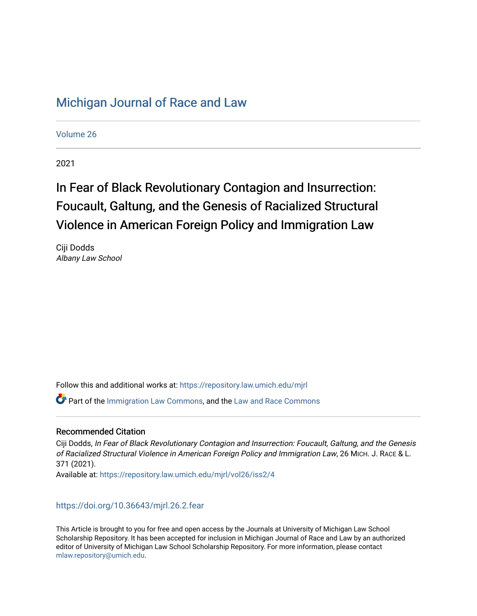## [Michigan Journal of Race and Law](https://repository.law.umich.edu/mjrl)

[Volume 26](https://repository.law.umich.edu/mjrl/vol26)

2021

# In Fear of Black Revolutionary Contagion and Insurrection: Foucault, Galtung, and the Genesis of Racialized Structural Violence in American Foreign Policy and Immigration Law

Ciji Dodds Albany Law School

Follow this and additional works at: [https://repository.law.umich.edu/mjrl](https://repository.law.umich.edu/mjrl?utm_source=repository.law.umich.edu%2Fmjrl%2Fvol26%2Fiss2%2F4&utm_medium=PDF&utm_campaign=PDFCoverPages) 

 $\bullet$  Part of the [Immigration Law Commons](http://network.bepress.com/hgg/discipline/604?utm_source=repository.law.umich.edu%2Fmjrl%2Fvol26%2Fiss2%2F4&utm_medium=PDF&utm_campaign=PDFCoverPages), and the [Law and Race Commons](http://network.bepress.com/hgg/discipline/1300?utm_source=repository.law.umich.edu%2Fmjrl%2Fvol26%2Fiss2%2F4&utm_medium=PDF&utm_campaign=PDFCoverPages)

#### Recommended Citation

Ciji Dodds, In Fear of Black Revolutionary Contagion and Insurrection: Foucault, Galtung, and the Genesis of Racialized Structural Violence in American Foreign Policy and Immigration Law, 26 MICH. J. RACE & L. 371 (2021). Available at: [https://repository.law.umich.edu/mjrl/vol26/iss2/4](https://repository.law.umich.edu/mjrl/vol26/iss2/4?utm_source=repository.law.umich.edu%2Fmjrl%2Fvol26%2Fiss2%2F4&utm_medium=PDF&utm_campaign=PDFCoverPages) 

<https://doi.org/10.36643/mjrl.26.2.fear>

This Article is brought to you for free and open access by the Journals at University of Michigan Law School Scholarship Repository. It has been accepted for inclusion in Michigan Journal of Race and Law by an authorized editor of University of Michigan Law School Scholarship Repository. For more information, please contact [mlaw.repository@umich.edu.](mailto:mlaw.repository@umich.edu)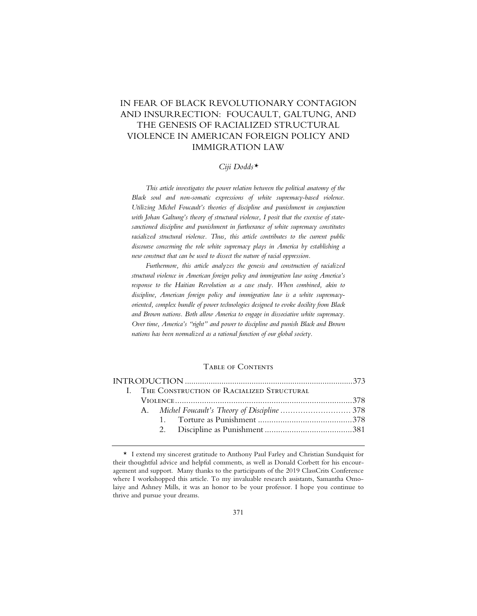### IN FEAR OF BLACK REVOLUTIONARY CONTAGION AND INSURRECTION: FOUCAULT, GALTUNG, AND THE GENESIS OF RACIALIZED STRUCTURAL VIOLENCE IN AMERICAN FOREIGN POLICY AND IMMIGRATION LAW

#### *Ciji Dodds\**

*This article investigates the power relation between the political anatomy of the Black soul and non-somatic expressions of white supremacy-based violence. Utilizing Michel Foucault's theories of discipline and punishment in conjunction with Johan Galtung's theory of structural violence, I posit that the exercise of statesanctioned discipline and punishment in furtherance of white supremacy constitutes racialized structural violence. Thus, this article contributes to the current public discourse concerning the role white supremacy plays in America by establishing a new construct that can be used to dissect the nature of racial oppression.*

*Furthermore, this article analyzes the genesis and construction of racialized structural violence in American foreign policy and immigration law using America's*  response to the Haitian Revolution as a case study. When combined, akin to *discipline, American foreign policy and immigration law is a white supremacyoriented, complex bundle of power technologies designed to evoke docility from Black and Brown nations. Both allow America to engage in dissociative white supremacy. Over time, America's "right" and power to discipline and punish Black and Brown nations has been normalized as a rational function of our global society.*

#### Table of Contents

| I. THE CONSTRUCTION OF RACIALIZED STRUCTURAL |  |  |  |  |  |
|----------------------------------------------|--|--|--|--|--|
|                                              |  |  |  |  |  |
|                                              |  |  |  |  |  |
|                                              |  |  |  |  |  |
|                                              |  |  |  |  |  |
|                                              |  |  |  |  |  |

<sup>\*</sup> I extend my sincerest gratitude to Anthony Paul Farley and Christian Sundquist for their thoughtful advice and helpful comments, as well as Donald Corbett for his encouragement and support. Many thanks to the participants of the 2019 ClassCrits Conference where I workshopped this article. To my invaluable research assistants, Samantha Omolaiye and Ashney Mills, it was an honor to be your professor. I hope you continue to thrive and pursue your dreams.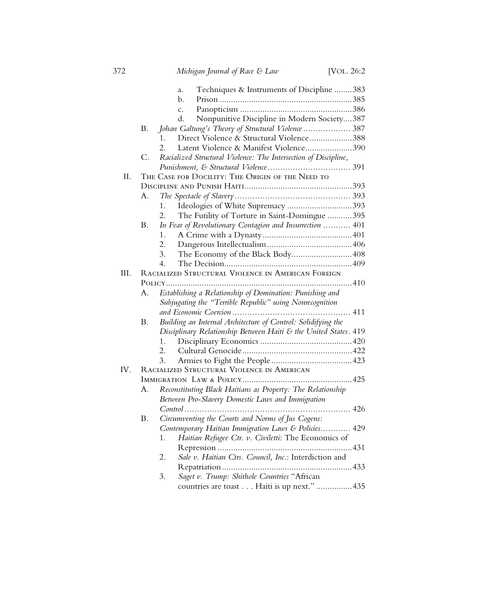|      |    | Techniques & Instruments of Discipline 383<br>a.                 |  |  |  |  |
|------|----|------------------------------------------------------------------|--|--|--|--|
|      |    | b.                                                               |  |  |  |  |
|      |    | $\mathcal{C}$ .                                                  |  |  |  |  |
|      |    | Nonpunitive Discipline in Modern Society387<br>d.                |  |  |  |  |
|      | В. | Johan Galtung's Theory of Structural Violence 387                |  |  |  |  |
|      |    | Direct Violence & Structural Violence388<br>$1_{-}$              |  |  |  |  |
|      |    | Latent Violence & Manifest Violence390<br>$2^{+}$                |  |  |  |  |
|      | C. | Racialized Structural Violence: The Intersection of Discipline,  |  |  |  |  |
|      |    |                                                                  |  |  |  |  |
| II.  |    | THE CASE FOR DOCILITY: THE ORIGIN OF THE NEED TO                 |  |  |  |  |
|      |    |                                                                  |  |  |  |  |
|      | А. |                                                                  |  |  |  |  |
|      |    | Ideologies of White Supremacy 393<br>1.                          |  |  |  |  |
|      |    | The Futility of Torture in Saint-Domingue 395<br>2.              |  |  |  |  |
|      | Β. | In Fear of Revolutionary Contagion and Insurrection  401         |  |  |  |  |
|      |    | 1.                                                               |  |  |  |  |
|      |    | 2.                                                               |  |  |  |  |
|      |    | The Economy of the Black Body408<br>3.                           |  |  |  |  |
|      |    | $4_{\cdot}$                                                      |  |  |  |  |
| III. |    | RACIALIZED STRUCTURAL VIOLENCE IN AMERICAN FOREIGN               |  |  |  |  |
|      |    |                                                                  |  |  |  |  |
|      | А. | Establishing a Relationship of Domination: Punishing and         |  |  |  |  |
|      |    | Subjugating the "Terrible Republic" using Nonrecognition         |  |  |  |  |
|      |    |                                                                  |  |  |  |  |
|      | Β. | Building an Internal Architecture of Control: Solidifying the    |  |  |  |  |
|      |    | Disciplinary Relationship Between Haiti & the United States. 419 |  |  |  |  |
|      |    | $1_{\ldots}$                                                     |  |  |  |  |
|      |    | 2.                                                               |  |  |  |  |
|      |    | 3.                                                               |  |  |  |  |
| IV.  |    | RACIALIZED STRUCTURAL VIOLENCE IN AMERICAN                       |  |  |  |  |
|      |    |                                                                  |  |  |  |  |
|      | А. | Reconstituting Black Haitians as Property: The Relationship      |  |  |  |  |
|      |    | Between Pro-Slavery Domestic Laws and Immigration                |  |  |  |  |
|      |    |                                                                  |  |  |  |  |
|      | Β. | Circumventing the Courts and Norms of Jus Cogens:                |  |  |  |  |
|      |    | Contemporary Haitian Immigration Laws & Policies 429             |  |  |  |  |
|      |    | Haitian Refugee Ctr. v. Civiletti: The Economics of<br>1.        |  |  |  |  |
|      |    |                                                                  |  |  |  |  |
|      |    | Sale v. Haitian Ctrs. Council, Inc.: Interdiction and<br>2.      |  |  |  |  |
|      |    |                                                                  |  |  |  |  |
|      |    | Saget v. Trump: Shithole Countries "African<br>3.                |  |  |  |  |
|      |    | countries are toast Haiti is up next."  435                      |  |  |  |  |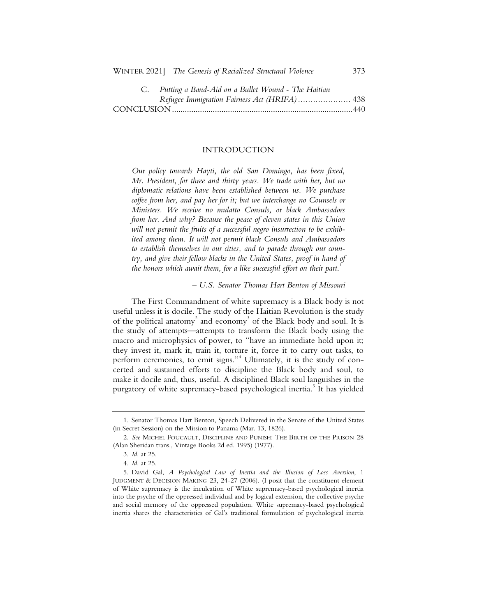| $\mathcal{C}$ . Thunk a Dana-Tim on a Dance rroman - The Timman |  |
|-----------------------------------------------------------------|--|
| Refugee Immigration Fairness Act (HRIFA)  438                   |  |
|                                                                 |  |

#### INTRODUCTION

*Our policy towards Hayti, the old San Domingo, has been fixed, Mr. President, for three and thirty years. We trade with her, but no diplomatic relations have been established between us. We purchase coffee from her, and pay her for it; but we interchange no Counsels or Ministers. We receive no mulatto Consuls, or black Ambassadors from her. And why? Because the peace of eleven states in this Union will not permit the fruits of a successful negro insurrection to be exhibited among them. It will not permit black Consuls and Ambassadors to establish themselves in our cities, and to parade through our country, and give their fellow blacks in the United States, proof in hand of the honors which await them, for a like successful effort on their part*. 1

*– U.S. Senator Thomas Hart Benton of Missouri*

The First Commandment of white supremacy is a Black body is not useful unless it is docile. The study of the Haitian Revolution is the study of the political anatomy<sup>2</sup> and economy<sup>3</sup> of the Black body and soul. It is the study of attempts—attempts to transform the Black body using the macro and microphysics of power, to "have an immediate hold upon it; they invest it, mark it, train it, torture it, force it to carry out tasks, to perform ceremonies, to emit signs."<sup>4</sup> Ultimately, it is the study of concerted and sustained efforts to discipline the Black body and soul, to make it docile and, thus, useful. A disciplined Black soul languishes in the purgatory of white supremacy-based psychological inertia.<sup>5</sup> It has yielded

<sup>1.</sup> Senator Thomas Hart Benton, Speech Delivered in the Senate of the United States (in Secret Session) on the Mission to Panama (Mar. 13, 1826).

<sup>2.</sup> *See* MICHEL FOUCAULT, DISCIPLINE AND PUNISH: THE BIRTH OF THE PRISON 28 (Alan Sheridan trans., Vintage Books 2d ed. 1995) (1977).

<sup>3.</sup> *Id.* at 25.

<sup>4.</sup> *Id.* at 25.

<sup>5.</sup> David Gal, *A Psychological Law of Inertia and the Illusion of Loss Aversion*, 1 JUDGMENT & DECISION MAKING 23, 24-27 (2006). (I posit that the constituent element of White supremacy is the inculcation of White supremacy-based psychological inertia into the psyche of the oppressed individual and by logical extension, the collective psyche and social memory of the oppressed population. White supremacy-based psychological inertia shares the characteristics of Gal's traditional formulation of psychological inertia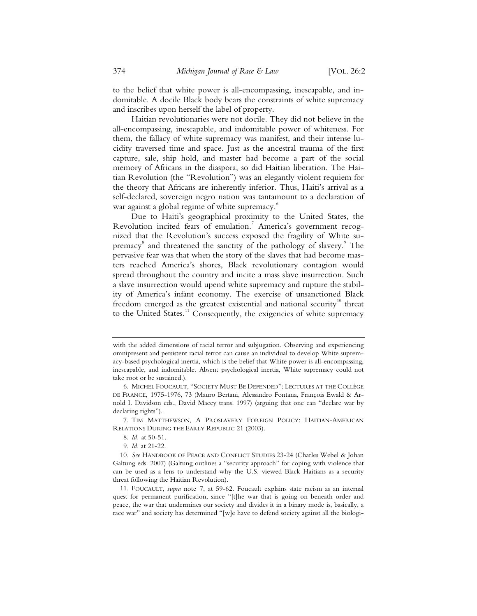to the belief that white power is all-encompassing, inescapable, and indomitable. A docile Black body bears the constraints of white supremacy and inscribes upon herself the label of property.

Haitian revolutionaries were not docile. They did not believe in the all-encompassing, inescapable, and indomitable power of whiteness. For them, the fallacy of white supremacy was manifest, and their intense lucidity traversed time and space. Just as the ancestral trauma of the first capture, sale, ship hold, and master had become a part of the social memory of Africans in the diaspora, so did Haitian liberation. The Haitian Revolution (the "Revolution") was an elegantly violent requiem for the theory that Africans are inherently inferior. Thus, Haiti's arrival as a self-declared, sovereign negro nation was tantamount to a declaration of war against a global regime of white supremacy.<sup>6</sup>

Due to Haiti's geographical proximity to the United States, the Revolution incited fears of emulation.<sup>7</sup> America's government recognized that the Revolution's success exposed the fragility of White supremacy<sup>8</sup> and threatened the sanctity of the pathology of slavery.<sup>9</sup> The pervasive fear was that when the story of the slaves that had become masters reached America's shores, Black revolutionary contagion would spread throughout the country and incite a mass slave insurrection. Such a slave insurrection would upend white supremacy and rupture the stability of America's infant economy. The exercise of unsanctioned Black freedom emerged as the greatest existential and national security<sup>10</sup> threat to the United States.<sup>11</sup> Consequently, the exigencies of white supremacy

7. TIM MATTHEWSON, A PROSLAVERY FOREIGN POLICY: HAITIAN-AMERICAN RELATIONS DURING THE EARLY REPUBLIC 21 (2003).

with the added dimensions of racial terror and subjugation. Observing and experiencing omnipresent and persistent racial terror can cause an individual to develop White supremacy-based psychological inertia, which is the belief that White power is all-encompassing, inescapable, and indomitable. Absent psychological inertia, White supremacy could not take root or be sustained.).

<sup>6.</sup> MICHEL FOUCAULT, "SOCIETY MUST BE DEFENDED": LECTURES AT THE COLLÈGE DE FRANCE, 1975-1976, 73 (Mauro Bertani, Alessandro Fontana, François Ewald & Arnold I. Davidson eds., David Macey trans. 1997) (arguing that one can "declare war by declaring rights").

<sup>8.</sup> *Id.* at 50-51.

<sup>9.</sup> *Id.* at 21-22.

<sup>10.</sup> *See* HANDBOOK OF PEACE AND CONFLICT STUDIES 23-24 (Charles Webel & Johan Galtung eds. 2007) (Galtung outlines a "security approach" for coping with violence that can be used as a lens to understand why the U.S. viewed Black Haitians as a security threat following the Haitian Revolution).

<sup>11.</sup> FOUCAULT, *supra* note 7, at 59-62. Foucault explains state racism as an internal quest for permanent purification, since "[t]he war that is going on beneath order and peace, the war that undermines our society and divides it in a binary mode is, basically, a race war" and society has determined "[w]e have to defend society against all the biologi-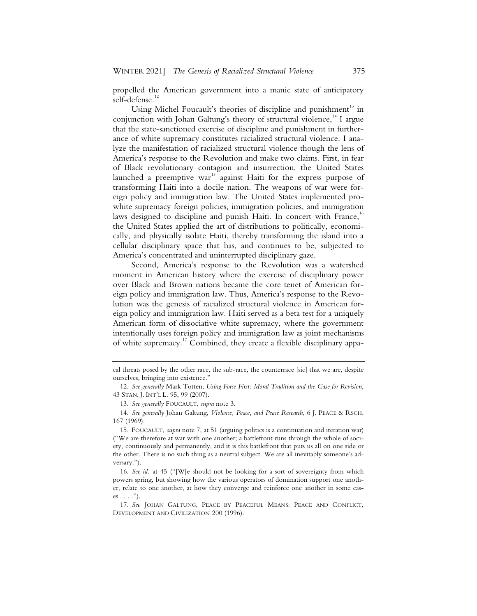propelled the American government into a manic state of anticipatory self-defense.<sup>1</sup>

Using Michel Foucault's theories of discipline and punishment<sup>13</sup> in conjunction with Johan Galtung's theory of structural violence,<sup> $14$ </sup> I argue that the state-sanctioned exercise of discipline and punishment in furtherance of white supremacy constitutes racialized structural violence. I analyze the manifestation of racialized structural violence though the lens of America's response to the Revolution and make two claims. First, in fear of Black revolutionary contagion and insurrection, the United States launched a preemptive war<sup>15</sup> against Haiti for the express purpose of transforming Haiti into a docile nation. The weapons of war were foreign policy and immigration law. The United States implemented prowhite supremacy foreign policies, immigration policies, and immigration laws designed to discipline and punish Haiti. In concert with France, $16$ the United States applied the art of distributions to politically, economically, and physically isolate Haiti, thereby transforming the island into a cellular disciplinary space that has, and continues to be, subjected to America's concentrated and uninterrupted disciplinary gaze.

Second, America's response to the Revolution was a watershed moment in American history where the exercise of disciplinary power over Black and Brown nations became the core tenet of American foreign policy and immigration law. Thus, America's response to the Revolution was the genesis of racialized structural violence in American foreign policy and immigration law. Haiti served as a beta test for a uniquely American form of dissociative white supremacy, where the government intentionally uses foreign policy and immigration law as joint mechanisms of white supremacy.<sup>17</sup> Combined, they create a flexible disciplinary appa-

cal threats posed by the other race, the sub-race, the counterrace [sic] that we are, despite ourselves, bringing into existence.'

<sup>12.</sup> *See generally* Mark Totten, *Using Force First: Moral Tradition and the Case for Revision*, 43 STAN. J. INT'L L. 95, 99 (2007).

<sup>13.</sup> *See generally* FOUCAULT, *supra* note 3.

<sup>14.</sup> *See generally* Johan Galtung, *Violence, Peace, and Peace Research*, 6 J. PEACE & RSCH. 167 (1969).

<sup>15.</sup> FOUCAULT, *supra* note 7, at 51 (arguing politics is a continuation and iteration war) ("We are therefore at war with one another; a battlefront runs through the whole of society, continuously and permanently, and it is this battlefront that puts us all on one side or the other. There is no such thing as a neutral subject. We are all inevitably someone's adversary.").

<sup>16.</sup> *See id.* at 45 ("[W]e should not be looking for a sort of sovereignty from which powers spring, but showing how the various operators of domination support one another, relate to one another, at how they converge and reinforce one another in some cases  $\ldots$ .").

<sup>17.</sup> *See* JOHAN GALTUNG, PEACE BY PEACEFUL MEANS: PEACE AND CONFLICT, DEVELOPMENT AND CIVILIZATION 200 (1996).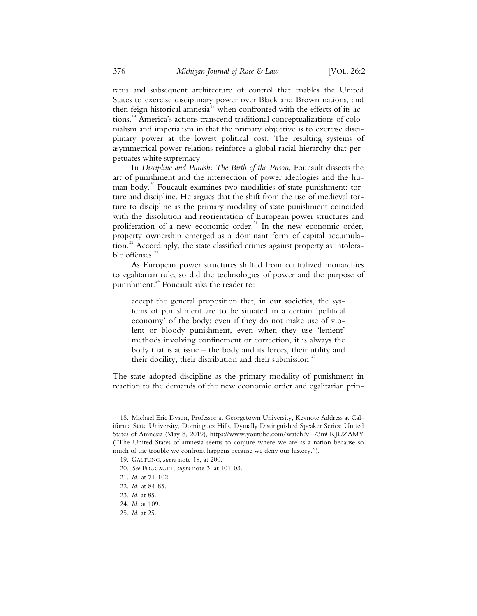ratus and subsequent architecture of control that enables the United States to exercise disciplinary power over Black and Brown nations, and then feign historical amnesia<sup>18</sup> when confronted with the effects of its actions.19 America's actions transcend traditional conceptualizations of colonialism and imperialism in that the primary objective is to exercise disciplinary power at the lowest political cost. The resulting systems of asymmetrical power relations reinforce a global racial hierarchy that perpetuates white supremacy.

In *Discipline and Punish: The Birth of the Prison*, Foucault dissects the art of punishment and the intersection of power ideologies and the human body.<sup>20</sup> Foucault examines two modalities of state punishment: torture and discipline. He argues that the shift from the use of medieval torture to discipline as the primary modality of state punishment coincided with the dissolution and reorientation of European power structures and proliferation of a new economic order.<sup>21</sup> In the new economic order, property ownership emerged as a dominant form of capital accumulation.<sup>22</sup> Accordingly, the state classified crimes against property as intolerable offenses.<sup>23</sup>

As European power structures shifted from centralized monarchies to egalitarian rule, so did the technologies of power and the purpose of punishment.<sup>24</sup> Foucault asks the reader to:

accept the general proposition that, in our societies, the systems of punishment are to be situated in a certain 'political economy' of the body: even if they do not make use of violent or bloody punishment, even when they use 'lenient' methods involving confinement or correction, it is always the body that is at issue – the body and its forces, their utility and their docility, their distribution and their submission.<sup>25</sup>

The state adopted discipline as the primary modality of punishment in reaction to the demands of the new economic order and egalitarian prin-

 <sup>18.</sup> Michael Eric Dyson, Professor at Georgetown University, Keynote Address at California State University, Dominguez Hills, Dymally Distinguished Speaker Series: United States of Amnesia (May 8, 2019), https://www.youtube.com/watch?v=73m0RJUZAMY ("The United States of amnesia seems to conjure where we are as a nation because so much of the trouble we confront happens because we deny our history.").

 <sup>19.</sup> GALTUNG, *supra* note 18, at 200.

 <sup>20.</sup> *See* FOUCAULT, *supra* note 3, at 101-03.

 <sup>21.</sup> *Id.* at 71-102.

 <sup>22.</sup> *Id.* at 84-85.

 <sup>23.</sup> *Id.* at 85.

 <sup>24.</sup> *Id.* at 109.

 <sup>25.</sup> *Id.* at 25.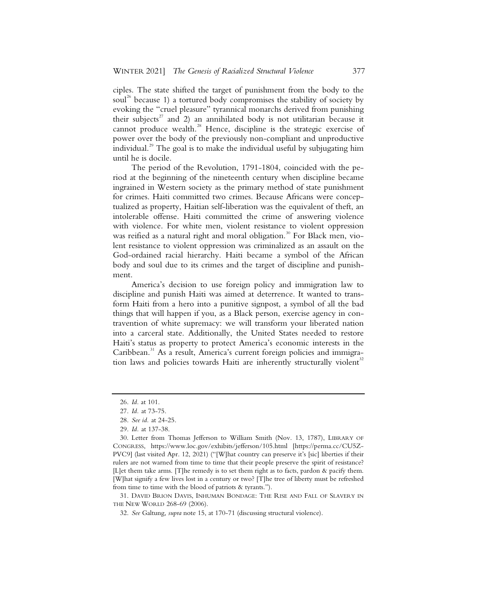ciples. The state shifted the target of punishment from the body to the soul<sup>26</sup> because 1) a tortured body compromises the stability of society by evoking the "cruel pleasure" tyrannical monarchs derived from punishing their subjects<sup>27</sup> and 2) an annihilated body is not utilitarian because it cannot produce wealth.<sup>28</sup> Hence, discipline is the strategic exercise of power over the body of the previously non-compliant and unproductive individual.<sup>29</sup> The goal is to make the individual useful by subjugating him until he is docile.

The period of the Revolution, 1791-1804, coincided with the period at the beginning of the nineteenth century when discipline became ingrained in Western society as the primary method of state punishment for crimes. Haiti committed two crimes. Because Africans were conceptualized as property, Haitian self-liberation was the equivalent of theft, an intolerable offense. Haiti committed the crime of answering violence with violence. For white men, violent resistance to violent oppression was reified as a natural right and moral obligation.<sup>30</sup> For Black men, violent resistance to violent oppression was criminalized as an assault on the God-ordained racial hierarchy. Haiti became a symbol of the African body and soul due to its crimes and the target of discipline and punishment.

America's decision to use foreign policy and immigration law to discipline and punish Haiti was aimed at deterrence. It wanted to transform Haiti from a hero into a punitive signpost, a symbol of all the bad things that will happen if you, as a Black person, exercise agency in contravention of white supremacy: we will transform your liberated nation into a carceral state. Additionally, the United States needed to restore Haiti's status as property to protect America's economic interests in the Caribbean.<sup>31</sup> As a result, America's current foreign policies and immigration laws and policies towards Haiti are inherently structurally violent<sup>32</sup>

 31. DAVID BRION DAVIS, INHUMAN BONDAGE: THE RISE AND FALL OF SLAVERY IN THE NEW WORLD 268-69 (2006).

 <sup>26.</sup> *Id.* at 101.

 <sup>27.</sup> *Id.* at 73-75.

 <sup>28.</sup> *See id.* at 24-25.

 <sup>29.</sup> *Id.* at 137-38.

 <sup>30.</sup> Letter from Thomas Jefferson to William Smith (Nov. 13, 1787), LIBRARY OF CONGRESS, https://www.loc.gov/exhibits/jefferson/105.html [https://perma.cc/CU5Z-PVC9] (last visited Apr. 12, 2021) ("[W]hat country can preserve it's [sic] liberties if their rulers are not warned from time to time that their people preserve the spirit of resistance? [L]et them take arms. [T]he remedy is to set them right as to facts, pardon & pacify them. [W]hat signify a few lives lost in a century or two? [T]he tree of liberty must be refreshed from time to time with the blood of patriots & tyrants.").

 <sup>32.</sup> *See* Galtung, *supra* note 15, at 170-71 (discussing structural violence).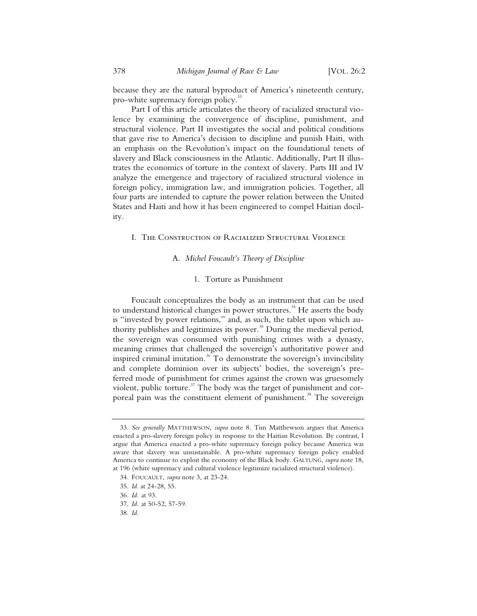because they are the natural byproduct of America's nineteenth century, pro-white supremacy foreign policy.<sup>33</sup>

Part I of this article articulates the theory of racialized structural violence by examining the convergence of discipline, punishment, and structural violence. Part II investigates the social and political conditions that gave rise to America's decision to discipline and punish Haiti, with an emphasis on the Revolution's impact on the foundational tenets of slavery and Black consciousness in the Atlantic. Additionally, Part II illustrates the economics of torture in the context of slavery. Parts III and IV analyze the emergence and trajectory of racialized structural violence in foreign policy, immigration law, and immigration policies. Together, all four parts are intended to capture the power relation between the United States and Haiti and how it has been engineered to compel Haitian docility.

#### I. The Construction of Racialized Structural Violence

#### A. *Michel Foucault's Theory of Discipline*

#### 1. Torture as Punishment

Foucault conceptualizes the body as an instrument that can be used to understand historical changes in power structures.<sup>34</sup> He asserts the body is "invested by power relations," and, as such, the tablet upon which authority publishes and legitimizes its power. $35$  During the medieval period, the sovereign was consumed with punishing crimes with a dynasty, meaning crimes that challenged the sovereign's authoritative power and inspired criminal imitation.<sup>36</sup> To demonstrate the sovereign's invincibility and complete dominion over its subjects' bodies, the sovereign's preferred mode of punishment for crimes against the crown was gruesomely violent, public torture.<sup>37</sup> The body was the target of punishment and corporeal pain was the constituent element of punishment.<sup>38</sup> The sovereign

38. *Id.*

<sup>33.</sup> *See generally* MATTHEWSON, *supra* note 8. Tim Matthewson argues that America enacted a pro-slavery foreign policy in response to the Haitian Revolution. By contrast, I argue that America enacted a pro-white supremacy foreign policy because America was aware that slavery was unsustainable. A pro-white supremacy foreign policy enabled America to continue to exploit the economy of the Black body. GALTUNG, *supra* note 18, at 196 (white supremacy and cultural violence legitimize racialized structural violence).

<sup>34.</sup> FOUCAULT, *supra* note 3, at 23-24.

<sup>35.</sup> *Id.* at 24-28, 55.

<sup>36.</sup> *Id.* at 93.

<sup>37.</sup> *Id.* at 50-52, 57-59.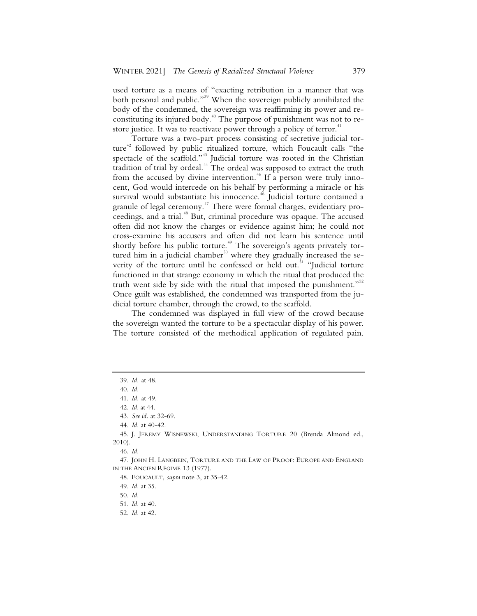used torture as a means of "exacting retribution in a manner that was both personal and public."<sup>39</sup> When the sovereign publicly annihilated the body of the condemned, the sovereign was reaffirming its power and reconstituting its injured body.<sup>40</sup> The purpose of punishment was not to restore justice. It was to reactivate power through a policy of terror.<sup>41</sup>

Torture was a two-part process consisting of secretive judicial torture<sup>42</sup> followed by public ritualized torture, which Foucault calls "the spectacle of the scaffold."<sup>43</sup> Judicial torture was rooted in the Christian tradition of trial by ordeal.<sup>44</sup> The ordeal was supposed to extract the truth from the accused by divine intervention.<sup>45</sup> If a person were truly innocent, God would intercede on his behalf by performing a miracle or his survival would substantiate his innocence.<sup>46</sup> Judicial torture contained a granule of legal ceremony.<sup>47</sup> There were formal charges, evidentiary proceedings, and a trial.<sup>48</sup> But, criminal procedure was opaque. The accused often did not know the charges or evidence against him; he could not cross-examine his accusers and often did not learn his sentence until shortly before his public torture.<sup>49</sup> The sovereign's agents privately tortured him in a judicial chamber $^{50}$  where they gradually increased the severity of the torture until he confessed or held out.<sup>51</sup> "Judicial torture functioned in that strange economy in which the ritual that produced the truth went side by side with the ritual that imposed the punishment."<sup>52</sup> Once guilt was established, the condemned was transported from the judicial torture chamber, through the crowd, to the scaffold.

The condemned was displayed in full view of the crowd because the sovereign wanted the torture to be a spectacular display of his power. The torture consisted of the methodical application of regulated pain.

52. *Id.* at 42.

 <sup>39.</sup> *Id.* at 48.

 <sup>40.</sup> *Id.*

 <sup>41.</sup> *Id.* at 49.

 <sup>42.</sup> *Id.* at 44.

 <sup>43.</sup> *See id.* at 32-69.

 <sup>44.</sup> *Id.* at 40-42.

 <sup>45.</sup> J. JEREMY WISNEWSKI, UNDERSTANDING TORTURE 20 (Brenda Almond ed., 2010).

 <sup>46.</sup> *Id.* 

 <sup>47.</sup> JOHN H. LANGBEIN, TORTURE AND THE LAW OF PROOF: EUROPE AND ENGLAND IN THE ANCIEN RÉGIME 13 (1977).

 <sup>48.</sup> FOUCAULT, *supra* note 3, at 35-42.

 <sup>49.</sup> *Id.* at 35.

 <sup>50.</sup> *Id.*

 <sup>51.</sup> *Id.* at 40.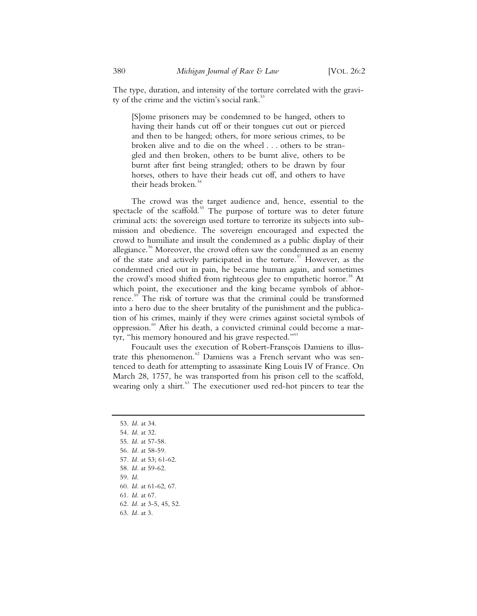The type, duration, and intensity of the torture correlated with the gravity of the crime and the victim's social rank.<sup>53</sup>

[S]ome prisoners may be condemned to be hanged, others to having their hands cut off or their tongues cut out or pierced and then to be hanged; others, for more serious crimes, to be broken alive and to die on the wheel . . . others to be strangled and then broken, others to be burnt alive, others to be burnt after first being strangled; others to be drawn by four horses, others to have their heads cut off, and others to have their heads broken.<sup>54</sup>

The crowd was the target audience and, hence, essential to the spectacle of the scaffold.<sup>55</sup> The purpose of torture was to deter future criminal acts: the sovereign used torture to terrorize its subjects into submission and obedience. The sovereign encouraged and expected the crowd to humiliate and insult the condemned as a public display of their allegiance.<sup>56</sup> Moreover, the crowd often saw the condemned as an enemy of the state and actively participated in the torture.<sup>57</sup> However, as the condemned cried out in pain, he became human again, and sometimes the crowd's mood shifted from righteous glee to empathetic horror.<sup>58</sup> At which point, the executioner and the king became symbols of abhorrence.<sup>59</sup> The risk of torture was that the criminal could be transformed into a hero due to the sheer brutality of the punishment and the publication of his crimes, mainly if they were crimes against societal symbols of oppression.<sup>60</sup> After his death, a convicted criminal could become a martyr, "his memory honoured and his grave respected."<sup>61</sup>

Foucault uses the execution of Robert-Fransçois Damiens to illustrate this phenomenon.<sup>62</sup> Damiens was a French servant who was sentenced to death for attempting to assassinate King Louis IV of France. On March 28, 1757, he was transported from his prison cell to the scaffold, wearing only a shirt.<sup>63</sup> The executioner used red-hot pincers to tear the

- 57*. Id.* at 53; 61-62.
- 58. *Id.* at 59-62.
- 59. *Id.*
- 60. *Id.* at 61-62, 67.
- 61. *Id.* at 67.
- 62. *Id.* at 3-5, 45, 52.
- 63. *Id.* at 3.

<sup>53.</sup> *Id.* at 34.

<sup>54.</sup> *Id.* at 32.

<sup>55.</sup> *Id.* at 57-58.

<sup>56.</sup> *Id.* at 58-59.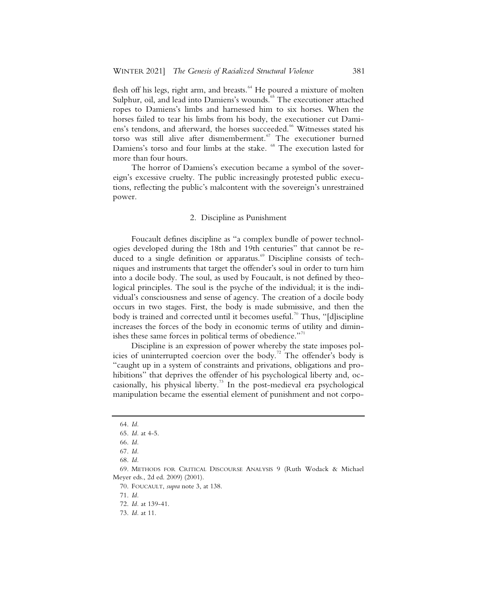flesh off his legs, right arm, and breasts.<sup>64</sup> He poured a mixture of molten Sulphur, oil, and lead into Damiens's wounds.<sup>65</sup> The executioner attached ropes to Damiens's limbs and harnessed him to six horses. When the horses failed to tear his limbs from his body, the executioner cut Damiens's tendons, and afterward, the horses succeeded.<sup>66</sup> Witnesses stated his torso was still alive after dismemberment.<sup>67</sup> The executioner burned Damiens's torso and four limbs at the stake. <sup>68</sup> The execution lasted for more than four hours.

The horror of Damiens's execution became a symbol of the sovereign's excessive cruelty. The public increasingly protested public executions, reflecting the public's malcontent with the sovereign's unrestrained power.

#### 2. Discipline as Punishment

Foucault defines discipline as "a complex bundle of power technologies developed during the 18th and 19th centuries" that cannot be reduced to a single definition or apparatus.<sup>69</sup> Discipline consists of techniques and instruments that target the offender's soul in order to turn him into a docile body. The soul, as used by Foucault, is not defined by theological principles. The soul is the psyche of the individual; it is the individual's consciousness and sense of agency. The creation of a docile body occurs in two stages. First, the body is made submissive, and then the body is trained and corrected until it becomes useful.<sup>70</sup> Thus, "[d]iscipline increases the forces of the body in economic terms of utility and diminishes these same forces in political terms of obedience."<sup>71</sup>

Discipline is an expression of power whereby the state imposes policies of uninterrupted coercion over the body.<sup>72</sup> The offender's body is "caught up in a system of constraints and privations, obligations and prohibitions" that deprives the offender of his psychological liberty and, occasionally, his physical liberty.<sup>73</sup> In the post-medieval era psychological manipulation became the essential element of punishment and not corpo-

71. *Id.*

<sup>64.</sup> *Id.* 

<sup>65.</sup> *Id.* at 4-5.

<sup>66.</sup> *Id.* 

<sup>67.</sup> *Id.*

<sup>68.</sup> *Id.* 

<sup>69.</sup> METHODS FOR CRITICAL DISCOURSE ANALYSIS 9 (Ruth Wodack & Michael Meyer eds., 2d ed. 2009) (2001).

<sup>70.</sup> FOUCAULT, *supra* note 3, at 138.

<sup>72.</sup> *Id.* at 139-41.

<sup>73.</sup> *Id.* at 11.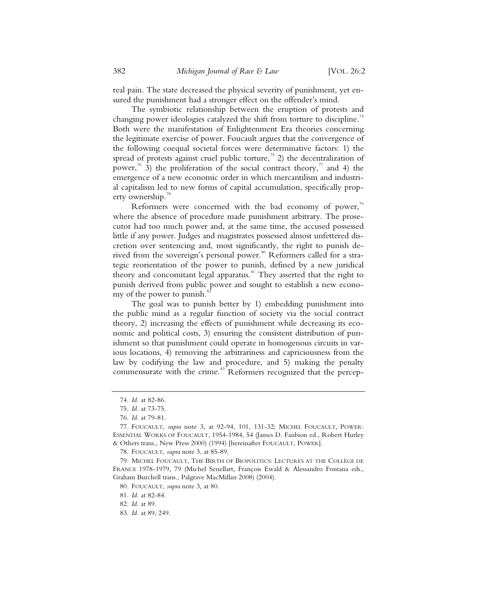real pain. The state decreased the physical severity of punishment, yet ensured the punishment had a stronger effect on the offender's mind.

The symbiotic relationship between the eruption of protests and changing power ideologies catalyzed the shift from torture to discipline.<sup>74</sup> Both were the manifestation of Enlightenment Era theories concerning the legitimate exercise of power. Foucault argues that the convergence of the following coequal societal forces were determinative factors: 1) the spread of protests against cruel public torture,<sup>75</sup> 2) the decentralization of power,<sup>76</sup> 3) the proliferation of the social contract theory,<sup>77</sup> and 4) the emergence of a new economic order in which mercantilism and industrial capitalism led to new forms of capital accumulation, specifically property ownership.<sup>78</sup>

Reformers were concerned with the bad economy of power, $79$ where the absence of procedure made punishment arbitrary. The prosecutor had too much power and, at the same time, the accused possessed little if any power. Judges and magistrates possessed almost unfettered discretion over sentencing and, most significantly, the right to punish derived from the sovereign's personal power.<sup>80</sup> Reformers called for a strategic reorientation of the power to punish, defined by a new juridical theory and concomitant legal apparatus.<sup>81</sup> They asserted that the right to punish derived from public power and sought to establish a new economy of the power to punish.

The goal was to punish better by 1) embedding punishment into the public mind as a regular function of society via the social contract theory, 2) increasing the effects of punishment while decreasing its economic and political costs, 3) ensuring the consistent distribution of punishment so that punishment could operate in homogenous circuits in various locations, 4) removing the arbitrariness and capriciousness from the law by codifying the law and procedure, and 5) making the penalty commensurate with the crime.<sup>83</sup> Reformers recognized that the percep-

78. FOUCAULT, *supra* note 3, at 85-89.

80. FOUCAULT, *supra* note 3, at 80.

82. *Id.* at 89.

<sup>74.</sup> *Id.* at 82-86.

<sup>75.</sup> *Id.* at 73-75.

<sup>76.</sup> *Id.* at 79-81.

<sup>77.</sup> FOUCAULT, *supra* note 3, at 92-94, 101, 131-32; MICHEL FOUCAULT, POWER: ESSENTIAL WORKS OF FOUCAULT, 1954-1984, 54 (James D. Faubion ed., Robert Hurley & Others trans., New Press 2000) (1994) [hereinafter FOUCAULT, POWER].

<sup>79.</sup> MICHEL FOUCAULT, THE BIRTH OF BIOPOLITICS: LECTURES AT THE COLLÈGE DE FRANCE 1978-1979, 79 (Michel Senellart, François Ewald & Alessandro Fontana eds., Graham Burchell trans., Palgrave MacMillan 2008) (2004).

<sup>81.</sup> *Id.* at 82-84.

<sup>83.</sup> *Id.* at 89, 249.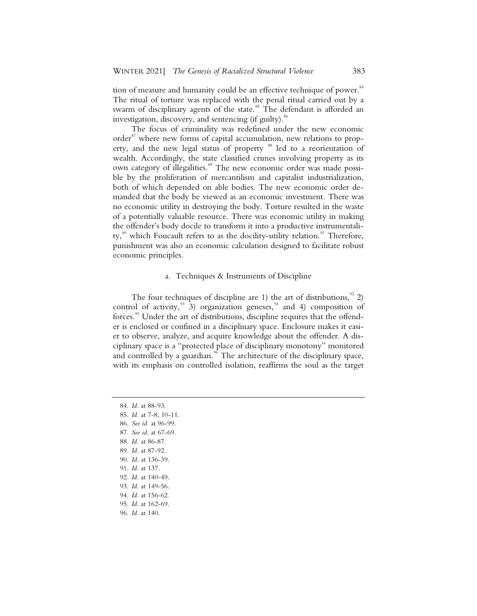tion of measure and humanity could be an effective technique of power.<sup>84</sup> The ritual of torture was replaced with the penal ritual carried out by a swarm of disciplinary agents of the state.<sup>85</sup> The defendant is afforded an investigation, discovery, and sentencing (if guilty).<sup>86</sup>

The focus of criminality was redefined under the new economic order<sup>87</sup> where new forms of capital accumulation, new relations to property, and the new legal status of property <sup>88</sup> led to a reorientation of wealth. Accordingly, the state classified crimes involving property as its own category of illegalities.<sup>89</sup> The new economic order was made possible by the proliferation of mercantilism and capitalist industrialization, both of which depended on able bodies. The new economic order demanded that the body be viewed as an economic investment. There was no economic utility in destroying the body. Torture resulted in the waste of a potentially valuable resource. There was economic utility in making the offender's body docile to transform it into a productive instrumentality, $90$  which Foucault refers to as the docility-utility relation.<sup>91</sup> Therefore, punishment was also an economic calculation designed to facilitate robust economic principles.

#### a. Techniques & Instruments of Discipline

The four techniques of discipline are 1) the art of distributions,  $\frac{92}{2}$ control of activity,  $3$  3) organization geneses,  $4$  and 4) composition of forces.<sup>95</sup> Under the art of distributions, discipline requires that the offender is enclosed or confined in a disciplinary space. Enclosure makes it easier to observe, analyze, and acquire knowledge about the offender. A disciplinary space is a "protected place of disciplinary monotony" monitored and controlled by a guardian.<sup>96</sup> The architecture of the disciplinary space, with its emphasis on controlled isolation, reaffirms the soul as the target

- 85. *Id.* at 7-8, 10-11.
- 86. *See id.* at 96-99.
- 87. *See id.* at 67-69.
- 88. *Id.* at 86-87.
- 89. *Id.* at 87-92.
- 90. *Id.* at 136-39.
- 91. *Id.* at 137.
- 92. *Id.* at 140-49.
- 93. *Id.* at 149-56.
- 94. *Id.* at 156-62.
- 95. *Id.* at 162-69.
- 96. *Id.* at 140.

<sup>84.</sup> *Id.* at 88-93.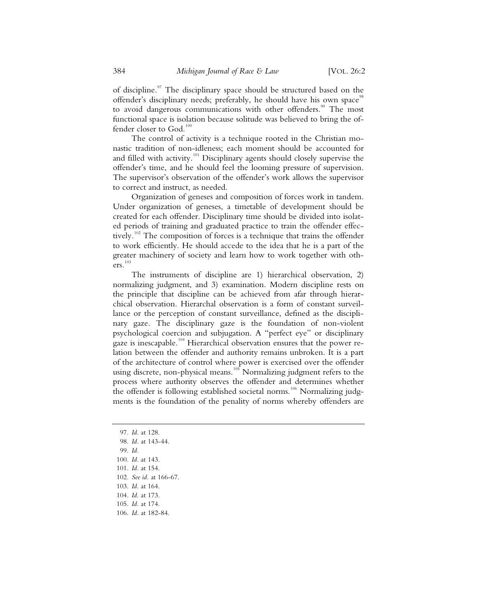of discipline.<sup>97</sup> The disciplinary space should be structured based on the offender's disciplinary needs; preferably, he should have his own space<sup>98</sup> to avoid dangerous communications with other offenders.<sup>99</sup> The most functional space is isolation because solitude was believed to bring the offender closer to God. $100$ 

The control of activity is a technique rooted in the Christian monastic tradition of non-idleness; each moment should be accounted for and filled with activity.<sup>101</sup> Disciplinary agents should closely supervise the offender's time, and he should feel the looming pressure of supervision. The supervisor's observation of the offender's work allows the supervisor to correct and instruct, as needed.

Organization of geneses and composition of forces work in tandem. Under organization of geneses, a timetable of development should be created for each offender. Disciplinary time should be divided into isolated periods of training and graduated practice to train the offender effectively.<sup>102</sup> The composition of forces is a technique that trains the offender to work efficiently. He should accede to the idea that he is a part of the greater machinery of society and learn how to work together with others.<sup>10</sup>

The instruments of discipline are 1) hierarchical observation, 2) normalizing judgment, and 3) examination. Modern discipline rests on the principle that discipline can be achieved from afar through hierarchical observation. Hierarchal observation is a form of constant surveillance or the perception of constant surveillance, defined as the disciplinary gaze. The disciplinary gaze is the foundation of non-violent psychological coercion and subjugation. A "perfect eye" or disciplinary gaze is inescapable.<sup>104</sup> Hierarchical observation ensures that the power relation between the offender and authority remains unbroken. It is a part of the architecture of control where power is exercised over the offender using discrete, non-physical means.<sup>105</sup> Normalizing judgment refers to the process where authority observes the offender and determines whether the offender is following established societal norms.<sup>106</sup> Normalizing judgments is the foundation of the penality of norms whereby offenders are

- 97. *Id.* at 128.
- 98. *Id.* at 143-44.
- 99. *Id.*
- 100. *Id.* at 143.
- 101. *Id.* at 154.
- 102. *See id.* at 166-67.
- 103. *Id.* at 164.
- 104. *Id.* at 173.
- 105. *Id.* at 174.
- 106. *Id.* at 182-84.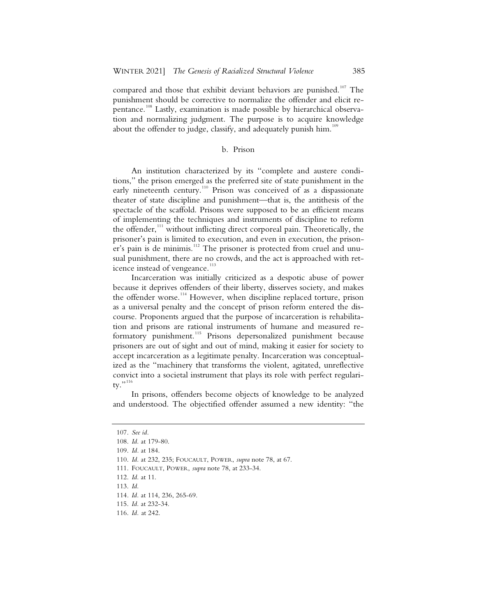compared and those that exhibit deviant behaviors are punished.<sup>107</sup> The punishment should be corrective to normalize the offender and elicit repentance.<sup>108</sup> Lastly, examination is made possible by hierarchical observation and normalizing judgment. The purpose is to acquire knowledge about the offender to judge, classify, and adequately punish him.<sup>109</sup>

#### b. Prison

An institution characterized by its "complete and austere conditions," the prison emerged as the preferred site of state punishment in the early nineteenth century.<sup>110</sup> Prison was conceived of as a dispassionate theater of state discipline and punishment—that is, the antithesis of the spectacle of the scaffold. Prisons were supposed to be an efficient means of implementing the techniques and instruments of discipline to reform the offender, $111$  without inflicting direct corporeal pain. Theoretically, the prisoner's pain is limited to execution, and even in execution, the prisoner's pain is de minimis.<sup>112</sup> The prisoner is protected from cruel and unusual punishment, there are no crowds, and the act is approached with reticence instead of vengeance.<sup>113</sup>

Incarceration was initially criticized as a despotic abuse of power because it deprives offenders of their liberty, disserves society, and makes the offender worse.<sup>114</sup> However, when discipline replaced torture, prison as a universal penalty and the concept of prison reform entered the discourse. Proponents argued that the purpose of incarceration is rehabilitation and prisons are rational instruments of humane and measured reformatory punishment.<sup>115</sup> Prisons depersonalized punishment because prisoners are out of sight and out of mind, making it easier for society to accept incarceration as a legitimate penalty. Incarceration was conceptualized as the "machinery that transforms the violent, agitated, unreflective convict into a societal instrument that plays its role with perfect regularity."<sup>116</sup>

In prisons, offenders become objects of knowledge to be analyzed and understood. The objectified offender assumed a new identity: "the

113. *Id.*

114*. Id.* at 114, 236, 265-69.

<sup>107.</sup> *See id.*

<sup>108.</sup> *Id.* at 179-80.

<sup>109.</sup> *Id.* at 184.

<sup>110.</sup> *Id.* at 232, 235; FOUCAULT, POWER, *supra* note 78, at 67.

<sup>111.</sup> FOUCAULT, POWER, *supra* note 78, at 233-34.

<sup>112.</sup> *Id.* at 11.

<sup>115.</sup> *Id.* at 232-34.

<sup>116.</sup> *Id.* at 242.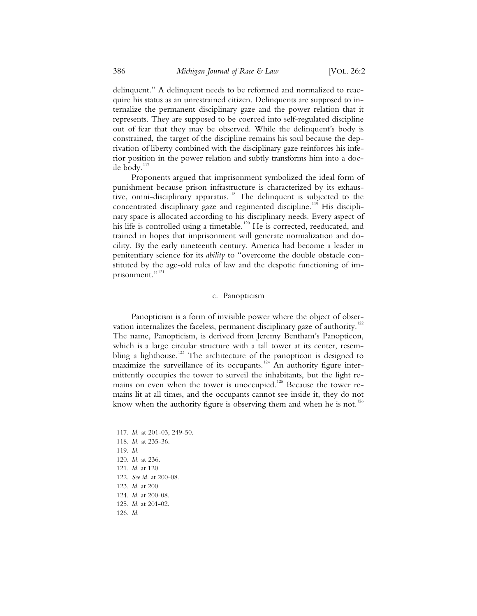delinquent." A delinquent needs to be reformed and normalized to reacquire his status as an unrestrained citizen. Delinquents are supposed to internalize the permanent disciplinary gaze and the power relation that it represents. They are supposed to be coerced into self-regulated discipline out of fear that they may be observed. While the delinquent's body is constrained, the target of the discipline remains his soul because the deprivation of liberty combined with the disciplinary gaze reinforces his inferior position in the power relation and subtly transforms him into a docile body.<sup>117</sup>

Proponents argued that imprisonment symbolized the ideal form of punishment because prison infrastructure is characterized by its exhaustive, omni-disciplinary apparatus.<sup>118</sup> The delinquent is subjected to the concentrated disciplinary gaze and regimented discipline.<sup>119</sup> His disciplinary space is allocated according to his disciplinary needs. Every aspect of his life is controlled using a timetable.<sup>120</sup> He is corrected, reeducated, and trained in hopes that imprisonment will generate normalization and docility. By the early nineteenth century, America had become a leader in penitentiary science for its *ability* to "overcome the double obstacle constituted by the age-old rules of law and the despotic functioning of imprisonment."<sup>121</sup>

#### c. Panopticism

Panopticism is a form of invisible power where the object of observation internalizes the faceless, permanent disciplinary gaze of authority.<sup>122</sup> The name, Panopticism, is derived from Jeremy Bentham's Panopticon, which is a large circular structure with a tall tower at its center, resembling a lighthouse.<sup>123</sup> The architecture of the panopticon is designed to maximize the surveillance of its occupants.<sup>124</sup> An authority figure intermittently occupies the tower to surveil the inhabitants, but the light remains on even when the tower is unoccupied.<sup>125</sup> Because the tower remains lit at all times, and the occupants cannot see inside it, they do not know when the authority figure is observing them and when he is not.<sup>126</sup>

<sup>117.</sup> *Id.* at 201-03, 249-50.

<sup>118.</sup> *Id.* at 235-36.

<sup>119.</sup> *Id.*

<sup>120.</sup> *Id.* at 236.

<sup>121.</sup> *Id.* at 120.

<sup>122.</sup> *See id.* at 200-08.

<sup>123.</sup> *Id.* at 200.

<sup>124.</sup> *Id.* at 200-08.

<sup>125.</sup> *Id.* at 201-02.

<sup>126.</sup> *Id.*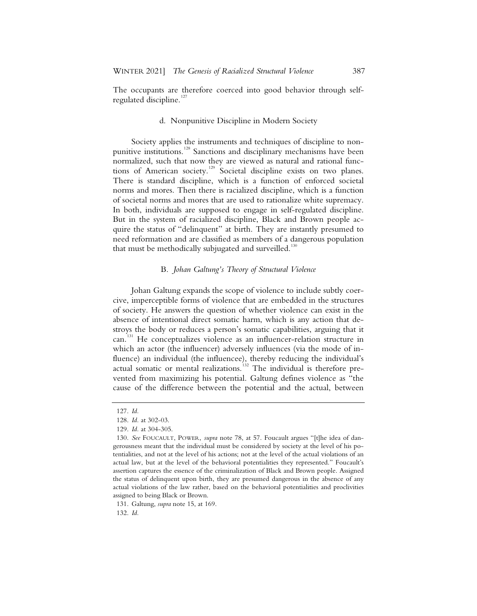The occupants are therefore coerced into good behavior through selfregulated discipline. $127$ 

#### d. Nonpunitive Discipline in Modern Society

Society applies the instruments and techniques of discipline to nonpunitive institutions.<sup>128</sup> Sanctions and disciplinary mechanisms have been normalized, such that now they are viewed as natural and rational functions of American society.<sup>129</sup> Societal discipline exists on two planes. There is standard discipline, which is a function of enforced societal norms and mores. Then there is racialized discipline, which is a function of societal norms and mores that are used to rationalize white supremacy. In both, individuals are supposed to engage in self-regulated discipline. But in the system of racialized discipline, Black and Brown people acquire the status of "delinquent" at birth. They are instantly presumed to need reformation and are classified as members of a dangerous population that must be methodically subjugated and surveilled.<sup>130</sup>

#### B. *Johan Galtung's Theory of Structural Violence*

Johan Galtung expands the scope of violence to include subtly coercive, imperceptible forms of violence that are embedded in the structures of society. He answers the question of whether violence can exist in the absence of intentional direct somatic harm, which is any action that destroys the body or reduces a person's somatic capabilities, arguing that it can.<sup>131</sup> He conceptualizes violence as an influencer-relation structure in which an actor (the influencer) adversely influences (via the mode of influence) an individual (the influencee), thereby reducing the individual's actual somatic or mental realizations.<sup>132</sup> The individual is therefore prevented from maximizing his potential. Galtung defines violence as "the cause of the difference between the potential and the actual, between

131. Galtung, *supra* note 15, at 169.

132. *Id.*

<sup>127.</sup> *Id.*

<sup>128.</sup> *Id.* at 302-03.

<sup>129.</sup> *Id.* at 304-305.

<sup>130.</sup> *See* FOUCAULT, POWER, *supra* note 78, at 57. Foucault argues "[t]he idea of dangerousness meant that the individual must be considered by society at the level of his potentialities, and not at the level of his actions; not at the level of the actual violations of an actual law, but at the level of the behavioral potentialities they represented." Foucault's assertion captures the essence of the criminalization of Black and Brown people. Assigned the status of delinquent upon birth, they are presumed dangerous in the absence of any actual violations of the law rather, based on the behavioral potentialities and proclivities assigned to being Black or Brown.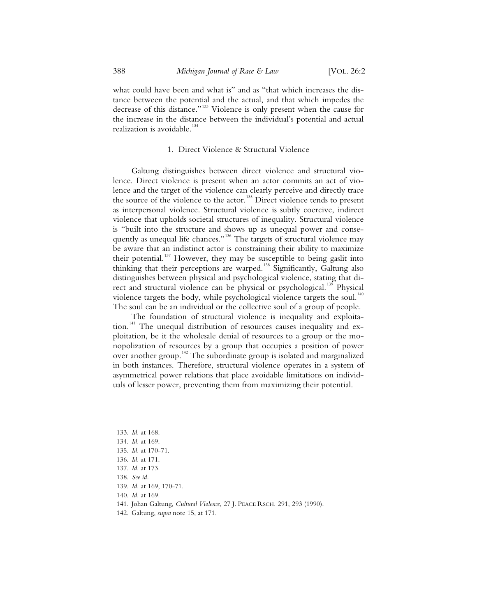what could have been and what is" and as "that which increases the distance between the potential and the actual, and that which impedes the decrease of this distance."133 Violence is only present when the cause for the increase in the distance between the individual's potential and actual realization is avoidable.<sup>134</sup>

#### 1. Direct Violence & Structural Violence

Galtung distinguishes between direct violence and structural violence. Direct violence is present when an actor commits an act of violence and the target of the violence can clearly perceive and directly trace the source of the violence to the actor.<sup>135</sup> Direct violence tends to present as interpersonal violence. Structural violence is subtly coercive, indirect violence that upholds societal structures of inequality. Structural violence is "built into the structure and shows up as unequal power and consequently as unequal life chances."<sup>136</sup> The targets of structural violence may be aware that an indistinct actor is constraining their ability to maximize their potential.<sup>137</sup> However, they may be susceptible to being gaslit into thinking that their perceptions are warped.<sup>138</sup> Significantly, Galtung also distinguishes between physical and psychological violence, stating that direct and structural violence can be physical or psychological.<sup>139</sup> Physical violence targets the body, while psychological violence targets the soul.<sup>140</sup> The soul can be an individual or the collective soul of a group of people.

The foundation of structural violence is inequality and exploitation.<sup>141</sup> The unequal distribution of resources causes inequality and exploitation, be it the wholesale denial of resources to a group or the monopolization of resources by a group that occupies a position of power over another group.<sup>142</sup> The subordinate group is isolated and marginalized in both instances. Therefore, structural violence operates in a system of asymmetrical power relations that place avoidable limitations on individuals of lesser power, preventing them from maximizing their potential.

 <sup>133.</sup> *Id.* at 168.

 <sup>134.</sup> *Id.* at 169.

 <sup>135.</sup> *Id.* at 170-71.

 <sup>136.</sup> *Id.* at 171.

 <sup>137.</sup> *Id.* at 173.

 <sup>138.</sup> *See id.*

 <sup>139.</sup> *Id.* at 169, 170-71.

 <sup>140.</sup> *Id.* at 169.

 <sup>141.</sup> Johan Galtung, *Cultural Violence*, 27 J. PEACE RSCH. 291, 293 (1990).

 <sup>142.</sup> Galtung, *supra* note 15, at 171.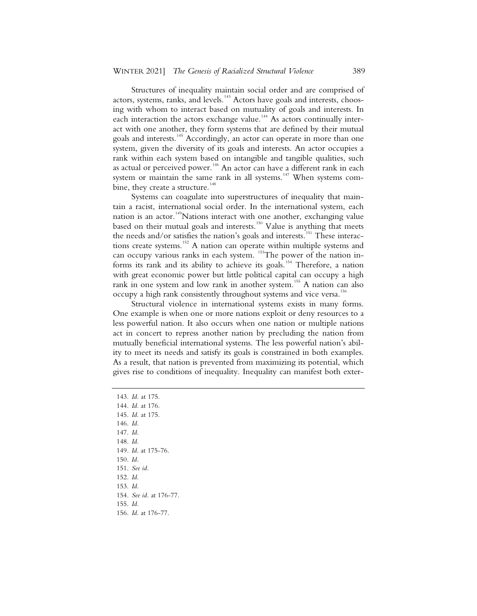Structures of inequality maintain social order and are comprised of actors, systems, ranks, and levels.<sup>143</sup> Actors have goals and interests, choosing with whom to interact based on mutuality of goals and interests. In each interaction the actors exchange value.<sup>144</sup> As actors continually interact with one another, they form systems that are defined by their mutual goals and interests.<sup>145</sup> Accordingly, an actor can operate in more than one system, given the diversity of its goals and interests. An actor occupies a rank within each system based on intangible and tangible qualities, such as actual or perceived power.<sup>146</sup> An actor can have a different rank in each system or maintain the same rank in all systems.<sup>147</sup> When systems combine, they create a structure.<sup>148</sup>

Systems can coagulate into superstructures of inequality that maintain a racist, international social order. In the international system, each nation is an actor.<sup>149</sup>Nations interact with one another, exchanging value based on their mutual goals and interests.<sup>150</sup> Value is anything that meets the needs and/or satisfies the nation's goals and interests.<sup>151</sup> These interactions create systems.<sup>152</sup> A nation can operate within multiple systems and can occupy various ranks in each system. <sup>153</sup>The power of the nation informs its rank and its ability to achieve its goals.<sup>154</sup> Therefore, a nation with great economic power but little political capital can occupy a high rank in one system and low rank in another system.<sup>155</sup> A nation can also occupy a high rank consistently throughout systems and vice versa.<sup>156</sup>

Structural violence in international systems exists in many forms. One example is when one or more nations exploit or deny resources to a less powerful nation. It also occurs when one nation or multiple nations act in concert to repress another nation by precluding the nation from mutually beneficial international systems. The less powerful nation's ability to meet its needs and satisfy its goals is constrained in both examples. As a result, that nation is prevented from maximizing its potential, which gives rise to conditions of inequality. Inequality can manifest both exter-

- 145. *Id.* at 175.
- 146. *Id.*
- 147. *Id.*
- 148. *Id.*
- 149*. Id*. at 175-76.
- 150*. Id.*
- 151. *See id.*
- 152. *Id.*
- 153. *Id.*
- 154. *See id.* at 176-77.
- 155. *Id.*
- 156. *Id*. at 176-77.

<sup>143.</sup> *Id.* at 175.

<sup>144.</sup> *Id.* at 176.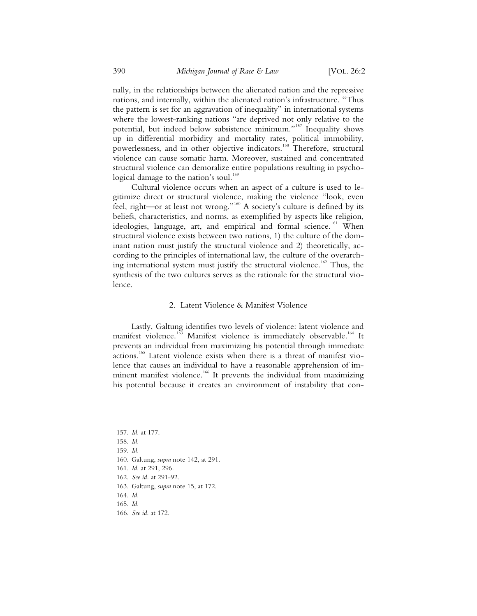nally, in the relationships between the alienated nation and the repressive nations, and internally, within the alienated nation's infrastructure. "Thus the pattern is set for an aggravation of inequality" in international systems where the lowest-ranking nations "are deprived not only relative to the potential, but indeed below subsistence minimum."<sup>157</sup> Inequality shows up in differential morbidity and mortality rates, political immobility, powerlessness, and in other objective indicators.<sup>158</sup> Therefore, structural violence can cause somatic harm. Moreover, sustained and concentrated structural violence can demoralize entire populations resulting in psychological damage to the nation's soul.<sup>159</sup>

Cultural violence occurs when an aspect of a culture is used to legitimize direct or structural violence, making the violence "look, even feel, right—or at least not wrong."<sup>160</sup> A society's culture is defined by its beliefs, characteristics, and norms, as exemplified by aspects like religion, ideologies, language, art, and empirical and formal science.<sup>161</sup> When structural violence exists between two nations, 1) the culture of the dominant nation must justify the structural violence and 2) theoretically, according to the principles of international law, the culture of the overarching international system must justify the structural violence.<sup>162</sup> Thus, the synthesis of the two cultures serves as the rationale for the structural violence.

#### 2. Latent Violence & Manifest Violence

Lastly, Galtung identifies two levels of violence: latent violence and manifest violence.<sup>163</sup> Manifest violence is immediately observable.<sup>164</sup> It prevents an individual from maximizing his potential through immediate actions.<sup>165</sup> Latent violence exists when there is a threat of manifest violence that causes an individual to have a reasonable apprehension of imminent manifest violence.<sup>166</sup> It prevents the individual from maximizing his potential because it creates an environment of instability that con-

- 161. *Id.* at 291, 296.
- 162. *See id.* at 291-92.

163. Galtung, *supra* note 15, at 172.

164. *Id.*

165. *Id.*

<sup>157.</sup> *Id.* at 177.

<sup>158.</sup> *Id.*

<sup>159.</sup> *Id.*

<sup>160.</sup> Galtung, *supra* note 142, at 291.

<sup>166.</sup> *See id*. at 172.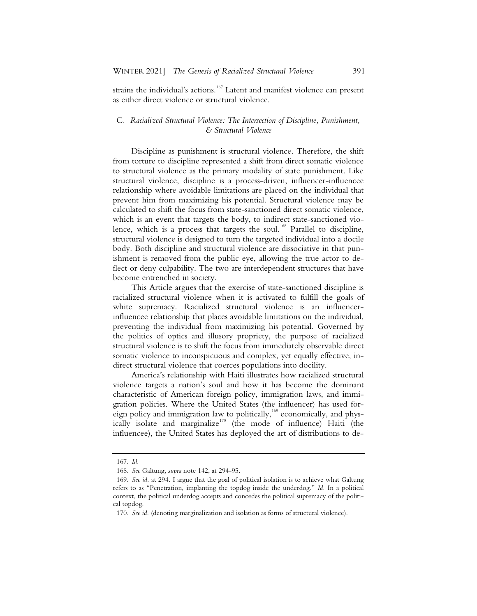strains the individual's actions.<sup>167</sup> Latent and manifest violence can present as either direct violence or structural violence.

#### C*. Racialized Structural Violence: The Intersection of Discipline, Punishment, & Structural Violence*

Discipline as punishment is structural violence. Therefore, the shift from torture to discipline represented a shift from direct somatic violence to structural violence as the primary modality of state punishment. Like structural violence, discipline is a process-driven, influencer-influencee relationship where avoidable limitations are placed on the individual that prevent him from maximizing his potential. Structural violence may be calculated to shift the focus from state-sanctioned direct somatic violence, which is an event that targets the body, to indirect state-sanctioned violence, which is a process that targets the soul.<sup>168</sup> Parallel to discipline, structural violence is designed to turn the targeted individual into a docile body. Both discipline and structural violence are dissociative in that punishment is removed from the public eye, allowing the true actor to deflect or deny culpability. The two are interdependent structures that have become entrenched in society.

This Article argues that the exercise of state-sanctioned discipline is racialized structural violence when it is activated to fulfill the goals of white supremacy. Racialized structural violence is an influencerinfluencee relationship that places avoidable limitations on the individual, preventing the individual from maximizing his potential. Governed by the politics of optics and illusory propriety, the purpose of racialized structural violence is to shift the focus from immediately observable direct somatic violence to inconspicuous and complex, yet equally effective, indirect structural violence that coerces populations into docility.

America's relationship with Haiti illustrates how racialized structural violence targets a nation's soul and how it has become the dominant characteristic of American foreign policy, immigration laws, and immigration policies. Where the United States (the influencer) has used foreign policy and immigration law to politically,<sup>169</sup> economically, and physically isolate and marginalize<sup>170</sup> (the mode of influence) Haiti (the influencee), the United States has deployed the art of distributions to de-

<sup>167.</sup> *Id.*

<sup>168.</sup> *See* Galtung, *supra* note 142, at 294-95.

<sup>169.</sup> *See id.* at 294*.* I argue that the goal of political isolation is to achieve what Galtung refers to as "Penetration, implanting the topdog inside the underdog." *Id.* In a political context, the political underdog accepts and concedes the political supremacy of the political topdog.

<sup>170.</sup> *See id.* (denoting marginalization and isolation as forms of structural violence).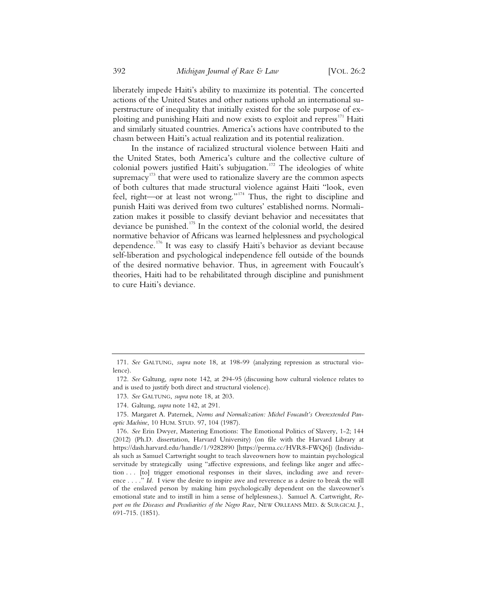liberately impede Haiti's ability to maximize its potential. The concerted actions of the United States and other nations uphold an international superstructure of inequality that initially existed for the sole purpose of exploiting and punishing Haiti and now exists to exploit and repress<sup>171</sup> Haiti and similarly situated countries. America's actions have contributed to the chasm between Haiti's actual realization and its potential realization.

In the instance of racialized structural violence between Haiti and the United States, both America's culture and the collective culture of colonial powers justified Haiti's subjugation.<sup>172</sup> The ideologies of white supremacy<sup>173</sup> that were used to rationalize slavery are the common aspects of both cultures that made structural violence against Haiti "look, even feel, right—or at least not wrong."<sup>174</sup> Thus, the right to discipline and punish Haiti was derived from two cultures' established norms. Normalization makes it possible to classify deviant behavior and necessitates that deviance be punished.<sup>175</sup> In the context of the colonial world, the desired normative behavior of Africans was learned helplessness and psychological dependence.<sup>176</sup> It was easy to classify Haiti's behavior as deviant because self-liberation and psychological independence fell outside of the bounds of the desired normative behavior. Thus, in agreement with Foucault's theories, Haiti had to be rehabilitated through discipline and punishment to cure Haiti's deviance.

<sup>171.</sup> *See* GALTUNG, *supra* note 18, at 198-99 (analyzing repression as structural violence).

<sup>172.</sup> *See* Galtung, *supra* note 142, at 294-95 (discussing how cultural violence relates to and is used to justify both direct and structural violence).

<sup>173.</sup> *See* GALTUNG, *supra* note 18, at 203.

<sup>174.</sup> Galtung, *supra* note 142, at 291.

<sup>175.</sup> Margaret A. Paternek, *Norms and Normalization: Michel Foucault's Overextended Panoptic Machine*, 10 HUM. STUD. 97, 104 (1987).

<sup>176.</sup> *See* Erin Dwyer, Mastering Emotions: The Emotional Politics of Slavery, 1-2; 144 (2012) (Ph.D. dissertation, Harvard University) (on file with the Harvard Library at https://dash.harvard.edu/handle/1/9282890 [https://perma.cc/HVR8-FWQ6]) (Individuals such as Samuel Cartwright sought to teach slaveowners how to maintain psychological servitude by strategically using "affective expressions, and feelings like anger and affection . . . [to] trigger emotional responses in their slaves, including awe and reverence . . . ." *Id.* I view the desire to inspire awe and reverence as a desire to break the will of the enslaved person by making him psychologically dependent on the slaveowner's emotional state and to instill in him a sense of helplessness.). Samuel A. Cartwright, *Re*port on the Diseases and Peculiarities of the Negro Race, NEW ORLEANS MED. & SURGICAL J., 691-715. (1851).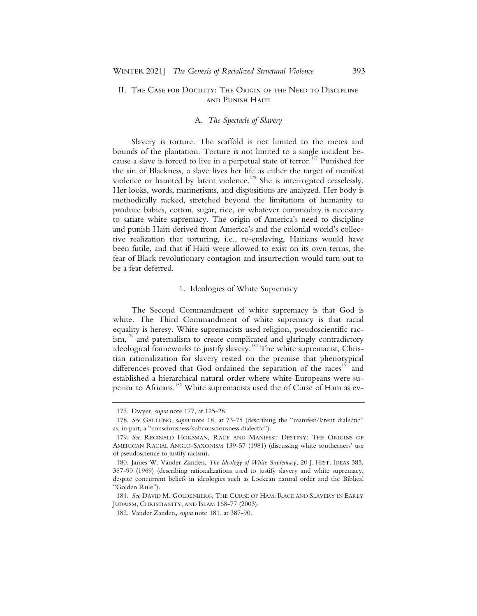#### II. The Case for Docility: The Origin of the Need to Discipline and Punish Haiti

#### A*. The Spectacle of Slavery*

Slavery is torture. The scaffold is not limited to the metes and bounds of the plantation. Torture is not limited to a single incident because a slave is forced to live in a perpetual state of terror.<sup>177</sup> Punished for the sin of Blackness, a slave lives her life as either the target of manifest violence or haunted by latent violence.<sup>178</sup> She is interrogated ceaselessly. Her looks, words, mannerisms, and dispositions are analyzed. Her body is methodically racked, stretched beyond the limitations of humanity to produce babies, cotton, sugar, rice, or whatever commodity is necessary to satiate white supremacy. The origin of America's need to discipline and punish Haiti derived from America's and the colonial world's collective realization that torturing, i.e., re-enslaving, Haitians would have been futile, and that if Haiti were allowed to exist on its own terms, the fear of Black revolutionary contagion and insurrection would turn out to be a fear deferred.

#### 1. Ideologies of White Supremacy

The Second Commandment of white supremacy is that God is white. The Third Commandment of white supremacy is that racial equality is heresy. White supremacists used religion, pseudoscientific rac- $\lim_{n \to \infty}$  and paternalism to create complicated and glaringly contradictory ideological frameworks to justify slavery.<sup>180</sup> The white supremacist, Christian rationalization for slavery rested on the premise that phenotypical differences proved that God ordained the separation of the races<sup>181</sup> and established a hierarchical natural order where white Europeans were superior to Africans.<sup>182</sup> White supremacists used the of Curse of Ham as ev-

 <sup>177.</sup> Dwyer, *supra* note 177, at 125-28.

 <sup>178.</sup> *See* GALTUNG, *supra* note 18, at 73-75 (describing the "manifest/latent dialectic" as, in part, a "consciousness/subconsciousness dialectic").

<sup>179</sup>**.** *See* REGINALD HORSMAN, RACE AND MANIFEST DESTINY: THE ORIGINS OF AMERICAN RACIAL ANGLO-SAXONISM 139-57 (1981) (discussing white southerners' use of pseudoscience to justify racism).

 <sup>180.</sup> James W. Vander Zanden, *The Ideology of White Supremacy*, 20 J. HIST. IDEAS 385, 387-90 (1969) (describing rationalizations used to justify slavery and white supremacy, despite concurrent beliefs in ideologies such as Lockean natural order and the Biblical "Golden Rule").

 <sup>181.</sup> *See* DAVID M. GOLDENBERG, THE CURSE OF HAM: RACE AND SLAVERY IN EARLY JUDAISM, CHRISTIANITY, AND ISLAM 168-77 (2003).

 <sup>182.</sup> Vander Zanden**,** *supra* note 181, at 387-90.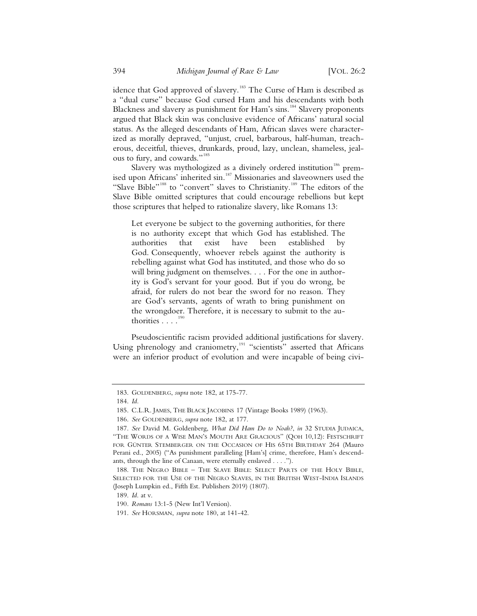idence that God approved of slavery.<sup>183</sup> The Curse of Ham is described as a "dual curse" because God cursed Ham and his descendants with both Blackness and slavery as punishment for Ham's sins.<sup>184</sup> Slavery proponents argued that Black skin was conclusive evidence of Africans' natural social status. As the alleged descendants of Ham, African slaves were characterized as morally depraved, "unjust, cruel, barbarous, half-human, treacherous, deceitful, thieves, drunkards, proud, lazy, unclean, shameless, jealous to fury, and cowards."<sup>185</sup>

Slavery was mythologized as a divinely ordered institution<sup>186</sup> premised upon Africans' inherited sin.<sup>187</sup> Missionaries and slaveowners used the "Slave Bible"<sup>188</sup> to "convert" slaves to Christianity.<sup>189</sup> The editors of the Slave Bible omitted scriptures that could encourage rebellions but kept those scriptures that helped to rationalize slavery, like Romans 13:

Let everyone be subject to the governing authorities, for there is no authority except that which God has established. The authorities that exist have been established by God. Consequently, whoever rebels against the authority is rebelling against what God has instituted, and those who do so will bring judgment on themselves. . . . For the one in authority is God's servant for your good. But if you do wrong, be afraid, for rulers do not bear the sword for no reason. They are God's servants, agents of wrath to bring punishment on the wrongdoer. Therefore, it is necessary to submit to the authorities  $\ldots$ <sup>190</sup>

Pseudoscientific racism provided additional justifications for slavery. Using phrenology and craniometry,<sup>191</sup> "scientists" asserted that Africans were an inferior product of evolution and were incapable of being civi-

189. *Id*. at v.

 <sup>183.</sup> GOLDENBERG, *supra* note 182, at 175-77.

 <sup>184.</sup> *Id.*

 <sup>185.</sup> C.L.R. JAMES, THE BLACK JACOBINS 17 (Vintage Books 1989) (1963).

 <sup>186.</sup> *See* GOLDENBERG, *supra* note 182, at 177.

 <sup>187.</sup> *See* David M. Goldenberg, *What Did Ham Do to Noah?*, *in* 32 STUDIA JUDAICA, "THE WORDS OF A WISE MAN'S MOUTH ARE GRACIOUS" (QOH 10,12): FESTSCHRIFT FOR GÜNTER STEMBERGER ON THE OCCASION OF HIS 65TH BIRTHDAY 264 (Mauro Perani ed., 2005) ("As punishment paralleling [Ham's] crime, therefore, Ham's descendants, through the line of Canaan, were eternally enslaved . . . .").

 <sup>188.</sup> THE NEGRO BIBLE – THE SLAVE BIBLE: SELECT PARTS OF THE HOLY BIBLE, SELECTED FOR THE USE OF THE NEGRO SLAVES, IN THE BRITISH WEST-INDIA ISLANDS (Joseph Lumpkin ed., Fifth Est. Publishers 2019) (1807).

<sup>190</sup>*. Romans* 13:1-5 (New Int'l Version).

 <sup>191.</sup> *See* HORSMAN, *supra* note 180, at 141-42.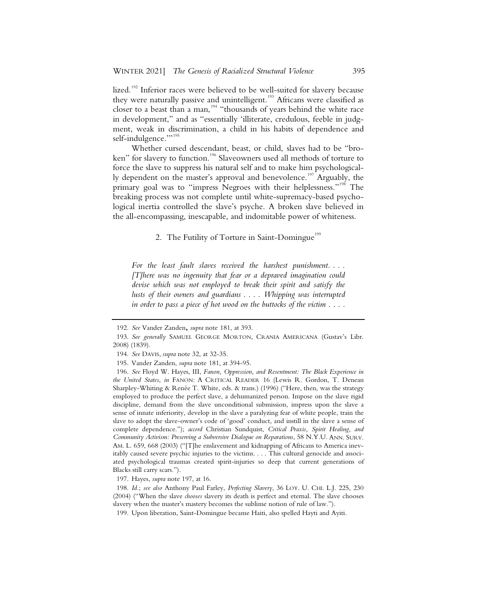lized.<sup>192</sup> Inferior races were believed to be well-suited for slavery because they were naturally passive and unintelligent.<sup>193</sup> Africans were classified as closer to a beast than a man,  $194$  "thousands of years behind the white race in development," and as "essentially 'illiterate, credulous, feeble in judgment, weak in discrimination, a child in his habits of dependence and self-indulgence."<sup>195</sup>

Whether cursed descendant, beast, or child, slaves had to be "broken" for slavery to function.<sup>196</sup> Slaveowners used all methods of torture to force the slave to suppress his natural self and to make him psychologically dependent on the master's approval and benevolence.<sup>197</sup> Arguably, the primary goal was to "impress Negroes with their helplessness."<sup>198</sup> The breaking process was not complete until white-supremacy-based psychological inertia controlled the slave's psyche. A broken slave believed in the all-encompassing, inescapable, and indomitable power of whiteness.

#### 2. The Futility of Torture in Saint-Domingue<sup>199</sup>

For the least fault slaves received the harshest punishment.... *[T]here was no ingenuity that fear or a depraved imagination could devise which was not employed to break their spirit and satisfy the lusts of their owners and guardians . . . . Whipping was interrupted in order to pass a piece of hot wood on the buttocks of the victim . . . .* 

 <sup>192.</sup> *See* Vander Zanden**,** *supra* note 181, at 393.

 <sup>193.</sup> *See generally* SAMUEL GEORGE MORTON, CRANIA AMERICANA (Gustav's Libr. 2008) (1839).

 <sup>194.</sup> *See* DAVIS, *supra* note 32, at 32-35.

 <sup>195.</sup> Vander Zanden, *supra* note 181, at 394-95.

 <sup>196.</sup> *See* Floyd W. Hayes, III, *Fanon, Oppression, and Resentment: The Black Experience in the United States*, *in* FANON: A CRITICAL READER 16 (Lewis R. Gordon, T. Denean Sharpley-Whiting & Renée T. White, eds. & trans.) (1996) ("Here, then, was the strategy employed to produce the perfect slave, a dehumanized person. Impose on the slave rigid discipline, demand from the slave unconditional submission, impress upon the slave a sense of innate inferiority, develop in the slave a paralyzing fear of white people, train the slave to adopt the slave-owner's code of 'good' conduct, and instill in the slave a sense of complete dependence."); *accord* Christian Sundquist, *Critical Praxis, Spirit Healing, and Community Activism: Preserving a Subversive Dialogue on Reparations*, 58 N.Y.U. ANN. SURV. AM. L. 659, 668 (2003) ("[T]he enslavement and kidnapping of Africans to America inevitably caused severe psychic injuries to the victims. . . . This cultural genocide and associated psychological traumas created spirit-injuries so deep that current generations of Blacks still carry scars.").

 <sup>197.</sup> Hayes, *supra* note 197, at 16.

 <sup>198.</sup> *Id.*; *see also* Anthony Paul Farley, *Perfecting Slavery*, 36 LOY. U. CHI. L.J. 225, 230 (2004) ("When the slave *chooses* slavery its death is perfect and eternal. The slave chooses slavery when the master's mastery becomes the sublime notion of rule of law.").

 <sup>199.</sup> Upon liberation, Saint-Domingue became Haiti, also spelled Hayti and Ayiti.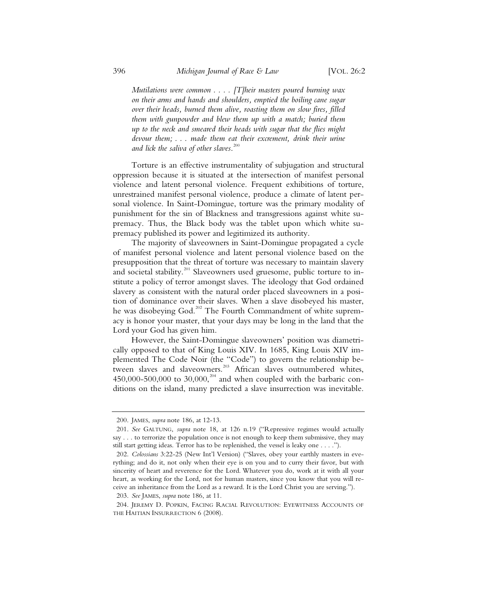*Mutilations were common . . . . [T]heir masters poured burning wax on their arms and hands and shoulders, emptied the boiling cane sugar over their heads, burned them alive, roasting them on slow fires, filled them with gunpowder and blew them up with a match; buried them up to the neck and smeared their heads with sugar that the flies might devour them; . . . made them eat their excrement, drink their urine and lick the saliva of other slaves*. 200

Torture is an effective instrumentality of subjugation and structural oppression because it is situated at the intersection of manifest personal violence and latent personal violence. Frequent exhibitions of torture, unrestrained manifest personal violence, produce a climate of latent personal violence. In Saint-Domingue, torture was the primary modality of punishment for the sin of Blackness and transgressions against white supremacy. Thus, the Black body was the tablet upon which white supremacy published its power and legitimized its authority.

The majority of slaveowners in Saint-Domingue propagated a cycle of manifest personal violence and latent personal violence based on the presupposition that the threat of torture was necessary to maintain slavery and societal stability.<sup>201</sup> Slaveowners used gruesome, public torture to institute a policy of terror amongst slaves. The ideology that God ordained slavery as consistent with the natural order placed slaveowners in a position of dominance over their slaves. When a slave disobeyed his master, he was disobeying God.<sup>202</sup> The Fourth Commandment of white supremacy is honor your master, that your days may be long in the land that the Lord your God has given him.

However, the Saint-Domingue slaveowners' position was diametrically opposed to that of King Louis XIV. In 1685, King Louis XIV implemented The Code Noir (the "Code") to govern the relationship between slaves and slaveowners.<sup>203</sup> African slaves outnumbered whites, 450,000-500,000 to 30,000,<sup>204</sup> and when coupled with the barbaric conditions on the island, many predicted a slave insurrection was inevitable.

<sup>200.</sup> JAMES, *supra* note 186, at 12-13.

<sup>201.</sup> *See* GALTUNG, *supra* note 18, at 126 n.19 ("Repressive regimes would actually say . . . to terrorize the population once is not enough to keep them submissive, they may still start getting ideas. Terror has to be replenished, the vessel is leaky one . . . .").

<sup>202.</sup> *Colossians* 3:22-25 (New Int'l Version) ("Slaves, obey your earthly masters in everything; and do it, not only when their eye is on you and to curry their favor, but with sincerity of heart and reverence for the Lord. Whatever you do, work at it with all your heart, as working for the Lord, not for human masters, since you know that you will receive an inheritance from the Lord as a reward. It is the Lord Christ you are serving.").

<sup>203.</sup> *See* JAMES, *supra* note 186, at 11.

<sup>204.</sup> JEREMY D. POPKIN, FACING RACIAL REVOLUTION: EYEWITNESS ACCOUNTS OF THE HAITIAN INSURRECTION 6 (2008).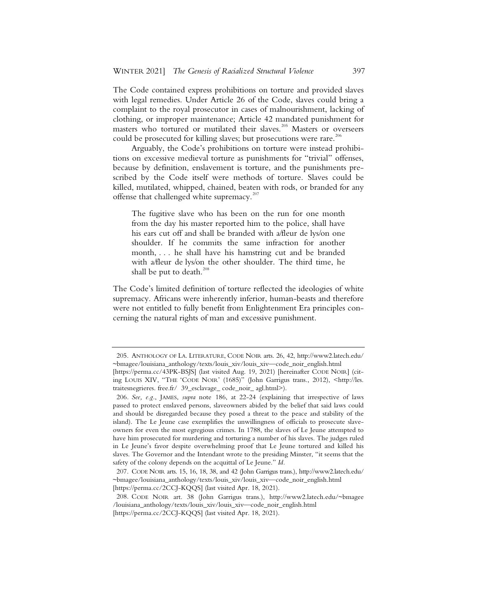The Code contained express prohibitions on torture and provided slaves with legal remedies. Under Article 26 of the Code, slaves could bring a complaint to the royal prosecutor in cases of malnourishment, lacking of clothing, or improper maintenance; Article 42 mandated punishment for masters who tortured or mutilated their slaves.<sup>205</sup> Masters or overseers could be prosecuted for killing slaves; but prosecutions were rare.<sup>206</sup>

Arguably, the Code's prohibitions on torture were instead prohibitions on excessive medieval torture as punishments for "trivial" offenses, because by definition, enslavement is torture, and the punishments prescribed by the Code itself were methods of torture. Slaves could be killed, mutilated, whipped, chained, beaten with rods, or branded for any offense that challenged white supremacy.<sup>207</sup>

The fugitive slave who has been on the run for one month from the day his master reported him to the police, shall have his ears cut off and shall be branded with a/fleur de lys/on one shoulder. If he commits the same infraction for another month, . . . he shall have his hamstring cut and be branded with a/fleur de lys/on the other shoulder. The third time, he shall be put to death. $^{208}$ 

The Code's limited definition of torture reflected the ideologies of white supremacy. Africans were inherently inferior, human-beasts and therefore were not entitled to fully benefit from Enlightenment Era principles concerning the natural rights of man and excessive punishment.

<sup>205.</sup> ANTHOLOGY OF LA. LITERATURE, CODE NOIR arts. 26, 42, http://www2.latech.edu/ ~bmagee/louisiana\_anthology/texts/louis\_xiv/louis\_xiv—code\_noir\_english.html

<sup>[</sup>https://perma.cc/43PK-BSJS] (last visited Aug. 19, 2021) [hereinafter CODE NOIR] (citing LOUIS XIV, "THE 'CODE NOIR' (1685)" (John Garrigus trans., 2012), <http://les. traitesnegrieres. free.fr/ 39\_esclavage\_ code\_noir\_ agl.html>).

<sup>206</sup>*. See, e.g.*, JAMES, *supra* note 186, at 22-24 (explaining that irrespective of laws passed to protect enslaved persons, slaveowners abided by the belief that said laws could and should be disregarded because they posed a threat to the peace and stability of the island). The Le Jeune case exemplifies the unwillingness of officials to prosecute slaveowners for even the most egregious crimes. In 1788, the slaves of Le Jeune attempted to have him prosecuted for murdering and torturing a number of his slaves. The judges ruled in Le Jeune's favor despite overwhelming proof that Le Jeune tortured and killed his slaves. The Governor and the Intendant wrote to the presiding Minster, "it seems that the safety of the colony depends on the acquittal of Le Jeune." *Id.*

<sup>207.</sup> CODE NOIR arts. 15, 16, 18, 38, and 42 (John Garrigus trans.), http://www2.latech.edu/ ~bmagee/louisiana\_anthology/texts/louis\_xiv/louis\_xiv—code\_noir\_english.html [https://perma.cc/2CCJ-KQQS] (last visited Apr. 18, 2021).

<sup>208.</sup> CODE NOIR art. 38 (John Garrigus trans.), http://www2.latech.edu/~bmagee /louisiana\_anthology/texts/louis\_xiv/louis\_xiv—code\_noir\_english.html [https://perma.cc/2CCJ-KQQS] (last visited Apr. 18, 2021).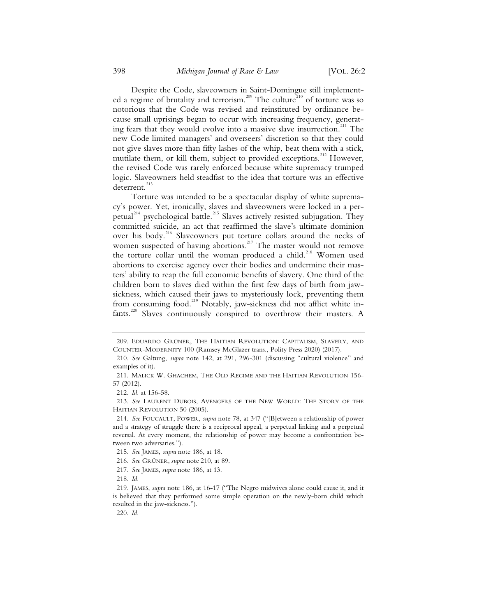Despite the Code, slaveowners in Saint-Domingue still implemented a regime of brutality and terrorism.<sup>209</sup> The culture<sup>210</sup> of torture was so notorious that the Code was revised and reinstituted by ordinance because small uprisings began to occur with increasing frequency, generating fears that they would evolve into a massive slave insurrection. $^{211}$  The new Code limited managers' and overseers' discretion so that they could not give slaves more than fifty lashes of the whip, beat them with a stick, mutilate them, or kill them, subject to provided exceptions.<sup>212</sup> However, the revised Code was rarely enforced because white supremacy trumped logic. Slaveowners held steadfast to the idea that torture was an effective deterrent.<sup>213</sup>

Torture was intended to be a spectacular display of white supremacy's power. Yet, ironically, slaves and slaveowners were locked in a perpetual<sup>214</sup> psychological battle.<sup>215</sup> Slaves actively resisted subjugation. They committed suicide, an act that reaffirmed the slave's ultimate dominion over his body.<sup>216</sup> Slaveowners put torture collars around the necks of women suspected of having abortions.<sup>217</sup> The master would not remove the torture collar until the woman produced a child.<sup>218</sup> Women used abortions to exercise agency over their bodies and undermine their masters' ability to reap the full economic benefits of slavery. One third of the children born to slaves died within the first few days of birth from jawsickness, which caused their jaws to mysteriously lock, preventing them from consuming food.<sup>219</sup> Notably, jaw-sickness did not afflict white infants.<sup>220</sup> Slaves continuously conspired to overthrow their masters. A

218. *Id.*

220. *Id.*

<sup>209.</sup> EDUARDO GRÜNER, THE HAITIAN REVOLUTION: CAPITALISM, SLAVERY, AND COUNTER-MODERNITY 100 (Ramsey McGlazer trans., Polity Press 2020) (2017).

<sup>210.</sup> *See* Galtung, *supra* note 142, at 291, 296-301 (discussing "cultural violence" and examples of it).

<sup>211.</sup> MALICK W. GHACHEM, THE OLD REGIME AND THE HAITIAN REVOLUTION 156- 57 (2012).

<sup>212.</sup> *Id.* at 156-58.

<sup>213.</sup> *See* LAURENT DUBOIS, AVENGERS OF THE NEW WORLD: THE STORY OF THE HAITIAN REVOLUTION 50 (2005).

<sup>214.</sup> *See* FOUCAULT, POWER, *supra* note 78, at 347 ("[B]etween a relationship of power and a strategy of struggle there is a reciprocal appeal, a perpetual linking and a perpetual reversal. At every moment, the relationship of power may become a confrontation between two adversaries.").

<sup>215.</sup> *See* JAMES, *supra* note 186, at 18.

<sup>216.</sup> *See* GRÜNER, *supra* note 210, at 89.

<sup>217.</sup> *See* JAMES, *supra* note 186, at 13.

<sup>219.</sup> JAMES, *supra* note 186, at 16-17 ("The Negro midwives alone could cause it, and it is believed that they performed some simple operation on the newly-born child which resulted in the jaw-sickness.").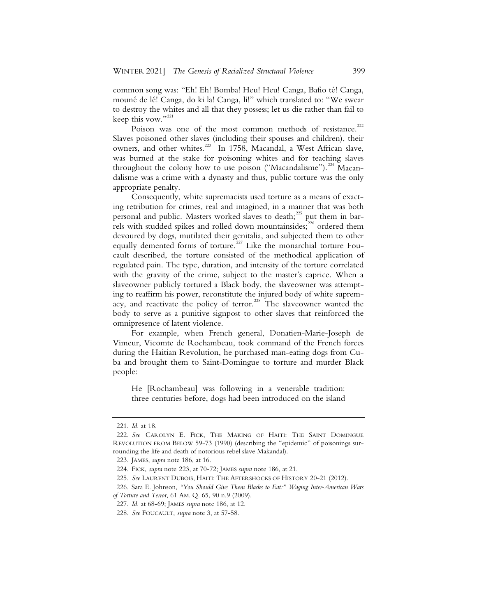common song was: "Eh! Eh! Bomba! Heu! Heu! Canga, Bafio té! Canga, mouné de lé! Canga, do ki la! Canga, li!" which translated to: "We swear to destroy the whites and all that they possess; let us die rather than fail to keep this vow."<sup>221</sup>

Poison was one of the most common methods of resistance.<sup>222</sup> Slaves poisoned other slaves (including their spouses and children), their owners, and other whites.<sup>223</sup> In 1758, Macandal, a West African slave, was burned at the stake for poisoning whites and for teaching slaves throughout the colony how to use poison ("Macandalisme").<sup>224</sup> Macandalisme was a crime with a dynasty and thus, public torture was the only appropriate penalty.

Consequently, white supremacists used torture as a means of exacting retribution for crimes, real and imagined, in a manner that was both personal and public. Masters worked slaves to death;<sup>225</sup> put them in barrels with studded spikes and rolled down mountainsides;<sup>226</sup> ordered them devoured by dogs, mutilated their genitalia, and subjected them to other equally demented forms of torture.<sup>227</sup> Like the monarchial torture Foucault described, the torture consisted of the methodical application of regulated pain. The type, duration, and intensity of the torture correlated with the gravity of the crime, subject to the master's caprice. When a slaveowner publicly tortured a Black body, the slaveowner was attempting to reaffirm his power, reconstitute the injured body of white supremacy, and reactivate the policy of terror.<sup>228</sup> The slaveowner wanted the body to serve as a punitive signpost to other slaves that reinforced the omnipresence of latent violence.

For example, when French general, Donatien-Marie-Joseph de Vimeur, Vicomte de Rochambeau, took command of the French forces during the Haitian Revolution, he purchased man-eating dogs from Cuba and brought them to Saint-Domingue to torture and murder Black people:

He [Rochambeau] was following in a venerable tradition: three centuries before, dogs had been introduced on the island

<sup>221.</sup> *Id.* at 18.

<sup>222.</sup> *See* CAROLYN E. FICK, THE MAKING OF HAITI: THE SAINT DOMINGUE REVOLUTION FROM BELOW 59-73 (1990) (describing the "epidemic" of poisonings surrounding the life and death of notorious rebel slave Makandal).

<sup>223.</sup> JAMES, *supra* note 186, at 16.

<sup>224.</sup> FICK, *supra* note 223, at 70-72; JAMES *supra* note 186, at 21.

<sup>225.</sup> *See* LAURENT DUBOIS, HAITI: THE AFTERSHOCKS OF HISTORY 20-21 (2012).

<sup>226.</sup> Sara E. Johnson, *"You Should Give Them Blacks to Eat:" Waging Inter-American Wars of Torture and Terror*, 61 AM. Q. 65, 90 n.9 (2009).

<sup>227.</sup> *Id.* at 68-69; JAMES *supra* note 186, at 12.

<sup>228.</sup> *See* FOUCAULT, *supra* note 3, at 57-58.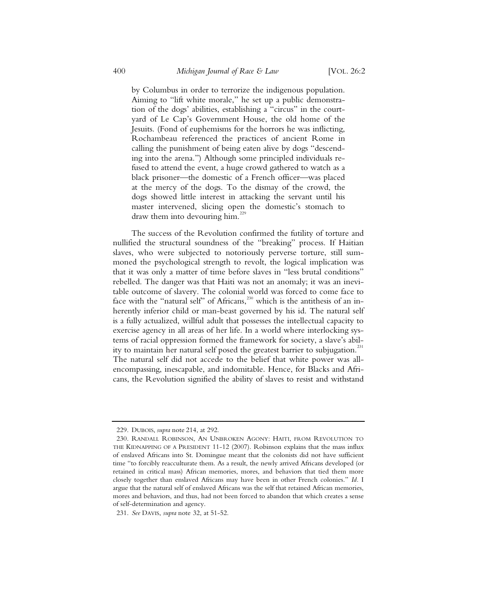by Columbus in order to terrorize the indigenous population. Aiming to "lift white morale," he set up a public demonstration of the dogs' abilities, establishing a "circus" in the courtyard of Le Cap's Government House, the old home of the Jesuits. (Fond of euphemisms for the horrors he was inflicting, Rochambeau referenced the practices of ancient Rome in calling the punishment of being eaten alive by dogs "descending into the arena.") Although some principled individuals refused to attend the event, a huge crowd gathered to watch as a black prisoner—the domestic of a French officer—was placed at the mercy of the dogs. To the dismay of the crowd, the dogs showed little interest in attacking the servant until his master intervened, slicing open the domestic's stomach to draw them into devouring him.<sup>229</sup>

The success of the Revolution confirmed the futility of torture and nullified the structural soundness of the "breaking" process. If Haitian slaves, who were subjected to notoriously perverse torture, still summoned the psychological strength to revolt, the logical implication was that it was only a matter of time before slaves in "less brutal conditions" rebelled. The danger was that Haiti was not an anomaly; it was an inevitable outcome of slavery. The colonial world was forced to come face to face with the "natural self" of Africans,<sup>230</sup> which is the antithesis of an inherently inferior child or man-beast governed by his id. The natural self is a fully actualized, willful adult that possesses the intellectual capacity to exercise agency in all areas of her life. In a world where interlocking systems of racial oppression formed the framework for society, a slave's ability to maintain her natural self posed the greatest barrier to subjugation.<sup>231</sup> The natural self did not accede to the belief that white power was allencompassing, inescapable, and indomitable. Hence, for Blacks and Africans, the Revolution signified the ability of slaves to resist and withstand

<sup>229.</sup> DUBOIS, *supra* note 214, at 292.

<sup>230.</sup> RANDALL ROBINSON, AN UNBROKEN AGONY: HAITI, FROM REVOLUTION TO THE KIDNAPPING OF A PRESIDENT 11-12 (2007). Robinson explains that the mass influx of enslaved Africans into St. Domingue meant that the colonists did not have sufficient time "to forcibly reacculturate them. As a result, the newly arrived Africans developed (or retained in critical mass) African memories, mores, and behaviors that tied them more closely together than enslaved Africans may have been in other French colonies." *Id.* I argue that the natural self of enslaved Africans was the self that retained African memories, mores and behaviors, and thus, had not been forced to abandon that which creates a sense of self-determination and agency.

<sup>231.</sup> *See* DAVIS, *supra* note 32, at 51-52.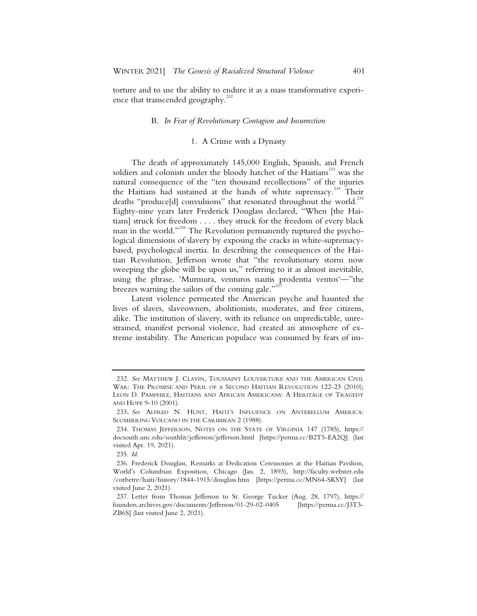torture and to use the ability to endure it as a mass transformative experience that transcended geography.<sup>232</sup>

#### B*. In Fear of Revolutionary Contagion and Insurrection*

#### 1. A Crime with a Dynasty

The death of approximately 145,000 English, Spanish, and French soldiers and colonists under the bloody hatchet of the Haitians<sup>233</sup> was the natural consequence of the "ten thousand recollections" of the injuries the Haitians had sustained at the hands of white supremacy.<sup>234</sup> Their deaths "produce[d] convulsions" that resonated throughout the world.<sup>235</sup> Eighty-nine years later Frederick Douglass declared, "When [the Haitians] struck for freedom . . . . they struck for the freedom of every black man in the world."<sup>236</sup> The Revolution permanently ruptured the psychological dimensions of slavery by exposing the cracks in white-supremacybased, psychological inertia. In describing the consequences of the Haitian Revolution, Jefferson wrote that "the revolutionary storm now sweeping the globe will be upon us," referring to it as almost inevitable, using the phrase, 'Murmura, venturos nautis prodentia ventos'—"the breezes warning the sailors of the coming gale."<sup>237</sup>

Latent violence permeated the American psyche and haunted the lives of slaves, slaveowners, abolitionists, moderates, and free citizens, alike. The institution of slavery, with its reliance on unpredictable, unrestrained, manifest personal violence, had created an atmosphere of extreme instability. The American populace was consumed by fears of im-

 <sup>232.</sup> *See* MATTHEW J. CLAVIN, TOUSSAINT LOUVERTURE AND THE AMERICAN CIVIL WAR: THE PROMISE AND PERIL OF A SECOND HAITIAN REVOLUTION 122-23 (2010); LEON D. PAMPHILE, HAITIANS AND AFRICAN AMERICANS: A HERITAGE OF TRAGEDY AND HOPE 9-10 (2001).

<sup>233</sup>**.** *See* ALFRED N. HUNT, HAITI'S INFLUENCE ON ANTEBELLUM AMERICA: SLUMBERING VOLCANO IN THE CARIBBEAN 2 (1988).

 <sup>234.</sup> THOMAS JEFFERSON, NOTES ON THE STATE OF VIRGINIA 147 (1785), https:// docsouth.unc.edu/southlit/jefferson/jefferson.html [https://perma.cc/B2T5-EA2Q] (last visited Apr. 19, 2021).

 <sup>235.</sup> *Id.*

 <sup>236.</sup> Frederick Douglass, Remarks at Dedication Ceremonies at the Haitian Pavilion, World's Columbian Exposition, Chicago (Jan. 2, 1893), http://faculty.webster.edu /corbetre/haiti/history/1844-1915/douglass.htm [https://perma.cc/MN64-SKSY] (last visited June 2, 2021).

 <sup>237.</sup> Letter from Thomas Jefferson to St. George Tucker (Aug. 28, 1797), https:// founders.archives.gov/documents/Jefferson/01-29-02-0405 [https://perma.cc/J3T3- ZB6S] (last visited June 2, 2021).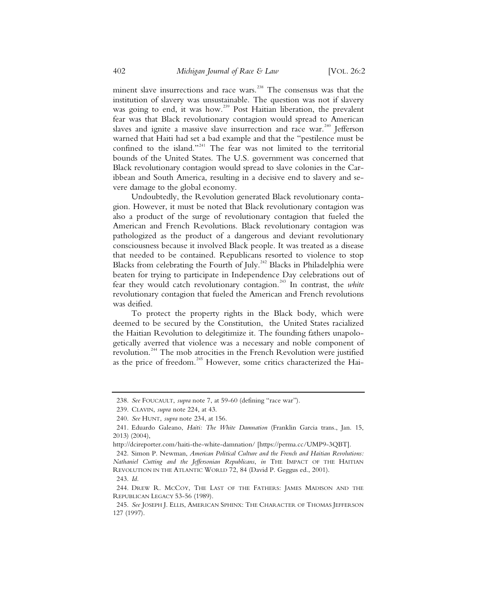minent slave insurrections and race wars.<sup>238</sup> The consensus was that the institution of slavery was unsustainable. The question was not if slavery was going to end, it was how.<sup>239</sup> Post Haitian liberation, the prevalent fear was that Black revolutionary contagion would spread to American slaves and ignite a massive slave insurrection and race war.<sup>240</sup> Jefferson warned that Haiti had set a bad example and that the "pestilence must be confined to the island."<sup>241</sup> The fear was not limited to the territorial bounds of the United States. The U.S. government was concerned that Black revolutionary contagion would spread to slave colonies in the Caribbean and South America, resulting in a decisive end to slavery and severe damage to the global economy.

Undoubtedly, the Revolution generated Black revolutionary contagion. However, it must be noted that Black revolutionary contagion was also a product of the surge of revolutionary contagion that fueled the American and French Revolutions. Black revolutionary contagion was pathologized as the product of a dangerous and deviant revolutionary consciousness because it involved Black people. It was treated as a disease that needed to be contained. Republicans resorted to violence to stop Blacks from celebrating the Fourth of July.<sup>242</sup> Blacks in Philadelphia were beaten for trying to participate in Independence Day celebrations out of fear they would catch revolutionary contagion.243 In contrast, the *white* revolutionary contagion that fueled the American and French revolutions was deified.

To protect the property rights in the Black body, which were deemed to be secured by the Constitution, the United States racialized the Haitian Revolution to delegitimize it. The founding fathers unapologetically averred that violence was a necessary and noble component of revolution.244 The mob atrocities in the French Revolution were justified as the price of freedom.<sup>245</sup> However, some critics characterized the Hai-

 <sup>238.</sup> *See* FOUCAULT, *supra* note 7, at 59-60 (defining "race war").

 <sup>239.</sup> CLAVIN, *supra* note 224, at 43.

 <sup>240.</sup> *See* HUNT, *supra* note 234, at 156.

 <sup>241.</sup> Eduardo Galeano, *Haiti: The White Damnation* (Franklin Garcia trans., Jan. 15, 2013) (2004),

http://dcireporter.com/haiti-the-white-damnation/ [https://perma.cc/UMP9-3QBT].

 <sup>242.</sup> Simon P. Newman, *American Political Culture and the French and Haitian Revolutions: Nathaniel Cutting and the Jeffersonian Republicans*, *in* THE IMPACT OF THE HAITIAN REVOLUTION IN THE ATLANTIC WORLD 72, 84 (David P. Geggus ed., 2001).

 <sup>243.</sup> *Id.*

 <sup>244.</sup> DREW R. MCCOY, THE LAST OF THE FATHERS: JAMES MADISON AND THE REPUBLICAN LEGACY 53-56 (1989).

 <sup>245.</sup> *See* JOSEPH J. ELLIS, AMERICAN SPHINX: THE CHARACTER OF THOMAS JEFFERSON 127 (1997).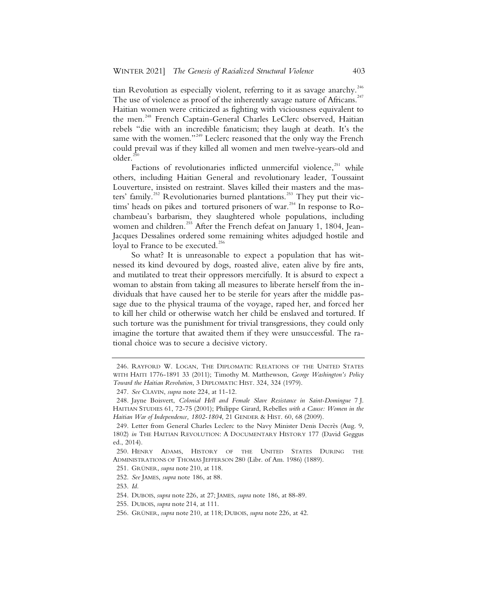tian Revolution as especially violent, referring to it as savage anarchy.<sup>246</sup> The use of violence as proof of the inherently savage nature of Africans.<sup>247</sup> Haitian women were criticized as fighting with viciousness equivalent to the men.<sup>248</sup> French Captain-General Charles LeClerc observed, Haitian rebels "die with an incredible fanaticism; they laugh at death. It's the same with the women."<sup>249</sup> Leclerc reasoned that the only way the French could prevail was if they killed all women and men twelve-years-old and older.

Factions of revolutionaries inflicted unmerciful violence, $^{251}$  while others, including Haitian General and revolutionary leader, Toussaint Louverture, insisted on restraint. Slaves killed their masters and the masters' family.<sup>252</sup> Revolutionaries burned plantations.<sup>253</sup> They put their victims' heads on pikes and tortured prisoners of war.<sup>254</sup> In response to Rochambeau's barbarism, they slaughtered whole populations, including women and children.<sup>255</sup> After the French defeat on January 1, 1804, Jean-Jacques Dessalines ordered some remaining whites adjudged hostile and loyal to France to be executed.<sup>256</sup>

So what? It is unreasonable to expect a population that has witnessed its kind devoured by dogs, roasted alive, eaten alive by fire ants, and mutilated to treat their oppressors mercifully. It is absurd to expect a woman to abstain from taking all measures to liberate herself from the individuals that have caused her to be sterile for years after the middle passage due to the physical trauma of the voyage, raped her, and forced her to kill her child or otherwise watch her child be enslaved and tortured. If such torture was the punishment for trivial transgressions, they could only imagine the torture that awaited them if they were unsuccessful. The rational choice was to secure a decisive victory.

<sup>246.</sup> RAYFORD W. LOGAN, THE DIPLOMATIC RELATIONS OF THE UNITED STATES WITH HAITI 1776-1891 33 (2011); Timothy M. Matthewson, *George Washington's Policy Toward the Haitian Revolution*, 3 DIPLOMATIC HIST. 324, 324 (1979).

<sup>247.</sup> *See* CLAVIN, *supra* note 224, at 11-12.

<sup>248.</sup> Jayne Boisvert, *Colonial Hell and Female Slave Resistance in Saint-Domingue* 7 J. HAITIAN STUDIES 61, 72-75 (2001); Philippe Girard, Rebelles *with a Cause: Women in the Haitian War of Independence, 1802-1804*, 21 GENDER & HIST. 60, 68 (2009).

<sup>249.</sup> Letter from General Charles Leclerc to the Navy Minister Denis Decrès (Aug. 9, 1802) *in* THE HAITIAN REVOLUTION:ADOCUMENTARY HISTORY 177 (David Geggus ed., 2014).

<sup>250.</sup> HENRY ADAMS, HISTORY OF THE UNITED STATES DURING THE ADMINISTRATIONS OF THOMAS JEFFERSON 280 (Libr. of Am. 1986) (1889).

<sup>251.</sup> GRÜNER, *supra* note 210, at 118.

<sup>252.</sup> *See* JAMES, *supra* note 186, at 88.

<sup>253.</sup> *Id.*

<sup>254.</sup> DUBOIS, *supra* note 226, at 27; JAMES, *supra* note 186, at 88-89.

<sup>255.</sup> DUBOIS, *supra* note 214, at 111.

<sup>256.</sup> GRÜNER, *supra* note 210, at 118; DUBOIS, *supra* note 226, at 42.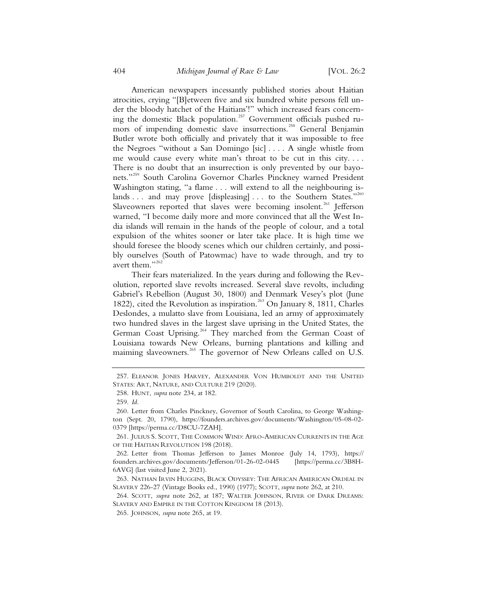American newspapers incessantly published stories about Haitian atrocities, crying "[B]etween five and six hundred white persons fell under the bloody hatchet of the Haitians'!" which increased fears concerning the domestic Black population.<sup>257</sup> Government officials pushed rumors of impending domestic slave insurrections.<sup>258</sup> General Benjamin Butler wrote both officially and privately that it was impossible to free the Negroes "without a San Domingo [sic] . . . . A single whistle from me would cause every white man's throat to be cut in this city. . . . There is no doubt that an insurrection is only prevented by our bayonets."259 South Carolina Governor Charles Pinckney warned President Washington stating, "a flame . . . will extend to all the neighbouring islands . . . and may prove [displeasing] . . . to the Southern States."260 Slaveowners reported that slaves were becoming insolent.<sup>261</sup> Jefferson warned, "I become daily more and more convinced that all the West India islands will remain in the hands of the people of colour, and a total expulsion of the whites sooner or later take place. It is high time we should foresee the bloody scenes which our children certainly, and possibly ourselves (South of Patowmac) have to wade through, and try to avert them."<sup>262</sup>

Their fears materialized. In the years during and following the Revolution, reported slave revolts increased. Several slave revolts, including Gabriel's Rebellion (August 30, 1800) and Denmark Vesey's plot (June 1822), cited the Revolution as inspiration.<sup>263</sup> On January 8, 1811, Charles Deslondes, a mulatto slave from Louisiana, led an army of approximately two hundred slaves in the largest slave uprising in the United States, the German Coast Uprising.<sup>264</sup> They marched from the German Coast of Louisiana towards New Orleans, burning plantations and killing and maiming slaveowners.<sup>265</sup> The governor of New Orleans called on U.S.

 264. SCOTT, *supra* note 262, at 187; WALTER JOHNSON, RIVER OF DARK DREAMS: SLAVERY AND EMPIRE IN THE COTTON KINGDOM 18 (2013).

 <sup>257.</sup> ELEANOR JONES HARVEY, ALEXANDER VON HUMBOLDT AND THE UNITED STATES: ART, NATURE, AND CULTURE 219 (2020).

 <sup>258.</sup> HUNT, *supra* note 234, at 182.

 <sup>259.</sup> *Id.*

 <sup>260.</sup> Letter from Charles Pinckney, Governor of South Carolina, to George Washington (Sept. 20, 1790), https://founders.archives.gov/documents/Washington/05-08-02- 0379 [https://perma.cc/D8CU-7ZAH].

 <sup>261.</sup> JULIUS S. SCOTT, THE COMMON WIND: AFRO-AMERICAN CURRENTS IN THE AGE OF THE HAITIAN REVOLUTION 198 (2018).

 <sup>262.</sup> Letter from Thomas Jefferson to James Monroe (July 14, 1793), https:// founders.archives.gov/documents/Jefferson/01-26-02-0445 [https://perma.cc/3B8H-6AVG] (last visited June 2, 2021).

 <sup>263.</sup> NATHAN IRVIN HUGGINS, BLACK ODYSSEY: THE AFRICAN AMERICAN ORDEAL IN SLAVERY 226-27 (Vintage Books ed., 1990) (1977); SCOTT, *supra* note 262, at 210.

 <sup>265.</sup> JOHNSON, *supra* note 265, at 19.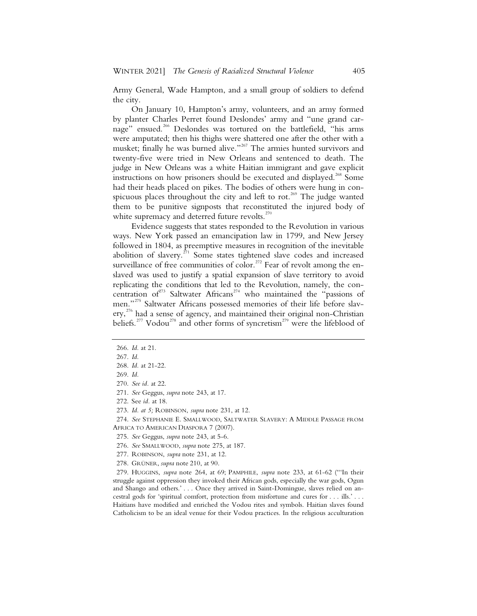Army General, Wade Hampton, and a small group of soldiers to defend the city.

On January 10, Hampton's army, volunteers, and an army formed by planter Charles Perret found Deslondes' army and "une grand carnage" ensued.<sup>266</sup> Deslondes was tortured on the battlefield, "his arms were amputated; then his thighs were shattered one after the other with a musket; finally he was burned alive."<sup>267</sup> The armies hunted survivors and twenty-five were tried in New Orleans and sentenced to death. The judge in New Orleans was a white Haitian immigrant and gave explicit instructions on how prisoners should be executed and displayed.<sup>268</sup> Some had their heads placed on pikes. The bodies of others were hung in conspicuous places throughout the city and left to rot.<sup>269</sup> The judge wanted them to be punitive signposts that reconstituted the injured body of white supremacy and deterred future revolts.<sup>270</sup>

Evidence suggests that states responded to the Revolution in various ways. New York passed an emancipation law in 1799, and New Jersey followed in 1804, as preemptive measures in recognition of the inevitable abolition of slavery.<sup> $271$ </sup> Some states tightened slave codes and increased surveillance of free communities of color.<sup>272</sup> Fear of revolt among the enslaved was used to justify a spatial expansion of slave territory to avoid replicating the conditions that led to the Revolution, namely, the concentration of<sup>273</sup> Saltwater Africans<sup>274</sup> who maintained the "passions of men."<sup>275</sup> Saltwater Africans possessed memories of their life before slavery,<sup>276</sup> had a sense of agency, and maintained their original non-Christian beliefs.<sup>277</sup> Vodou<sup>278</sup> and other forms of syncretism<sup>279</sup> were the lifeblood of

 274. *See* STEPHANIE E. SMALLWOOD, SALTWATER SLAVERY: A MIDDLE PASSAGE FROM AFRICA TO AMERICAN DIASPORA 7 (2007).

278. GRÜNER, *supra* note 210, at 90.

 279. HUGGINS, *supra* note 264, at 69; PAMPHILE, *supra* note 233, at 61-62 ("'In their struggle against oppression they invoked their African gods, especially the war gods, Ogun and Shango and others.' . . . Once they arrived in Saint-Domingue, slaves relied on ancestral gods for 'spiritual comfort, protection from misfortune and cures for . . . ills.' . . . Haitians have modified and enriched the Vodou rites and symbols. Haitian slaves found Catholicism to be an ideal venue for their Vodou practices. In the religious acculturation

 <sup>266.</sup> *Id.* at 21.

 <sup>267.</sup> *Id.* 268. *Id.* at 21-22.

 <sup>269.</sup> *Id.*

 <sup>270.</sup> *See id.* at 22.

 <sup>271.</sup> *See* Geggus, *supra* note 243, at 17.

 <sup>272.</sup> See *id.* at 18.

 <sup>273.</sup> *Id. at 5;* ROBINSON, *supra* note 231, at 12.

 <sup>275.</sup> *See* Geggus, *supra* note 243, at 5-6.

 <sup>276.</sup> *See* SMALLWOOD, *supra* note 275, at 187.

 <sup>277.</sup> ROBINSON, *supra* note 231, at 12.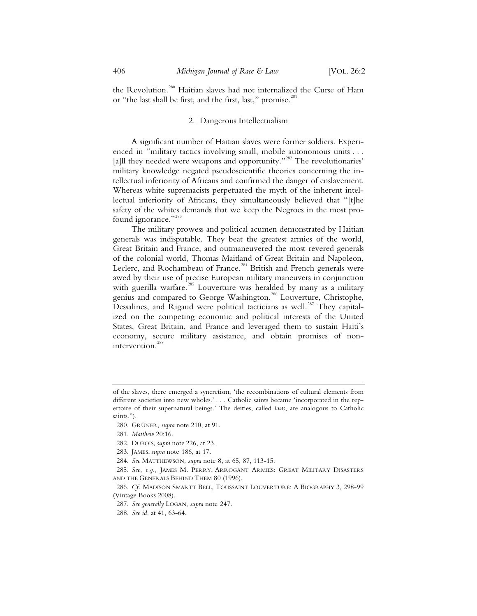the Revolution.<sup>280</sup> Haitian slaves had not internalized the Curse of Ham or "the last shall be first, and the first, last," promise.<sup>28</sup>

#### 2. Dangerous Intellectualism

A significant number of Haitian slaves were former soldiers. Experienced in "military tactics involving small, mobile autonomous units . . . [a]ll they needed were weapons and opportunity."<sup>282</sup> The revolutionaries' military knowledge negated pseudoscientific theories concerning the intellectual inferiority of Africans and confirmed the danger of enslavement. Whereas white supremacists perpetuated the myth of the inherent intellectual inferiority of Africans, they simultaneously believed that "[t]he safety of the whites demands that we keep the Negroes in the most profound ignorance."<sup>283</sup>

The military prowess and political acumen demonstrated by Haitian generals was indisputable. They beat the greatest armies of the world, Great Britain and France, and outmaneuvered the most revered generals of the colonial world, Thomas Maitland of Great Britain and Napoleon, Leclerc, and Rochambeau of France.<sup>284</sup> British and French generals were awed by their use of precise European military maneuvers in conjunction with guerilla warfare.<sup>285</sup> Louverture was heralded by many as a military genius and compared to George Washington.<sup>286</sup> Louverture, Christophe, Dessalines, and Rigaud were political tacticians as well.<sup>287</sup> They capitalized on the competing economic and political interests of the United States, Great Britain, and France and leveraged them to sustain Haiti's economy, secure military assistance, and obtain promises of nonintervention.<sup>288</sup>

283. JAMES, *supra* note 186, at 17.

of the slaves, there emerged a syncretism, 'the recombinations of cultural elements from different societies into new wholes.' . . . Catholic saints became 'incorporated in the repertoire of their supernatural beings.' The deities, called *lwas*, are analogous to Catholic saints.").

 <sup>280.</sup> GRÜNER, *supra* note 210, at 91.

 <sup>281.</sup> *Matthew* 20:16.

 <sup>282.</sup> DUBOIS, *supra* note 226, at 23.

 <sup>284.</sup> *See* MATTHEWSON*, supra* note 8, at 65, 87, 113-15.

 <sup>285.</sup> *See, e.g.,* JAMES M. PERRY, ARROGANT ARMIES: GREAT MILITARY DISASTERS AND THE GENERALS BEHIND THEM 80 (1996).

 <sup>286.</sup> *Cf.* MADISON SMARTT BELL, TOUSSAINT LOUVERTURE: A BIOGRAPHY 3, 298-99 (Vintage Books 2008).

 <sup>287.</sup> *See generally* LOGAN, *supra* note 247.

 <sup>288.</sup> *See id.* at 41, 63-64.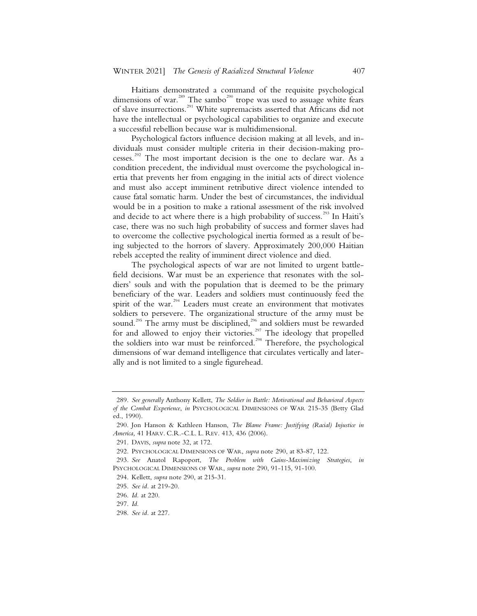Haitians demonstrated a command of the requisite psychological dimensions of war.<sup>289</sup> The sambo<sup>290</sup> trope was used to assuage white fears of slave insurrections.<sup>291</sup> White supremacists asserted that Africans did not have the intellectual or psychological capabilities to organize and execute a successful rebellion because war is multidimensional.

Psychological factors influence decision making at all levels, and individuals must consider multiple criteria in their decision-making processes.<sup>292</sup> The most important decision is the one to declare war. As a condition precedent, the individual must overcome the psychological inertia that prevents her from engaging in the initial acts of direct violence and must also accept imminent retributive direct violence intended to cause fatal somatic harm. Under the best of circumstances, the individual would be in a position to make a rational assessment of the risk involved and decide to act where there is a high probability of success.<sup>293</sup> In Haiti's case, there was no such high probability of success and former slaves had to overcome the collective psychological inertia formed as a result of being subjected to the horrors of slavery. Approximately 200,000 Haitian rebels accepted the reality of imminent direct violence and died.

The psychological aspects of war are not limited to urgent battlefield decisions. War must be an experience that resonates with the soldiers' souls and with the population that is deemed to be the primary beneficiary of the war. Leaders and soldiers must continuously feed the spirit of the war. $294}$  Leaders must create an environment that motivates soldiers to persevere. The organizational structure of the army must be sound.<sup>295</sup> The army must be disciplined,<sup>296</sup> and soldiers must be rewarded for and allowed to enjoy their victories.<sup>297</sup> The ideology that propelled the soldiers into war must be reinforced.<sup>298</sup> Therefore, the psychological dimensions of war demand intelligence that circulates vertically and laterally and is not limited to a single figurehead.

<sup>289.</sup> *See generally* Anthony Kellett, *The Soldier in Battle: Motivational and Behavioral Aspects of the Combat Experience*, *in* PSYCHOLOGICAL DIMENSIONS OF WAR 215-35 (Betty Glad ed., 1990).

<sup>290.</sup> Jon Hanson & Kathleen Hanson, *The Blame Frame: Justifying (Racial) Injustice in America,* 41 HARV. C.R.-C.L. L. REV. 413, 436 (2006).

<sup>291.</sup> DAVIS, *supra* note 32, at 172.

<sup>292.</sup> PSYCHOLOGICAL DIMENSIONS OF WAR, *supra* note 290, at 83-87, 122.

<sup>293</sup>*. See* Anatol Rapoport, *The Problem with Gains-Maximizing Strategies*, *in*  PSYCHOLOGICAL DIMENSIONS OF WAR, *supra* note 290, 91-115, 91-100.

<sup>294.</sup> Kellett, *supra* note 290, at 215-31.

<sup>295.</sup> *See id.* at 219-20.

<sup>296.</sup> *Id.* at 220.

<sup>297.</sup> *Id.*

<sup>298.</sup> *See id.* at 227.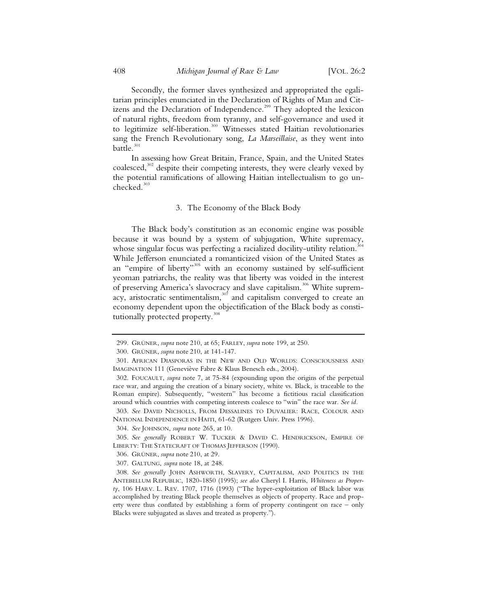Secondly, the former slaves synthesized and appropriated the egalitarian principles enunciated in the Declaration of Rights of Man and Citizens and the Declaration of Independence.<sup>299</sup> They adopted the lexicon of natural rights, freedom from tyranny, and self-governance and used it to legitimize self-liberation.<sup>300</sup> Witnesses stated Haitian revolutionaries sang the French Revolutionary song, *La Marseillaise*, as they went into battle. $301$ 

In assessing how Great Britain, France, Spain, and the United States coalesced,<sup>302</sup> despite their competing interests, they were clearly vexed by the potential ramifications of allowing Haitian intellectualism to go un $checked.<sup>303</sup>$ 

### 3. The Economy of the Black Body

The Black body's constitution as an economic engine was possible because it was bound by a system of subjugation, White supremacy, whose singular focus was perfecting a racialized docility-utility relation.<sup>31</sup> While Jefferson enunciated a romanticized vision of the United States as an "empire of liberty"<sup>305</sup> with an economy sustained by self-sufficient yeoman patriarchs, the reality was that liberty was voided in the interest of preserving America's slavocracy and slave capitalism.<sup>306</sup> White supremacy, aristocratic sentimentalism, $307$  and capitalism converged to create an economy dependent upon the objectification of the Black body as constitutionally protected property.<sup>308</sup>

<sup>299.</sup> GRÜNER, *supra* note 210, at 65; FARLEY, *supra* note 199, at 250.

<sup>300.</sup> GRÜNER, *supra* note 210, at 141-147.

<sup>301.</sup> AFRICAN DIASPORAS IN THE NEW AND OLD WORLDS: CONSCIOUSNESS AND IMAGINATION 111 (Geneviève Fabre & Klaus Benesch eds., 2004).

<sup>302.</sup> FOUCAULT, *supra* note 7, at 75-84 (expounding upon the origins of the perpetual race war, and arguing the creation of a binary society, white vs. Black, is traceable to the Roman empire). Subsequently, "western" has become a fictitious racial classification around which countries with competing interests coalesce to "win" the race war. *See id.*

<sup>303.</sup> *See* DAVID NICHOLLS, FROM DESSALINES TO DUVALIER: RACE, COLOUR AND NATIONAL INDEPENDENCE IN HAITI, 61-62 (Rutgers Univ. Press 1996).

<sup>304.</sup> *See* JOHNSON, *supra* note 265, at 10.

<sup>305.</sup> *See generally* ROBERT W. TUCKER & DAVID C. HENDRICKSON, EMPIRE OF LIBERTY: THE STATECRAFT OF THOMAS JEFFERSON (1990).

<sup>306.</sup> GRÜNER, *supra* note 210, at 29.

<sup>307.</sup> GALTUNG, *supra* note 18, at 248.

<sup>308.</sup> *See generally* JOHN ASHWORTH, SLAVERY, CAPITALISM, AND POLITICS IN THE ANTEBELLUM REPUBLIC, 1820-1850 (1995); *see also* Cheryl I. Harris, *Whiteness as Property*, 106 HARV. L. REV. 1707, 1716 (1993) ("The hyper-exploitation of Black labor was accomplished by treating Black people themselves as objects of property. Race and property were thus conflated by establishing a form of property contingent on race – only Blacks were subjugated as slaves and treated as property.").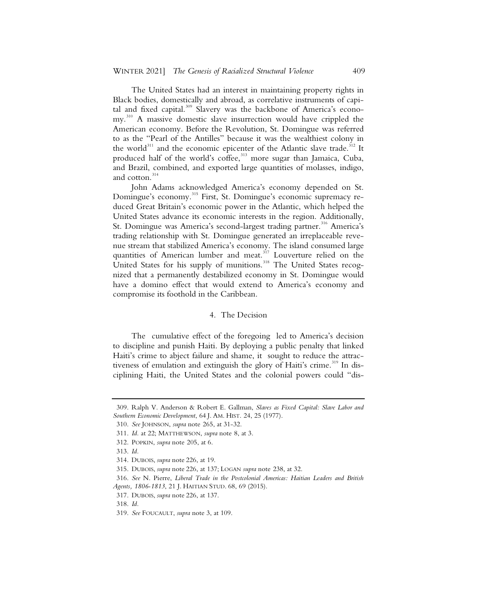The United States had an interest in maintaining property rights in Black bodies, domestically and abroad, as correlative instruments of capital and fixed capital.<sup>309</sup> Slavery was the backbone of America's economy.<sup>310</sup> A massive domestic slave insurrection would have crippled the American economy. Before the Revolution, St. Domingue was referred to as the "Pearl of the Antilles" because it was the wealthiest colony in the world<sup>311</sup> and the economic epicenter of the Atlantic slave trade.<sup>312</sup> It produced half of the world's coffee,<sup>313</sup> more sugar than Jamaica, Cuba, and Brazil, combined, and exported large quantities of molasses, indigo, and cotton.<sup>314</sup>

John Adams acknowledged America's economy depended on St. Domingue's economy.<sup>315</sup> First, St. Domingue's economic supremacy reduced Great Britain's economic power in the Atlantic, which helped the United States advance its economic interests in the region. Additionally, St. Domingue was America's second-largest trading partner.<sup>316</sup> America's trading relationship with St. Domingue generated an irreplaceable revenue stream that stabilized America's economy. The island consumed large quantities of American lumber and meat.<sup>317</sup> Louverture relied on the United States for his supply of munitions.<sup>318</sup> The United States recognized that a permanently destabilized economy in St. Domingue would have a domino effect that would extend to America's economy and compromise its foothold in the Caribbean.

#### 4. The Decision

The cumulative effect of the foregoing led to America's decision to discipline and punish Haiti. By deploying a public penalty that linked Haiti's crime to abject failure and shame, it sought to reduce the attractiveness of emulation and extinguish the glory of Haiti's crime.<sup>319</sup> In disciplining Haiti, the United States and the colonial powers could "dis-

<sup>309.</sup> Ralph V. Anderson & Robert E. Gallman, *Slaves as Fixed Capital: Slave Labor and Southern Economic Development*, 64 J. AM. HIST. 24, 25 (1977).

<sup>310.</sup> *See* JOHNSON, *supra* note 265, at 31-32.

<sup>311.</sup> *Id.* at 22; MATTHEWSON, *supra* note 8, at 3.

<sup>312.</sup> POPKIN, *supra* note 205, at 6.

<sup>313.</sup> *Id.*

<sup>314.</sup> DUBOIS, *supra* note 226, at 19.

<sup>315.</sup> DUBOIS, *supra* note 226, at 137; LOGAN *supra* note 238, at 32.

<sup>316.</sup> *See* N. Pierre, *Liberal Trade in the Postcolonial Americas: Haitian Leaders and British Agents, 1806-1813*, 21 J. HAITIAN STUD. 68, 69 (2015).

<sup>317.</sup> DUBOIS, *supra* note 226, at 137.

<sup>318.</sup> *Id.*

<sup>319.</sup> *See* FOUCAULT, *supra* note 3, at 109.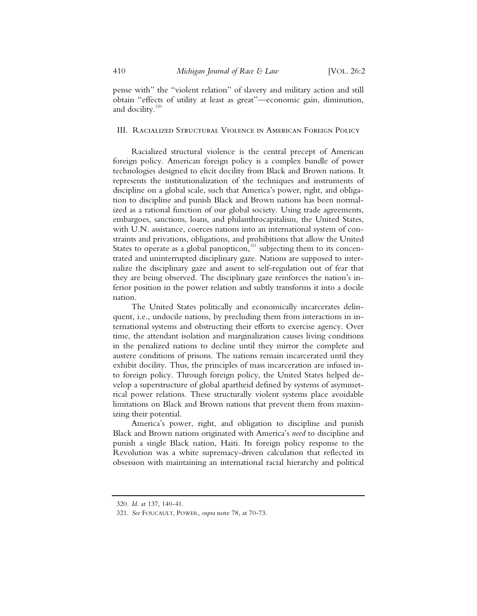pense with" the "violent relation" of slavery and military action and still obtain "effects of utility at least as great"—economic gain, diminution, and docility.<sup>320</sup>

#### III. Racialized Structural Violence in American Foreign Policy

Racialized structural violence is the central precept of American foreign policy. American foreign policy is a complex bundle of power technologies designed to elicit docility from Black and Brown nations. It represents the institutionalization of the techniques and instruments of discipline on a global scale, such that America's power, right, and obligation to discipline and punish Black and Brown nations has been normalized as a rational function of our global society. Using trade agreements, embargoes, sanctions, loans, and philanthrocapitalism, the United States, with U.N. assistance, coerces nations into an international system of constraints and privations, obligations, and prohibitions that allow the United States to operate as a global panopticon, $321$  subjecting them to its concentrated and uninterrupted disciplinary gaze. Nations are supposed to internalize the disciplinary gaze and assent to self-regulation out of fear that they are being observed. The disciplinary gaze reinforces the nation's inferior position in the power relation and subtly transforms it into a docile nation.

The United States politically and economically incarcerates delinquent, i.e., undocile nations, by precluding them from interactions in international systems and obstructing their efforts to exercise agency. Over time, the attendant isolation and marginalization causes living conditions in the penalized nations to decline until they mirror the complete and austere conditions of prisons. The nations remain incarcerated until they exhibit docility. Thus, the principles of mass incarceration are infused into foreign policy. Through foreign policy, the United States helped develop a superstructure of global apartheid defined by systems of asymmetrical power relations. These structurally violent systems place avoidable limitations on Black and Brown nations that prevent them from maximizing their potential.

America's power, right, and obligation to discipline and punish Black and Brown nations originated with America's *need* to discipline and punish a single Black nation, Haiti. Its foreign policy response to the Revolution was a white supremacy-driven calculation that reflected its obsession with maintaining an international racial hierarchy and political

<sup>320.</sup> *Id.* at 137, 140-41.

<sup>321.</sup> *See* FOUCAULT, POWER, *supra* note 78, at 70-73.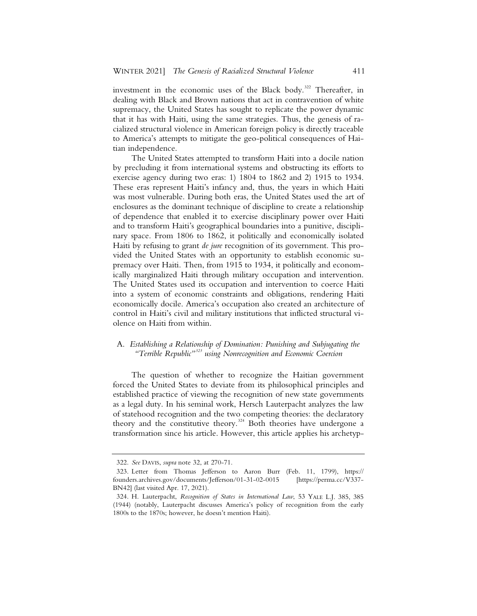investment in the economic uses of the Black body.<sup>322</sup> Thereafter, in dealing with Black and Brown nations that act in contravention of white supremacy, the United States has sought to replicate the power dynamic that it has with Haiti, using the same strategies. Thus, the genesis of racialized structural violence in American foreign policy is directly traceable to America's attempts to mitigate the geo-political consequences of Haitian independence.

The United States attempted to transform Haiti into a docile nation by precluding it from international systems and obstructing its efforts to exercise agency during two eras: 1) 1804 to 1862 and 2) 1915 to 1934. These eras represent Haiti's infancy and, thus, the years in which Haiti was most vulnerable. During both eras, the United States used the art of enclosures as the dominant technique of discipline to create a relationship of dependence that enabled it to exercise disciplinary power over Haiti and to transform Haiti's geographical boundaries into a punitive, disciplinary space. From 1806 to 1862, it politically and economically isolated Haiti by refusing to grant *de jure* recognition of its government. This provided the United States with an opportunity to establish economic supremacy over Haiti. Then, from 1915 to 1934, it politically and economically marginalized Haiti through military occupation and intervention. The United States used its occupation and intervention to coerce Haiti into a system of economic constraints and obligations, rendering Haiti economically docile. America's occupation also created an architecture of control in Haiti's civil and military institutions that inflicted structural violence on Haiti from within.

# A. *Establishing a Relationship of Domination: Punishing and Subjugating the "Terrible Republic"<sup>323</sup> using Nonrecognition and Economic Coercion*

The question of whether to recognize the Haitian government forced the United States to deviate from its philosophical principles and established practice of viewing the recognition of new state governments as a legal duty. In his seminal work, Hersch Lauterpacht analyzes the law of statehood recognition and the two competing theories: the declaratory theory and the constitutive theory.<sup>324</sup> Both theories have undergone a transformation since his article. However, this article applies his archetyp-

<sup>322.</sup> *See* DAVIS, *supra* note 32, at 270-71.

<sup>323.</sup> Letter from Thomas Jefferson to Aaron Burr (Feb. 11, 1799), https:// founders.archives.gov/documents/Jefferson/01-31-02-0015 [https://perma.cc/V337- BN42] (last visited Apr. 17, 2021).

<sup>324.</sup> H. Lauterpacht, *Recognition of States in International Law*, 53 YALE L.J. 385, 385 (1944) (notably, Lauterpacht discusses America's policy of recognition from the early 1800s to the 1870s; however, he doesn't mention Haiti).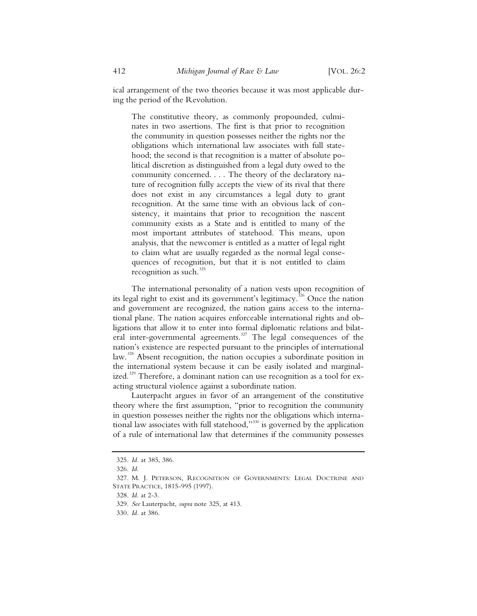ical arrangement of the two theories because it was most applicable during the period of the Revolution.

The constitutive theory, as commonly propounded, culminates in two assertions. The first is that prior to recognition the community in question possesses neither the rights nor the obligations which international law associates with full statehood; the second is that recognition is a matter of absolute political discretion as distinguished from a legal duty owed to the community concerned. . . . The theory of the declaratory nature of recognition fully accepts the view of its rival that there does not exist in any circumstances a legal duty to grant recognition. At the same time with an obvious lack of consistency, it maintains that prior to recognition the nascent community exists as a State and is entitled to many of the most important attributes of statehood. This means, upon analysis, that the newcomer is entitled as a matter of legal right to claim what are usually regarded as the normal legal consequences of recognition, but that it is not entitled to claim recognition as such.<sup>325</sup>

The international personality of a nation vests upon recognition of its legal right to exist and its government's legitimacy.<sup>326</sup> Once the nation and government are recognized, the nation gains access to the international plane. The nation acquires enforceable international rights and obligations that allow it to enter into formal diplomatic relations and bilateral inter-governmental agreements.<sup>327</sup> The legal consequences of the nation's existence are respected pursuant to the principles of international law.<sup>328</sup> Absent recognition, the nation occupies a subordinate position in the international system because it can be easily isolated and marginalized.<sup>329</sup> Therefore, a dominant nation can use recognition as a tool for exacting structural violence against a subordinate nation.

Lauterpacht argues in favor of an arrangement of the constitutive theory where the first assumption, "prior to recognition the community in question possesses neither the rights nor the obligations which international law associates with full statehood,"<sup>330</sup> is governed by the application of a rule of international law that determines if the community possesses

<sup>325.</sup> *Id.* at 385, 386.

<sup>326.</sup> *Id.*

<sup>327.</sup> M. J. PETERSON, RECOGNITION OF GOVERNMENTS: LEGAL DOCTRINE AND STATE PRACTICE, 1815-995 (1997).

<sup>328.</sup> *Id.* at 2-3.

<sup>329.</sup> *See* Lauterpacht, *supra* note 325, at 413.

<sup>330.</sup> *Id.* at 386.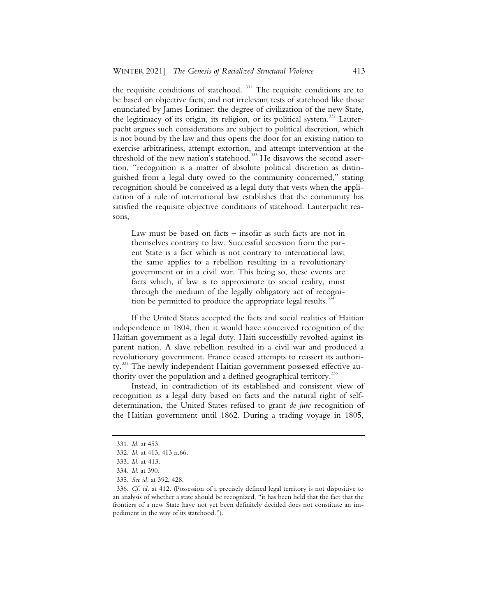the requisite conditions of statehood.<sup>331</sup> The requisite conditions are to be based on objective facts, and not irrelevant tests of statehood like those enunciated by James Lorimer: the degree of civilization of the new State, the legitimacy of its origin, its religion, or its political system.<sup>332</sup> Lauterpacht argues such considerations are subject to political discretion, which is not bound by the law and thus opens the door for an existing nation to exercise arbitrariness, attempt extortion, and attempt intervention at the threshold of the new nation's statehood.<sup>333</sup> He disavows the second assertion, "recognition is a matter of absolute political discretion as distinguished from a legal duty owed to the community concerned," stating recognition should be conceived as a legal duty that vests when the application of a rule of international law establishes that the community has satisfied the requisite objective conditions of statehood. Lauterpacht reasons,

Law must be based on facts – insofar as such facts are not in themselves contrary to law. Successful secession from the parent State is a fact which is not contrary to international law; the same applies to a rebellion resulting in a revolutionary government or in a civil war. This being so, these events are facts which, if law is to approximate to social reality, must through the medium of the legally obligatory act of recognition be permitted to produce the appropriate legal results.<sup>3</sup>

If the United States accepted the facts and social realities of Haitian independence in 1804, then it would have conceived recognition of the Haitian government as a legal duty. Haiti successfully revolted against its parent nation. A slave rebellion resulted in a civil war and produced a revolutionary government. France ceased attempts to reassert its authority.<sup>335</sup> The newly independent Haitian government possessed effective authority over the population and a defined geographical territory.<sup>33</sup>

Instead, in contradiction of its established and consistent view of recognition as a legal duty based on facts and the natural right of selfdetermination, the United States refused to grant *de jure* recognition of the Haitian government until 1862. During a trading voyage in 1805,

335. *See id.* at 392, 428.

<sup>331.</sup> *Id.* at 453.

<sup>332.</sup> *Id.* at 413, 413 n.66.

<sup>333</sup>**.** *Id.* at 413.

<sup>334.</sup> *Id*. at 390.

<sup>336.</sup> *Cf. id.* at 412. (Possession of a precisely defined legal territory is not dispositive to an analysis of whether a state should be recognized, "it has been held that the fact that the frontiers of a new State have not yet been definitely decided does not constitute an impediment in the way of its statehood.").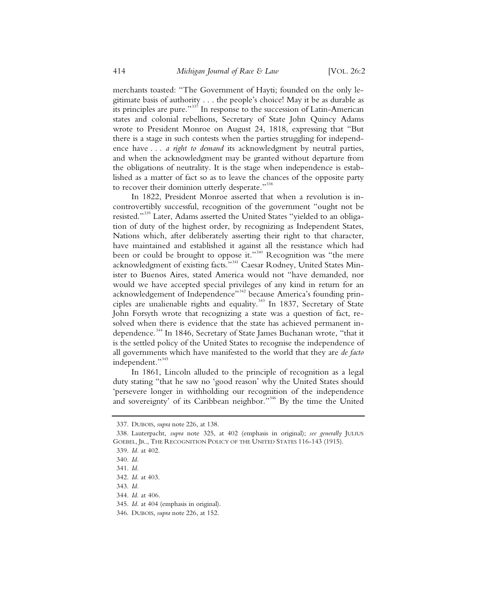merchants toasted: "The Government of Hayti; founded on the only legitimate basis of authority . . . the people's choice! May it be as durable as its principles are pure."337 In response to the succession of Latin-American states and colonial rebellions, Secretary of State John Quincy Adams wrote to President Monroe on August 24, 1818, expressing that "But there is a stage in such contests when the parties struggling for independence have . . . *a right to demand* its acknowledgment by neutral parties, and when the acknowledgment may be granted without departure from the obligations of neutrality. It is the stage when independence is established as a matter of fact so as to leave the chances of the opposite party to recover their dominion utterly desperate."<sup>338</sup>

In 1822, President Monroe asserted that when a revolution is incontrovertibly successful, recognition of the government "ought not be resisted."<sup>339</sup> Later, Adams asserted the United States "yielded to an obligation of duty of the highest order, by recognizing as Independent States, Nations which, after deliberately asserting their right to that character, have maintained and established it against all the resistance which had been or could be brought to oppose it."<sup>340</sup> Recognition was "the mere acknowledgment of existing facts."<sup>11</sup> Caesar Rodney, United States Minister to Buenos Aires, stated America would not "have demanded, nor would we have accepted special privileges of any kind in return for an acknowledgement of Independence"<sup>342</sup> because America's founding principles are unalienable rights and equality.<sup>343</sup> In 1837, Secretary of State John Forsyth wrote that recognizing a state was a question of fact, resolved when there is evidence that the state has achieved permanent independence.<sup>344</sup> In 1846, Secretary of State James Buchanan wrote, "that it is the settled policy of the United States to recognise the independence of all governments which have manifested to the world that they are *de facto* independent."<sup>345</sup>

In 1861, Lincoln alluded to the principle of recognition as a legal duty stating "that he saw no 'good reason' why the United States should 'persevere longer in withholding our recognition of the independence and sovereignty' of its Caribbean neighbor."<sup>346</sup> By the time the United

 <sup>337.</sup> DUBOIS, *supra* note 226, at 138.

 <sup>338.</sup> Lauterpacht, *supra* note 325, at 402 (emphasis in original); *see generally* JULIUS GOEBEL, JR., THE RECOGNITION POLICY OF THE UNITED STATES 116-143 (1915).

 <sup>339.</sup> *Id.* at 402.

 <sup>340.</sup> *Id.*

 <sup>341.</sup> *Id.*

 <sup>342.</sup> *Id.* at 403.

 <sup>343.</sup> *Id.*

 <sup>344.</sup> *Id.* at 406.

 <sup>345.</sup> *Id.* at 404 (emphasis in original).

 <sup>346.</sup> DUBOIS, *supra* note 226, at 152.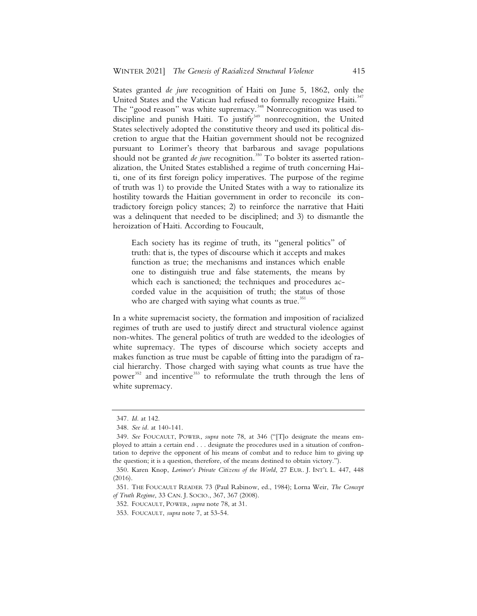States granted *de jure* recognition of Haiti on June 5, 1862, only the United States and the Vatican had refused to formally recognize Haiti.<sup>34</sup> The "good reason" was white supremacy.<sup>348</sup> Nonrecognition was used to discipline and punish Haiti. To justify<sup>349</sup> nonrecognition, the United States selectively adopted the constitutive theory and used its political discretion to argue that the Haitian government should not be recognized pursuant to Lorimer's theory that barbarous and savage populations should not be granted *de jure* recognition.<sup>350</sup> To bolster its asserted rationalization, the United States established a regime of truth concerning Haiti, one of its first foreign policy imperatives. The purpose of the regime of truth was 1) to provide the United States with a way to rationalize its hostility towards the Haitian government in order to reconcile its contradictory foreign policy stances; 2) to reinforce the narrative that Haiti was a delinquent that needed to be disciplined; and 3) to dismantle the heroization of Haiti. According to Foucault,

Each society has its regime of truth, its "general politics" of truth: that is, the types of discourse which it accepts and makes function as true; the mechanisms and instances which enable one to distinguish true and false statements, the means by which each is sanctioned; the techniques and procedures accorded value in the acquisition of truth; the status of those who are charged with saying what counts as true. $351$ 

In a white supremacist society, the formation and imposition of racialized regimes of truth are used to justify direct and structural violence against non-whites. The general politics of truth are wedded to the ideologies of white supremacy. The types of discourse which society accepts and makes function as true must be capable of fitting into the paradigm of racial hierarchy. Those charged with saying what counts as true have the power<sup>352</sup> and incentive<sup>353</sup> to reformulate the truth through the lens of white supremacy.

<sup>347.</sup> *Id.* at 142.

<sup>348.</sup> *See id.* at 140-141.

<sup>349.</sup> *See* FOUCAULT, POWER, *supra* note 78, at 346 ("[T]o designate the means employed to attain a certain end . . . designate the procedures used in a situation of confrontation to deprive the opponent of his means of combat and to reduce him to giving up the question; it is a question, therefore, of the means destined to obtain victory.").

<sup>350.</sup> Karen Knop, *Lorimer's Private Citizens of the World*, 27 EUR. J. INT'L L. 447, 448 (2016).

<sup>351.</sup> THE FOUCAULT READER 73 (Paul Rabinow, ed., 1984); Lorna Weir, *The Concept of Truth Regime*, 33 CAN. J. SOCIO., 367, 367 (2008).

<sup>352.</sup> FOUCAULT, POWER, *supra* note 78, at 31.

<sup>353.</sup> FOUCAULT, *supra* note 7, at 53-54.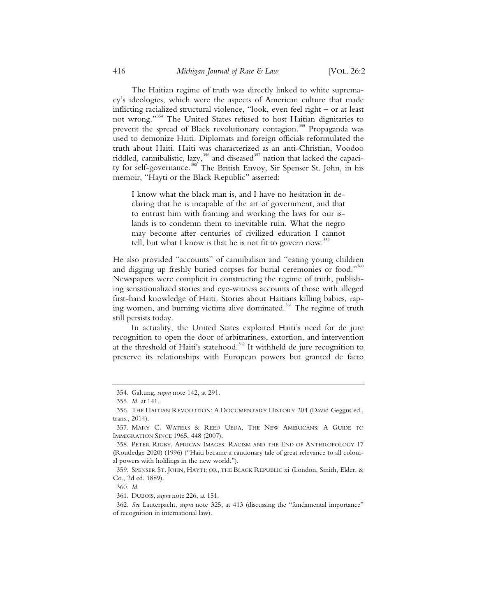The Haitian regime of truth was directly linked to white supremacy's ideologies, which were the aspects of American culture that made inflicting racialized structural violence, "look, even feel right – or at least not wrong."<sup>354</sup> The United States refused to host Haitian dignitaries to prevent the spread of Black revolutionary contagion.<sup>355</sup> Propaganda was used to demonize Haiti. Diplomats and foreign officials reformulated the truth about Haiti. Haiti was characterized as an anti-Christian, Voodoo riddled, cannibalistic, lazy,<sup>356</sup> and diseased<sup>357</sup> nation that lacked the capacity for self-governance.<sup>358</sup> The British Envoy, Sir Spenser St. John, in his memoir, "Hayti or the Black Republic" asserted:

I know what the black man is, and I have no hesitation in declaring that he is incapable of the art of government, and that to entrust him with framing and working the laws for our islands is to condemn them to inevitable ruin. What the negro may become after centuries of civilized education I cannot tell, but what I know is that he is not fit to govern now.<sup>359</sup>

He also provided "accounts" of cannibalism and "eating young children and digging up freshly buried corpses for burial ceremonies or food."<sup>360</sup> Newspapers were complicit in constructing the regime of truth, publishing sensationalized stories and eye-witness accounts of those with alleged first-hand knowledge of Haiti. Stories about Haitians killing babies, raping women, and burning victims alive dominated.<sup>361</sup> The regime of truth still persists today.

In actuality, the United States exploited Haiti's need for de jure recognition to open the door of arbitrariness, extortion, and intervention at the threshold of Haiti's statehood.<sup>362</sup> It withheld de jure recognition to preserve its relationships with European powers but granted de facto

360. *Id.*

361. DUBOIS, *supra* note 226, at 151.

<sup>354.</sup> Galtung, *supra* note 142, at 291.

<sup>355.</sup> *Id.* at 141.

<sup>356.</sup> THE HAITIAN REVOLUTION:ADOCUMENTARY HISTORY 204 (David Geggus ed., trans., 2014).

<sup>357.</sup> MARY C. WATERS & REED UEDA, THE NEW AMERICANS: A GUIDE TO IMMIGRATION SINCE 1965, 448 (2007).

<sup>358.</sup> PETER RIGBY, AFRICAN IMAGES: RACISM AND THE END OF ANTHROPOLOGY 17 (Routledge 2020) (1996) ("Haiti became a cautionary tale of great relevance to all colonial powers with holdings in the new world.").

<sup>359.</sup> SPENSER ST. JOHN, HAYTI; OR, THE BLACK REPUBLIC xi (London, Smith, Elder, & Co., 2d ed. 1889).

<sup>362.</sup> *See* Lauterpacht, *supra* note 325, at 413 (discussing the "fundamental importance" of recognition in international law).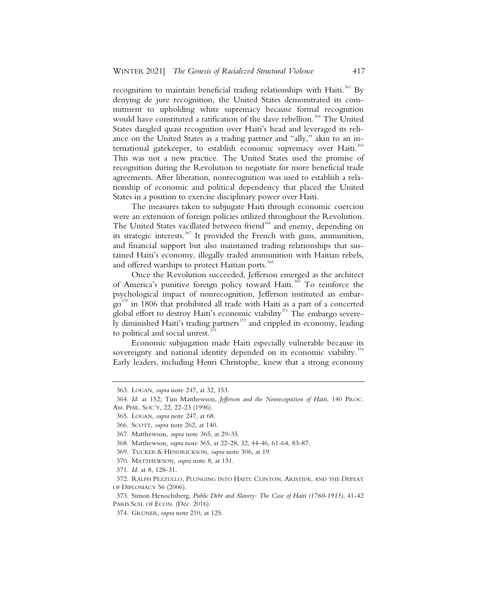recognition to maintain beneficial trading relationships with Haiti.<sup>363</sup> By denying de jure recognition, the United States demonstrated its commitment to upholding white supremacy because formal recognition would have constituted a ratification of the slave rebellion.<sup>364</sup> The United States dangled quasi recognition over Haiti's head and leveraged its reliance on the United States as a trading partner and "ally," akin to an international gatekeeper, to establish economic supremacy over Haiti.<sup>365</sup> This was not a new practice. The United States used the promise of recognition during the Revolution to negotiate for more beneficial trade agreements. After liberation, nonrecognition was used to establish a relationship of economic and political dependency that placed the United States in a position to exercise disciplinary power over Haiti.

The measures taken to subjugate Haiti through economic coercion were an extension of foreign policies utilized throughout the Revolution. The United States vacillated between friend<sup>366</sup> and enemy, depending on its strategic interests.<sup>367</sup> It provided the French with guns, ammunition, and financial support but also maintained trading relationships that sustained Haiti's economy, illegally traded ammunition with Haitian rebels, and offered warships to protect Haitian ports.<sup>368</sup>

Once the Revolution succeeded, Jefferson emerged as the architect of America's punitive foreign policy toward Haiti.<sup>369</sup> To reinforce the psychological impact of nonrecognition, Jefferson instituted an embar- $\rm g$ <sup>370</sup> in 1806 that prohibited all trade with Haiti as a part of a concerted global effort to destroy Haiti's economic viability $371$  The embargo severely diminished Haiti's trading partners<sup>372</sup> and crippled its economy, leading to political and social unrest.

Economic subjugation made Haiti especially vulnerable because its sovereignty and national identity depended on its economic viability.<sup> $374$ </sup> Early leaders, including Henri Christophe, knew that a strong economy

<sup>363.</sup> LOGAN, *supra* note 247, at 32, 153.

<sup>364.</sup> *Id.* at 152; Tim Matthewson, *Jefferson and the Nonrecognition of Haiti*, 140 PROC. AM. PHIL. SOC'Y, 22, 22-23 (1996).

<sup>365.</sup> LOGAN, *supra* note 247, at 68.

<sup>366.</sup> SCOTT, *supra* note 262, at 140.

<sup>367.</sup> Matthewson, *supra* note 365, at 29-35.

<sup>368.</sup> Matthewson, *supra* note 365, at 22-28, 32, 44-46, 61-64, 83-87.

<sup>369.</sup> TUCKER & HENDRICKSON, *supra* note 306, at 19.

<sup>370.</sup> MATTHEWSON, *supra* note 8, at 131.

<sup>371.</sup> *Id.* at 8, 128-31.

<sup>372.</sup> RALPH PEZZULLO, PLUNGING INTO HAITI: CLINTON, ARISTIDE, AND THE DEFEAT OF DIPLOMACY 56 (2006).

<sup>373.</sup> Simon Henochsberg, *Public Debt and Slavery: The Case of Haiti (1760-1915)*, 41-42 PARIS SCH. OF ECON. (Dec. 2016).

<sup>374.</sup> GRÜNER, *supra* note 210, at 125.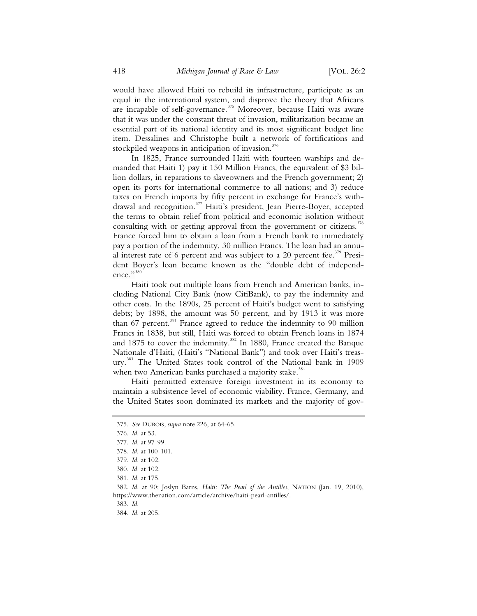would have allowed Haiti to rebuild its infrastructure, participate as an equal in the international system, and disprove the theory that Africans are incapable of self-governance.<sup>375</sup> Moreover, because Haiti was aware that it was under the constant threat of invasion, militarization became an essential part of its national identity and its most significant budget line item. Dessalines and Christophe built a network of fortifications and stockpiled weapons in anticipation of invasion.<sup>376</sup>

In 1825, France surrounded Haiti with fourteen warships and demanded that Haiti 1) pay it 150 Million Francs, the equivalent of \$3 billion dollars, in reparations to slaveowners and the French government; 2) open its ports for international commerce to all nations; and 3) reduce taxes on French imports by fifty percent in exchange for France's withdrawal and recognition.<sup>377</sup> Haiti's president, Jean Pierre-Boyer, accepted the terms to obtain relief from political and economic isolation without consulting with or getting approval from the government or citizens.<sup>378</sup> France forced him to obtain a loan from a French bank to immediately pay a portion of the indemnity, 30 million Francs. The loan had an annual interest rate of 6 percent and was subject to a 20 percent fee.<sup>379</sup> President Boyer's loan became known as the "double debt of independence."380

Haiti took out multiple loans from French and American banks, including National City Bank (now CitiBank), to pay the indemnity and other costs. In the 1890s, 25 percent of Haiti's budget went to satisfying debts; by 1898, the amount was 50 percent, and by 1913 it was more than 67 percent.<sup>381</sup> France agreed to reduce the indemnity to 90 million Francs in 1838, but still, Haiti was forced to obtain French loans in 1874 and 1875 to cover the indemnity.<sup>382</sup> In 1880, France created the Banque Nationale d'Haiti, (Haiti's "National Bank") and took over Haiti's treasury.<sup>383</sup> The United States took control of the National bank in 1909 when two American banks purchased a majority stake.<sup>384</sup>

Haiti permitted extensive foreign investment in its economy to maintain a subsistence level of economic viability. France, Germany, and the United States soon dominated its markets and the majority of gov-

383. *Id.*

<sup>375.</sup> *See* DUBOIS, *supra* note 226, at 64-65.

<sup>376.</sup> *Id.* at 53.

<sup>377.</sup> *Id.* at 97-99.

<sup>378</sup>*. Id*. at 100-101.

<sup>379.</sup> *Id.* at 102.

<sup>380.</sup> *Id.* at 102.

<sup>381.</sup> *Id.* at 175.

<sup>382.</sup> *Id.* at 90; Joslyn Barns, *Haiti: The Pearl of the Antilles*, NATION (Jan. 19, 2010), https://www.thenation.com/article/archive/haiti-pearl-antilles/.

<sup>384.</sup> *Id.* at 205.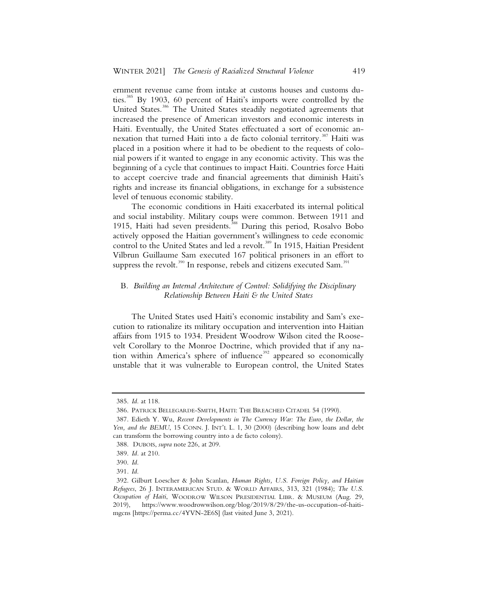ernment revenue came from intake at customs houses and customs duties.385 By 1903, 60 percent of Haiti's imports were controlled by the United States.<sup>386</sup> The United States steadily negotiated agreements that increased the presence of American investors and economic interests in Haiti. Eventually, the United States effectuated a sort of economic annexation that turned Haiti into a de facto colonial territory.<sup>387</sup> Haiti was placed in a position where it had to be obedient to the requests of colonial powers if it wanted to engage in any economic activity. This was the beginning of a cycle that continues to impact Haiti. Countries force Haiti to accept coercive trade and financial agreements that diminish Haiti's rights and increase its financial obligations, in exchange for a subsistence level of tenuous economic stability.

The economic conditions in Haiti exacerbated its internal political and social instability. Military coups were common. Between 1911 and 1915, Haiti had seven presidents.<sup>388</sup> During this period, Rosalvo Bobo actively opposed the Haitian government's willingness to cede economic control to the United States and led a revolt.<sup>389</sup> In 1915, Haitian President Vilbrun Guillaume Sam executed 167 political prisoners in an effort to suppress the revolt.<sup>390</sup> In response, rebels and citizens executed Sam.<sup>391</sup>

## B*. Building an Internal Architecture of Control: Solidifying the Disciplinary Relationship Between Haiti & the United States*

The United States used Haiti's economic instability and Sam's execution to rationalize its military occupation and intervention into Haitian affairs from 1915 to 1934. President Woodrow Wilson cited the Roosevelt Corollary to the Monroe Doctrine, which provided that if any nation within America's sphere of influence<sup>392</sup> appeared so economically unstable that it was vulnerable to European control, the United States

 <sup>385.</sup> *Id.* at 118.

 <sup>386.</sup> PATRICK BELLEGARDE-SMITH, HAITI: THE BREACHED CITADEL 54 (1990).

 <sup>387.</sup> Edieth Y. Wu, *Recent Developments in The Currency War: The Euro, the Dollar, the*  Yen, and the BEMU, 15 CONN. J. INT'L L. 1, 30 (2000) (describing how loans and debt can transform the borrowing country into a de facto colony).

 <sup>388.</sup> DUBOIS, *supra* note 226, at 209.

 <sup>389.</sup> *Id.* at 210.

 <sup>390.</sup> *Id.*

<sup>391</sup>*. Id.* 

 <sup>392.</sup> Gilburt Loescher & John Scanlan, *Human Rights, U.S. Foreign Policy, and Haitian Refugees*, 26 J. INTERAMERICAN STUD. & WORLD AFFAIRS, 313, 321 (1984); *The U.S. Occupation of Haiti*, WOODROW WILSON PRESIDENTIAL LIBR. & MUSEUM (Aug. 29, 2019), https://www.woodrowwilson.org/blog/2019/8/29/the-us-occupation-of-haitimgcns [https://perma.cc/4YVN-2E6S] (last visited June 3, 2021).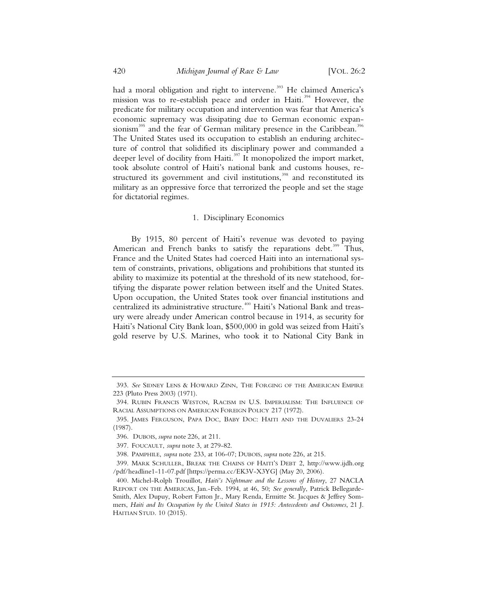had a moral obligation and right to intervene.<sup>393</sup> He claimed America's mission was to re-establish peace and order in Haiti.<sup>394</sup> However, the predicate for military occupation and intervention was fear that America's economic supremacy was dissipating due to German economic expansionism<sup>395</sup> and the fear of German military presence in the Caribbean.<sup>396</sup> The United States used its occupation to establish an enduring architecture of control that solidified its disciplinary power and commanded a deeper level of docility from Haiti.397 It monopolized the import market, took absolute control of Haiti's national bank and customs houses, restructured its government and civil institutions,<sup>398</sup> and reconstituted its military as an oppressive force that terrorized the people and set the stage for dictatorial regimes.

#### 1. Disciplinary Economics

By 1915, 80 percent of Haiti's revenue was devoted to paying American and French banks to satisfy the reparations debt.<sup>399</sup> Thus, France and the United States had coerced Haiti into an international system of constraints, privations, obligations and prohibitions that stunted its ability to maximize its potential at the threshold of its new statehood, fortifying the disparate power relation between itself and the United States. Upon occupation, the United States took over financial institutions and centralized its administrative structure.<sup>400</sup> Haiti's National Bank and treasury were already under American control because in 1914, as security for Haiti's National City Bank loan, \$500,000 in gold was seized from Haiti's gold reserve by U.S. Marines, who took it to National City Bank in

 <sup>393.</sup> *See* SIDNEY LENS & HOWARD ZINN, THE FORGING OF THE AMERICAN EMPIRE 223 (Pluto Press 2003) (1971).

 <sup>394.</sup> RUBIN FRANCIS WESTON, RACISM IN U.S. IMPERIALISM: THE INFLUENCE OF RACIAL ASSUMPTIONS ON AMERICAN FOREIGN POLICY 217 (1972).

 <sup>395.</sup> JAMES FERGUSON, PAPA DOC, BABY DOC: HAITI AND THE DUVALIERS 23-24 (1987).

 <sup>396.</sup> DUBOIS, *supra* note 226, at 211.

 <sup>397.</sup> FOUCAULT, *supra* note 3, at 279-82.

 <sup>398.</sup> PAMPHILE, *supra* note 233, at 106-07; DUBOIS, *supra* note 226, at 215.

 <sup>399.</sup> MARK SCHULLER, BREAK THE CHAINS OF HAITI'S DEBT 2, http://www.ijdh.org /pdf/headline1-11-07.pdf [https://perma.cc/EK3V-X3YG] (May 20, 2006).

 <sup>400.</sup> Michel-Rolph Trouillot, *Haiti's Nightmare and the Lessons of History*, 27 NACLA REPORT ON THE AMERICAS, Jan.-Feb. 1994, at 46, 50; *See generally*, Patrick Bellegarde-Smith, Alex Dupuy, Robert Fatton Jr., Mary Renda, Ermitte St. Jacques & Jeffrey Sommers, *Haiti and Its Occupation by the United States in 1915: Antecedents and Outcomes*, 21 J. HAITIAN STUD. 10 (2015).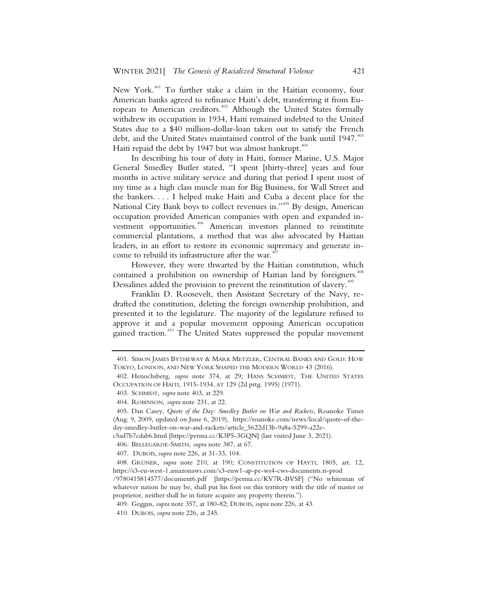New York.<sup>401</sup> To further stake a claim in the Haitian economy, four American banks agreed to refinance Haiti's debt, transferring it from European to American creditors.<sup>402</sup> Although the United States formally withdrew its occupation in 1934, Haiti remained indebted to the United States due to a \$40 million-dollar-loan taken out to satisfy the French debt, and the United States maintained control of the bank until 1947.<sup>403</sup> Haiti repaid the debt by 1947 but was almost bankrupt. $404$ 

In describing his tour of duty in Haiti, former Marine, U.S. Major General Smedley Butler stated, "I spent [thirty-three] years and four months in active military service and during that period I spent most of my time as a high class muscle man for Big Business, for Wall Street and the bankers. . . . I helped make Haiti and Cuba a decent place for the National City Bank boys to collect revenues in."405 By design, American occupation provided American companies with open and expanded investment opportunities.406 American investors planned to reinstitute commercial plantations, a method that was also advocated by Haitian leaders, in an effort to restore its economic supremacy and generate income to rebuild its infrastructure after the war. $407$ 

However, they were thwarted by the Haitian constitution, which contained a prohibition on ownership of Haitian land by foreigners.<sup>41</sup> Dessalines added the provision to prevent the reinstitution of slavery.<sup>409</sup>

Franklin D. Roosevelt, then Assistant Secretary of the Navy, redrafted the constitution, deleting the foreign ownership prohibition, and presented it to the legislature. The majority of the legislature refused to approve it and a popular movement opposing American occupation gained traction.<sup>410</sup> The United States suppressed the popular movement

 <sup>401.</sup> SIMON JAMES BYTHEWAY & MARK METZLER, CENTRAL BANKS AND GOLD: HOW TOKYO, LONDON, AND NEW YORK SHAPED THE MODERN WORLD 43 (2016).

 <sup>402.</sup> Henochsberg, *supra* note 374, at 29; HANS SCHMIDT, THE UNITED STATES OCCUPATION OF HAITI, 1915-1934, AT 129 (2d prtg. 1995) (1971).

 <sup>403.</sup> SCHMIDT, *supra* note 403, at 229.

 <sup>404.</sup> ROBINSON, *supra* note 231, at 22.

 <sup>405.</sup> Dan Casey, *Quote of the Day: Smedley Butler on War and Rackets*, Roanoke Times (Aug. 9, 2009, updated on June 6, 2019), https://roanoke.com/news/local/quote-of-theday-smedley-butler-on-war-and-rackets/article\_5622d13b-9a8a-5299-a22e-

c5ad7b7cdab6.html [https://perma.cc/K3P5-3GQN] (last visited June 3, 2021).

 <sup>406.</sup> BELLEGARDE-SMITH, *supra* note 387, at 67.

 <sup>407.</sup> DUBOIS, *supra* note 226, at 31-33, 104.

 <sup>408.</sup> GRÜNER, *supra* note 210, at 190; CONSTITUTION OF HAYTI, 1805, art. 12, https://s3-eu-west-1.amazonaws.com/s3-euw1-ap-pe-ws4-cws-documents.ri-prod

<sup>/9780415814577/</sup>document6.pdf [https://perma.cc/KV7R-BVSF] ("No whiteman of whatever nation he may be, shall put his foot on this territory with the title of master or proprietor, neither shall he in future acquire any property therein.").

 <sup>409.</sup> Geggus, *supra* note 357, at 180-82; DUBOIS, *supra* note 226, at 43.

 <sup>410.</sup> DUBOIS, *supra* note 226, at 245.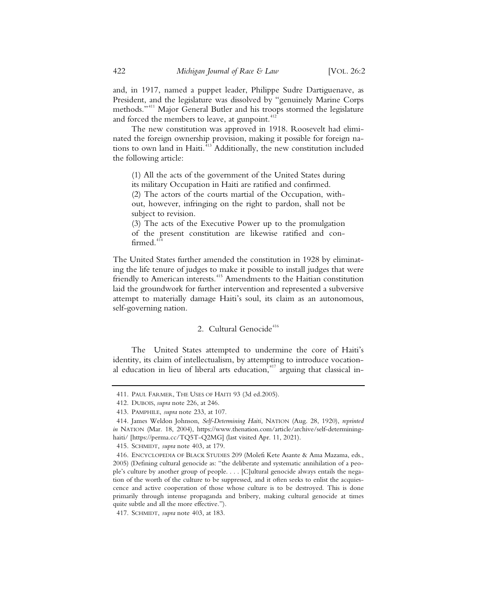and, in 1917, named a puppet leader, Philippe Sudre Dartiguenave, as President, and the legislature was dissolved by "genuinely Marine Corps methods."<sup>411</sup> Major General Butler and his troops stormed the legislature and forced the members to leave, at gunpoint.<sup>412</sup>

The new constitution was approved in 1918. Roosevelt had eliminated the foreign ownership provision, making it possible for foreign nations to own land in Haiti.<sup>413</sup> Additionally, the new constitution included the following article:

(1) All the acts of the government of the United States during its military Occupation in Haiti are ratified and confirmed.

(2) The actors of the courts martial of the Occupation, without, however, infringing on the right to pardon, shall not be subject to revision.

(3) The acts of the Executive Power up to the promulgation of the present constitution are likewise ratified and con $firmed.<sup>41</sup>$ 

The United States further amended the constitution in 1928 by eliminating the life tenure of judges to make it possible to install judges that were friendly to American interests.<sup>415</sup> Amendments to the Haitian constitution laid the groundwork for further intervention and represented a subversive attempt to materially damage Haiti's soul, its claim as an autonomous, self-governing nation.

## 2. Cultural Genocide<sup>416</sup>

The United States attempted to undermine the core of Haiti's identity, its claim of intellectualism, by attempting to introduce vocational education in lieu of liberal arts education,<sup>447</sup> arguing that classical in-

<sup>411.</sup> PAUL FARMER, THE USES OF HAITI 93 (3d ed.2005).

<sup>412.</sup> DUBOIS, *supra* note 226, at 246.

<sup>413.</sup> PAMPHILE, *supra* note 233, at 107.

<sup>414.</sup> James Weldon Johnson, *Self-Determining Haiti*, NATION (Aug. 28, 1920), *reprinted in* NATION (Mar. 18, 2004), https://www.thenation.com/article/archive/self-determininghaiti/ [https://perma.cc/TQ5T-Q2MG] (last visited Apr. 11, 2021).

<sup>415.</sup> SCHMIDT, *supra* note 403, at 179.

<sup>416.</sup> ENCYCLOPEDIA OF BLACK STUDIES 209 (Molefi Kete Asante & Ama Mazama, eds., 2005) (Defining cultural genocide as: "the deliberate and systematic annihilation of a people's culture by another group of people. . . . [C]ultural genocide always entails the negation of the worth of the culture to be suppressed, and it often seeks to enlist the acquiescence and active cooperation of those whose culture is to be destroyed. This is done primarily through intense propaganda and bribery, making cultural genocide at times quite subtle and all the more effective.").

<sup>417.</sup> SCHMIDT, *supra* note 403, at 183.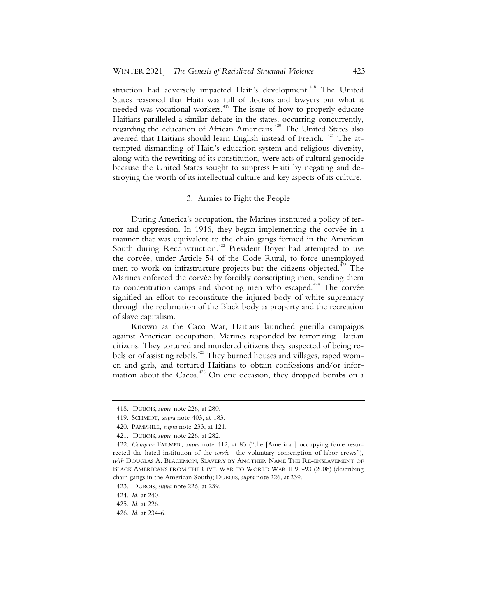struction had adversely impacted Haiti's development.<sup>418</sup> The United States reasoned that Haiti was full of doctors and lawyers but what it needed was vocational workers.<sup>419</sup> The issue of how to properly educate Haitians paralleled a similar debate in the states, occurring concurrently, regarding the education of African Americans.<sup>420</sup> The United States also averred that Haitians should learn English instead of French.<sup>421</sup> The attempted dismantling of Haiti's education system and religious diversity, along with the rewriting of its constitution, were acts of cultural genocide because the United States sought to suppress Haiti by negating and destroying the worth of its intellectual culture and key aspects of its culture.

#### 3. Armies to Fight the People

During America's occupation, the Marines instituted a policy of terror and oppression. In 1916, they began implementing the corvée in a manner that was equivalent to the chain gangs formed in the American South during Reconstruction.<sup>422</sup> President Boyer had attempted to use the corvée, under Article 54 of the Code Rural, to force unemployed men to work on infrastructure projects but the citizens objected.<sup>423</sup> The Marines enforced the corvée by forcibly conscripting men, sending them to concentration camps and shooting men who escaped.<sup>424</sup> The corvée signified an effort to reconstitute the injured body of white supremacy through the reclamation of the Black body as property and the recreation of slave capitalism.

Known as the Caco War, Haitians launched guerilla campaigns against American occupation. Marines responded by terrorizing Haitian citizens. They tortured and murdered citizens they suspected of being rebels or of assisting rebels.<sup>425</sup> They burned houses and villages, raped women and girls, and tortured Haitians to obtain confessions and/or information about the Cacos.<sup>426</sup> On one occasion, they dropped bombs on a

<sup>418.</sup> DUBOIS, *supra* note 226, at 280.

<sup>419.</sup> SCHMIDT, *supra* note 403, at 183.

<sup>420.</sup> PAMPHILE, *supra* note 233, at 121.

<sup>421.</sup> DUBOIS, *supra* note 226, at 282.

<sup>422.</sup> *Compare* FARMER, *supra* note 412, at 83 ("the [American] occupying force resurrected the hated institution of the *corvée*—the voluntary conscription of labor crews"), *with* DOUGLAS A. BLACKMON, SLAVERY BY ANOTHER NAME THE RE-ENSLAVEMENT OF BLACK AMERICANS FROM THE CIVIL WAR TO WORLD WAR II 90-93 (2008) (describing chain gangs in the American South); DUBOIS, *supra* note 226, at 239.

<sup>423.</sup> DUBOIS, *supra* note 226, at 239.

<sup>424.</sup> *Id.* at 240.

<sup>425.</sup> *Id.* at 226.

<sup>426.</sup> *Id.* at 234-6.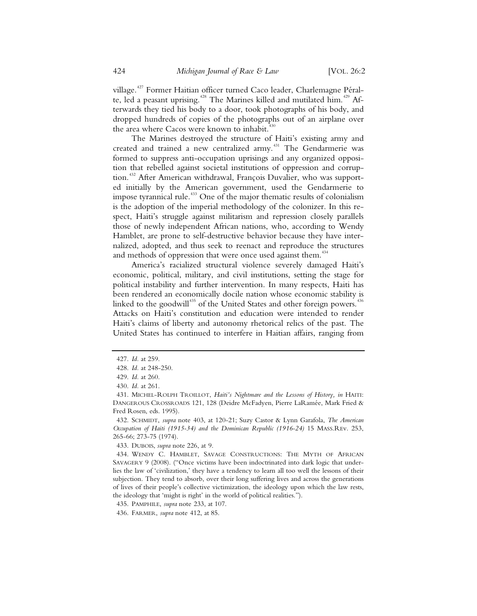village.<sup>427</sup> Former Haitian officer turned Caco leader, Charlemagne Péralte, led a peasant uprising.<sup>428</sup> The Marines killed and mutilated him.<sup>429</sup> Afterwards they tied his body to a door, took photographs of his body, and dropped hundreds of copies of the photographs out of an airplane over the area where Cacos were known to inhabit.<sup>43</sup>

The Marines destroyed the structure of Haiti's existing army and created and trained a new centralized army.<sup>431</sup> The Gendarmerie was formed to suppress anti-occupation uprisings and any organized opposition that rebelled against societal institutions of oppression and corruption.<sup>432</sup> After American withdrawal, François Duvalier, who was supported initially by the American government, used the Gendarmerie to impose tyrannical rule.<sup>433</sup> One of the major thematic results of colonialism is the adoption of the imperial methodology of the colonizer. In this respect, Haiti's struggle against militarism and repression closely parallels those of newly independent African nations, who, according to Wendy Hamblet, are prone to self-destructive behavior because they have internalized, adopted, and thus seek to reenact and reproduce the structures and methods of oppression that were once used against them.<sup>434</sup>

America's racialized structural violence severely damaged Haiti's economic, political, military, and civil institutions, setting the stage for political instability and further intervention. In many respects, Haiti has been rendered an economically docile nation whose economic stability is linked to the goodwill<sup>435</sup> of the United States and other foreign powers.<sup>43</sup> Attacks on Haiti's constitution and education were intended to render Haiti's claims of liberty and autonomy rhetorical relics of the past. The United States has continued to interfere in Haitian affairs, ranging from

 <sup>427.</sup> *Id.* at 259.

 <sup>428.</sup> *Id.* at 248-250.

 <sup>429.</sup> *Id.* at 260.

 <sup>430.</sup> *Id.* at 261.

 <sup>431.</sup> MICHEL-ROLPH TROILLOT, *Haiti's Nightmare and the Lessons of History, in* HAITI: DANGEROUS CROSSROADS 121, 128 (Deidre McFadyen, Pierre LaRamée, Mark Fried & Fred Rosen, eds. 1995).

 <sup>432.</sup> SCHMIDT, *supra* note 403, at 120-21; Suzy Castor & Lynn Garafola, *The American Occupation of Haiti (1915-34) and the Dominican Republic (1916-24)* 15 MASS.REv. 253, 265-66; 273-75 (1974).

 <sup>433.</sup> DUBOIS, *supra* note 226, at 9.

 <sup>434.</sup> WENDY C. HAMBLET, SAVAGE CONSTRUCTIONS: THE MYTH OF AFRICAN SAVAGERY 9 (2008). ("Once victims have been indoctrinated into dark logic that underlies the law of 'civilization,' they have a tendency to learn all too well the lessons of their subjection. They tend to absorb, over their long suffering lives and across the generations of lives of their people's collective victimization, the ideology upon which the law rests, the ideology that 'might is right' in the world of political realities.").

 <sup>435.</sup> PAMPHILE, *supra* note 233, at 107.

 <sup>436.</sup> FARMER, *supra* note 412, at 85.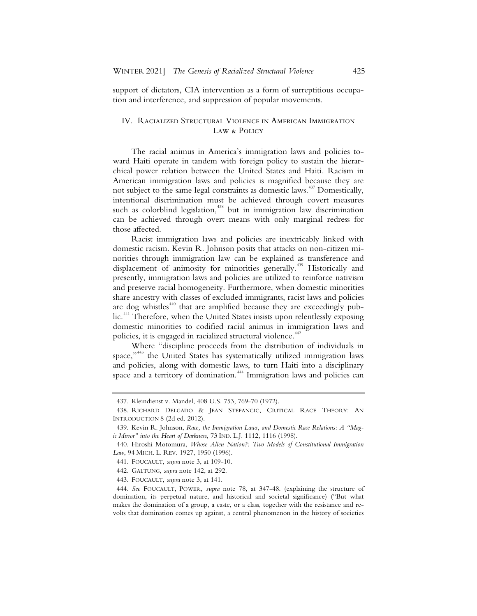support of dictators, CIA intervention as a form of surreptitious occupation and interference, and suppression of popular movements.

### IV. Racialized Structural Violence in American Immigration Law & Policy

The racial animus in America's immigration laws and policies toward Haiti operate in tandem with foreign policy to sustain the hierarchical power relation between the United States and Haiti. Racism in American immigration laws and policies is magnified because they are not subject to the same legal constraints as domestic laws.<sup>437</sup> Domestically, intentional discrimination must be achieved through covert measures such as colorblind legislation,<sup>438</sup> but in immigration law discrimination can be achieved through overt means with only marginal redress for those affected.

Racist immigration laws and policies are inextricably linked with domestic racism. Kevin R. Johnson posits that attacks on non-citizen minorities through immigration law can be explained as transference and displacement of animosity for minorities generally.<sup>439</sup> Historically and presently, immigration laws and policies are utilized to reinforce nativism and preserve racial homogeneity. Furthermore, when domestic minorities share ancestry with classes of excluded immigrants, racist laws and policies are dog whistles<sup>440</sup> that are amplified because they are exceedingly public.<sup>441</sup> Therefore, when the United States insists upon relentlessly exposing domestic minorities to codified racial animus in immigration laws and policies, it is engaged in racialized structural violence.<sup>442</sup>

Where "discipline proceeds from the distribution of individuals in space,"<sup>443</sup> the United States has systematically utilized immigration laws and policies, along with domestic laws, to turn Haiti into a disciplinary space and a territory of domination.<sup>444</sup> Immigration laws and policies can

<sup>437.</sup> Kleindienst v. Mandel, 408 U.S. 753, 769-70 (1972).

<sup>438.</sup> RICHARD DELGADO & JEAN STEFANCIC, CRITICAL RACE THEORY: AN INTRODUCTION 8 (2d ed. 2012).

<sup>439.</sup> Kevin R. Johnson, *Race, the Immigration Laws, and Domestic Race Relations: A "Magic Mirror" into the Heart of Darkness*, 73 IND. L.J. 1112, 1116 (1998).

<sup>440.</sup> Hiroshi Motomura, *Whose Alien Nation?: Two Models of Constitutional Immigration Law*, 94 MICH. L. REV. 1927, 1950 (1996).

<sup>441.</sup> FOUCAULT, *supra* note 3, at 109-10.

<sup>442.</sup> GALTUNG, *supra* note 142, at 292.

<sup>443.</sup> FOUCAULT, *supra* note 3, at 141.

<sup>444.</sup> *See* FOUCAULT, POWER, *supra* note 78, at 347-48. (explaining the structure of domination, its perpetual nature, and historical and societal significance) ("But what makes the domination of a group, a caste, or a class, together with the resistance and revolts that domination comes up against, a central phenomenon in the history of societies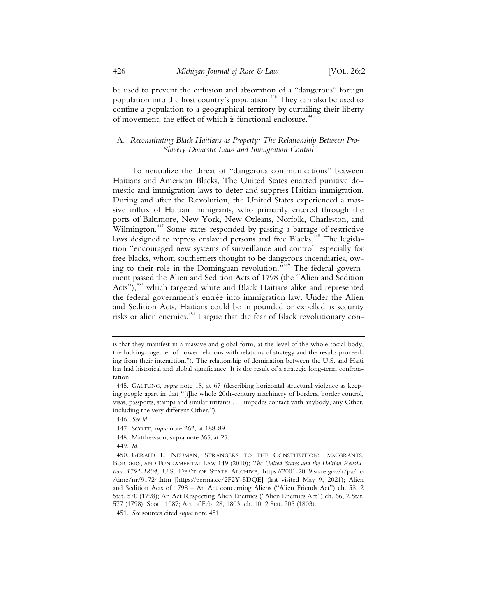be used to prevent the diffusion and absorption of a "dangerous" foreign population into the host country's population.<sup>445</sup> They can also be used to confine a population to a geographical territory by curtailing their liberty of movement, the effect of which is functional enclosure.<sup>446</sup>

## A*. Reconstituting Black Haitians as Property: The Relationship Between Pro-Slavery Domestic Laws and Immigration Control*

To neutralize the threat of "dangerous communications" between Haitians and American Blacks, The United States enacted punitive domestic and immigration laws to deter and suppress Haitian immigration. During and after the Revolution, the United States experienced a massive influx of Haitian immigrants, who primarily entered through the ports of Baltimore, New York, New Orleans, Norfolk, Charleston, and Wilmington.<sup>447</sup> Some states responded by passing a barrage of restrictive laws designed to repress enslaved persons and free Blacks.<sup>448</sup> The legislation "encouraged new systems of surveillance and control, especially for free blacks, whom southerners thought to be dangerous incendiaries, owing to their role in the Dominguan revolution."<sup>449</sup> The federal government passed the Alien and Sedition Acts of 1798 (the "Alien and Sedition Acts"),<sup>450</sup> which targeted white and Black Haitians alike and represented the federal government's entrée into immigration law. Under the Alien and Sedition Acts, Haitians could be impounded or expelled as security risks or alien enemies.<sup>451</sup> I argue that the fear of Black revolutionary con-

- 448. Matthewson, supra note 365, at 25.
- 449. *Id.*

is that they manifest in a massive and global form, at the level of the whole social body, the locking-together of power relations with relations of strategy and the results proceeding from their interaction."). The relationship of domination between the U.S. and Haiti has had historical and global significance. It is the result of a strategic long-term confrontation.

 <sup>445.</sup> GALTUNG, *supra* note 18, at 67 (describing horizontal structural violence as keeping people apart in that "[t]he whole 20th-century machinery of borders, border control, visas, passports, stamps and similar irritants . . . impedes contact with anybody, any Other, including the very different Other.").

 <sup>446.</sup> *See id.*

<sup>447</sup>**.** SCOTT, *supra* note 262, at 188-89.

 <sup>450.</sup> GERALD L. NEUMAN, STRANGERS TO THE CONSTITUTION: IMMIGRANTS, BORDERS, AND FUNDAMENTAL LAW 149 (2010); *The United States and the Haitian Revolution 1791-1804*, U.S. DEP'T OF STATE ARCHIVE, https://2001-2009.state.gov/r/pa/ho /time/nr/91724.htm [https://perma.cc/2F2Y-5DQE] (last visited May 9, 2021); Alien and Sedition Acts of 1798 – An Act concerning Aliens ("Alien Friends Act") ch. 58, 2 Stat. 570 (1798); An Act Respecting Alien Enemies ("Alien Enemies Act") ch. 66, 2 Stat. 577 (1798); Scott, 1087; Act of Feb. 28, 1803, ch. 10, 2 Stat. 205 (1803).

 <sup>451.</sup> *See* sources cited *supra* note 451.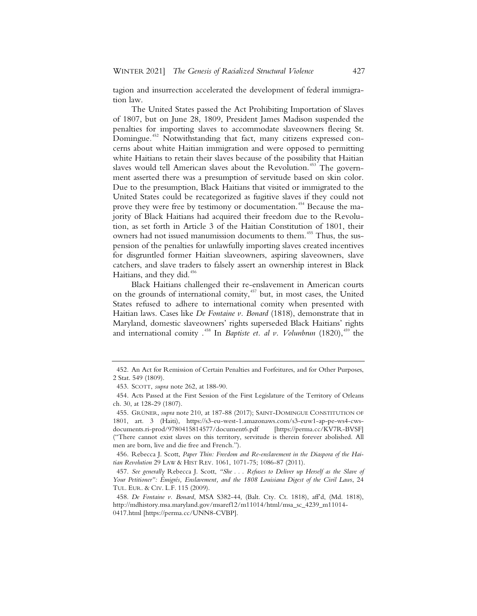tagion and insurrection accelerated the development of federal immigration law.

The United States passed the Act Prohibiting Importation of Slaves of 1807, but on June 28, 1809, President James Madison suspended the penalties for importing slaves to accommodate slaveowners fleeing St. Domingue.<sup>452</sup> Notwithstanding that fact, many citizens expressed concerns about white Haitian immigration and were opposed to permitting white Haitians to retain their slaves because of the possibility that Haitian slaves would tell American slaves about the Revolution.<sup>453</sup> The government asserted there was a presumption of servitude based on skin color. Due to the presumption, Black Haitians that visited or immigrated to the United States could be recategorized as fugitive slaves if they could not prove they were free by testimony or documentation.<sup>454</sup> Because the majority of Black Haitians had acquired their freedom due to the Revolution, as set forth in Article 3 of the Haitian Constitution of 1801, their owners had not issued manumission documents to them.<sup>455</sup> Thus, the suspension of the penalties for unlawfully importing slaves created incentives for disgruntled former Haitian slaveowners, aspiring slaveowners, slave catchers, and slave traders to falsely assert an ownership interest in Black Haitians, and they did.<sup>456</sup>

Black Haitians challenged their re-enslavement in American courts on the grounds of international comity,<sup>457</sup> but, in most cases, the United States refused to adhere to international comity when presented with Haitian laws. Cases like *De Fontaine v. Bonard* (1818), demonstrate that in Maryland, domestic slaveowners' rights superseded Black Haitians' rights and international comity  $.458$  In *Baptiste et. al v. Volunbrun* (1820),  $.459$  the

 <sup>452.</sup> An Act for Remission of Certain Penalties and Forfeitures, and for Other Purposes, 2 Stat. 549 (1809).

 <sup>453.</sup> SCOTT, *supra* note 262, at 188-90.

 <sup>454.</sup> Acts Passed at the First Session of the First Legislature of the Territory of Orleans ch. 30, at 128-29 (1807).

 <sup>455.</sup> GRÜNER, *supra* note 210, at 187-88 (2017); SAINT-DOMINGUE CONSTITUTION OF 1801, art. 3 (Haiti), https://s3-eu-west-1.amazonaws.com/s3-euw1-ap-pe-ws4-cwsdocuments.ri-prod/9780415814577/document6.pdf [https://perma.cc/KV7R-BVSF] ("There cannot exist slaves on this territory, servitude is therein forever abolished. All men are born, live and die free and French.").

 <sup>456.</sup> Rebecca J. Scott, *Paper Thin: Freedom and Re-enslavement in the Diaspora of the Haitian Revolution* 29 LAW & HIST REV. 1061, 1071-75; 1086-87 (2011).

 <sup>457.</sup> *See generally* Rebecca J. Scott, *"She . . . Refuses to Deliver up Herself as the Slave of Your Petitioner": Émigrés, Enslavement, and the 1808 Louisiana Digest of the Civil Laws*, 24 TUL. EUR. & CIV. L.F. 115 (2009).

 <sup>458.</sup> *De Fontaine v. Bonard*, MSA S382-44, (Balt. Cty. Ct. 1818), aff'd, (Md. 1818), http://mdhistory.msa.maryland.gov/msaref12/m11014/html/msa\_sc\_4239\_m11014- 0417.html [https://perma.cc/UNN8-CVBP].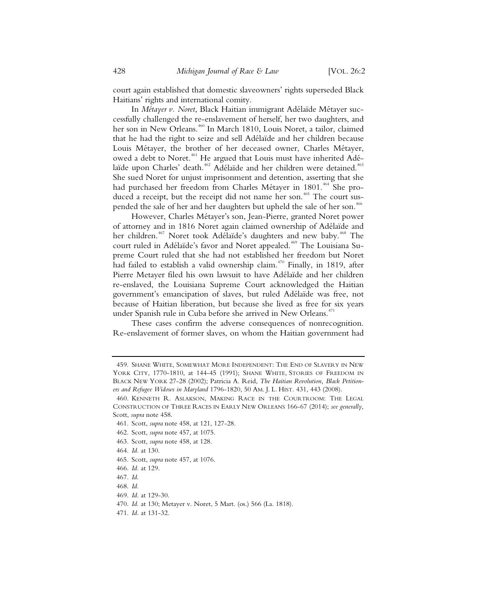court again established that domestic slaveowners' rights superseded Black Haitians' rights and international comity.

In *Métayer v. Noret*, Black Haitian immigrant Adélaïde Métayer successfully challenged the re-enslavement of herself, her two daughters, and her son in New Orleans.<sup>460</sup> In March 1810, Louis Noret, a tailor, claimed that he had the right to seize and sell Adélaïde and her children because Louis Métayer, the brother of her deceased owner, Charles Métayer, owed a debt to Noret.<sup>461</sup> He argued that Louis must have inherited Adélaïde upon Charles' death.<sup>462</sup> Adélaïde and her children were detained.<sup>463</sup> She sued Noret for unjust imprisonment and detention, asserting that she had purchased her freedom from Charles Métayer in 1801.<sup>464</sup> She produced a receipt, but the receipt did not name her son.<sup>465</sup> The court suspended the sale of her and her daughters but upheld the sale of her son.<sup>466</sup>

However, Charles Métayer's son, Jean-Pierre, granted Noret power of attorney and in 1816 Noret again claimed ownership of Adélaïde and her children.<sup>467</sup> Noret took Adélaïde's daughters and new baby.<sup>468</sup> The court ruled in Adélaïde's favor and Noret appealed.<sup>469</sup> The Louisiana Supreme Court ruled that she had not established her freedom but Noret had failed to establish a valid ownership claim.<sup> $470$ </sup> Finally, in 1819, after Pierre Metayer filed his own lawsuit to have Adélaïde and her children re-enslaved, the Louisiana Supreme Court acknowledged the Haitian government's emancipation of slaves, but ruled Adélaïde was free, not because of Haitian liberation, but because she lived as free for six years under Spanish rule in Cuba before she arrived in New Orleans.<sup>471</sup>

These cases confirm the adverse consequences of nonrecognition. Re-enslavement of former slaves, on whom the Haitian government had

468. *Id.*

 <sup>459.</sup> SHANE WHITE, SOMEWHAT MORE INDEPENDENT: THE END OF SLAVERY IN NEW YORK CITY, 1770-1810, at 144-45 (1991); SHANE WHITE, STORIES OF FREEDOM IN BLACK NEW YORK 27-28 (2002); Patricia A. Reid, *The Haitian Revolution, Black Petitioners and Refugee Widows in Maryland* 1796-1820, 50 AM. J. L. HIST. 431, 443 (2008).

 <sup>460.</sup> KENNETH R. ASLAKSON, MAKING RACE IN THE COURTROOM: THE LEGAL CONSTRUCTION OF THREE RACES IN EARLY NEW ORLEANS 166-67 (2014); *see generally,*  Scott, *supra* note 458.

 <sup>461.</sup> Scott, *supra* note 458, at 121, 127-28.

 <sup>462.</sup> Scott, *supra* note 457, at 1075.

 <sup>463.</sup> Scott, *supra* note 458, at 128.

 <sup>464.</sup> *Id.* at 130.

 <sup>465.</sup> Scott, *supra* note 457, at 1076.

 <sup>466.</sup> *Id.* at 129.

 <sup>467.</sup> *Id.*

 <sup>469.</sup> *Id.* at 129-30.

 <sup>470.</sup> *Id.* at 130; Metayer v. Noret, 5 Mart. (os.) 566 (La. 1818).

 <sup>471.</sup> *Id.* at 131-32.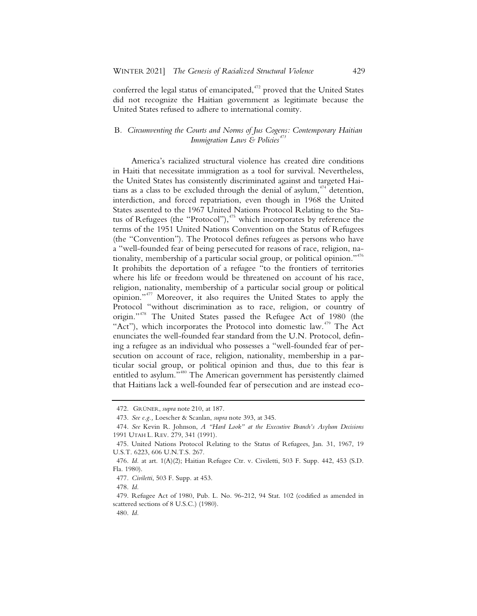conferred the legal status of emancipated,<sup>472</sup> proved that the United States did not recognize the Haitian government as legitimate because the United States refused to adhere to international comity.

## B*. Circumventing the Courts and Norms of Jus Cogens: Contemporary Haitian Immigration Laws & Policies<sup>473</sup>*

America's racialized structural violence has created dire conditions in Haiti that necessitate immigration as a tool for survival. Nevertheless, the United States has consistently discriminated against and targeted Haitians as a class to be excluded through the denial of asylum, $474$  detention, interdiction, and forced repatriation, even though in 1968 the United States assented to the 1967 United Nations Protocol Relating to the Status of Refugees (the "Protocol"), $475$  which incorporates by reference the terms of the 1951 United Nations Convention on the Status of Refugees (the "Convention"). The Protocol defines refugees as persons who have a "well-founded fear of being persecuted for reasons of race, religion, nationality, membership of a particular social group, or political opinion."<sup>476</sup> It prohibits the deportation of a refugee "to the frontiers of territories where his life or freedom would be threatened on account of his race, religion, nationality, membership of a particular social group or political opinion."<sup>477</sup> Moreover, it also requires the United States to apply the Protocol "without discrimination as to race, religion, or country of origin."<sup>478</sup> The United States passed the Refugee Act of 1980 (the "Act"), which incorporates the Protocol into domestic law.<sup> $479$ </sup> The Act enunciates the well-founded fear standard from the U.N. Protocol, defining a refugee as an individual who possesses a "well-founded fear of persecution on account of race, religion, nationality, membership in a particular social group, or political opinion and thus, due to this fear is entitled to asylum."<sup>480</sup> The American government has persistently claimed that Haitians lack a well-founded fear of persecution and are instead eco-

<sup>472.</sup> GRÜNER, *supra* note 210, at 187.

<sup>473.</sup> *See e.g.,* Loescher & Scanlan, *supra* note 393, at 345.

<sup>474.</sup> *See* Kevin R. Johnson, *A "Hard Look" at the Executive Branch's Asylum Decisions* 1991 UTAH L. REV. 279, 341 (1991).

<sup>475.</sup> United Nations Protocol Relating to the Status of Refugees, Jan. 31, 1967, 19 U.S.T. 6223, 606 U.N.T.S. 267.

<sup>476.</sup> *Id.* at art. 1(A)(2); Haitian Refugee Ctr. v. Civiletti, 503 F. Supp. 442, 453 (S.D. Fla. 1980).

<sup>477.</sup> *Civiletti*, 503 F. Supp. at 453.

<sup>478.</sup> *Id.*

<sup>479.</sup> Refugee Act of 1980, Pub. L. No. 96-212, 94 Stat. 102 (codified as amended in scattered sections of 8 U.S.C.) (1980).

<sup>480.</sup> *Id.*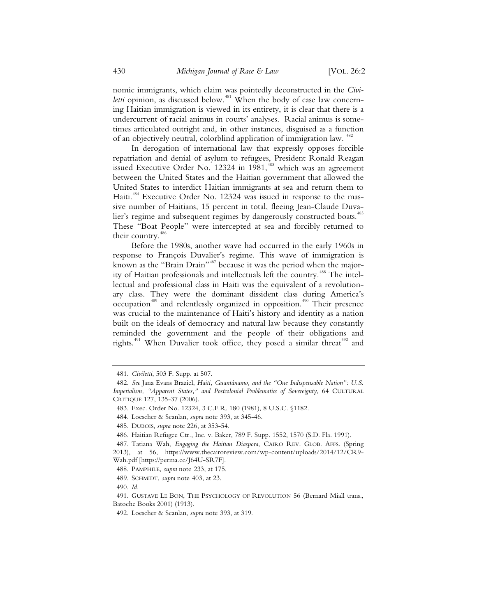nomic immigrants, which claim was pointedly deconstructed in the *Civiletti* opinion, as discussed below.<sup>481</sup> When the body of case law concerning Haitian immigration is viewed in its entirety, it is clear that there is a undercurrent of racial animus in courts' analyses. Racial animus is sometimes articulated outright and, in other instances, disguised as a function of an objectively neutral, colorblind application of immigration law. <sup>482</sup>

In derogation of international law that expressly opposes forcible repatriation and denial of asylum to refugees, President Ronald Reagan issued Executive Order No. 12324 in 1981,<sup>483</sup> which was an agreement between the United States and the Haitian government that allowed the United States to interdict Haitian immigrants at sea and return them to Haiti.<sup>484</sup> Executive Order No. 12324 was issued in response to the massive number of Haitians, 15 percent in total, fleeing Jean-Claude Duvalier's regime and subsequent regimes by dangerously constructed boats.<sup>485</sup> These "Boat People" were intercepted at sea and forcibly returned to their country.<sup>48</sup>

Before the 1980s, another wave had occurred in the early 1960s in response to François Duvalier's regime. This wave of immigration is known as the "Brain Drain"<sup>487</sup> because it was the period when the majority of Haitian professionals and intellectuals left the country.<sup>488</sup> The intellectual and professional class in Haiti was the equivalent of a revolutionary class. They were the dominant dissident class during America's occupation<sup>489</sup> and relentlessly organized in opposition.<sup>490</sup> Their presence was crucial to the maintenance of Haiti's history and identity as a nation built on the ideals of democracy and natural law because they constantly reminded the government and the people of their obligations and rights.<sup>491</sup> When Duvalier took office, they posed a similar threat<sup>492</sup> and

490. *Id.*

 <sup>481.</sup> *Civiletti*, 503 F. Supp. at 507.

 <sup>482.</sup> *See* Jana Evans Braziel, *Haiti, Guantánamo, and the "One Indispensable Nation": U.S. Imperialism, "Apparent States," and Postcolonial Problematics of Sovereignty*, 64 CULTURAL CRITIQUE 127, 135-37 (2006).

 <sup>483.</sup> Exec. Order No. 12324, 3 C.F.R. 180 (1981), 8 U.S.C. §1182.

 <sup>484.</sup> Loescher & Scanlan, *supra* note 393, at 345-46.

 <sup>485.</sup> DUBOIS, *supra* note 226, at 353-54.

 <sup>486.</sup> Haitian Refugee Ctr*.*, Inc. v. Baker, 789 F. Supp. 1552, 1570 (S.D. Fla. 1991).

 <sup>487.</sup> Tatiana Wah, *Engaging the Haitian Diaspora*, CAIRO REV. GLOB. AFFS. (Spring 2013), at 56, https://www.thecairoreview.com/wp-content/uploads/2014/12/CR9- Wah.pdf [https://perma.cc/J64U-SR7F].

 <sup>488.</sup> PAMPHILE, *supra* note 233, at 175.

 <sup>489.</sup> SCHMIDT, *supra* note 403, at 23.

 <sup>491.</sup> GUSTAVE LE BON, THE PSYCHOLOGY OF REVOLUTION 56 (Bernard Miall trans., Batoche Books 2001) (1913).

 <sup>492.</sup> Loescher & Scanlan, *supra* note 393, at 319.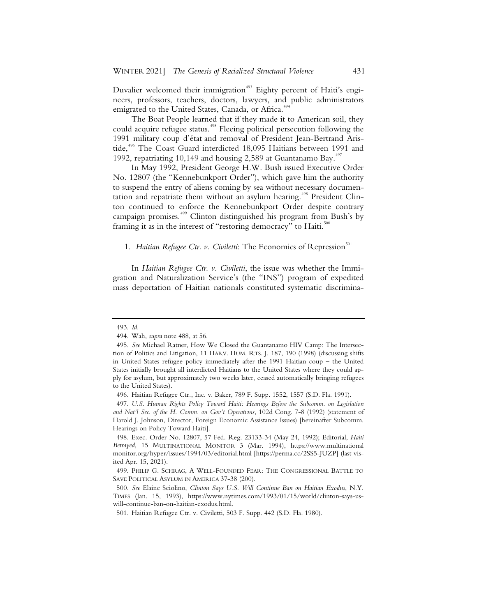Duvalier welcomed their immigration<sup>493</sup> Eighty percent of Haiti's engineers, professors, teachers, doctors, lawyers, and public administrators emigrated to the United States, Canada, or Africa.<sup>494</sup>

The Boat People learned that if they made it to American soil, they could acquire refugee status.<sup>495</sup> Fleeing political persecution following the 1991 military coup d'état and removal of President Jean-Bertrand Aristide,<sup>496</sup> The Coast Guard interdicted 18,095 Haitians between 1991 and 1992, repatriating 10,149 and housing 2,589 at Guantanamo Bay.<sup>497</sup>

In May 1992, President George H.W. Bush issued Executive Order No. 12807 (the "Kennebunkport Order"), which gave him the authority to suspend the entry of aliens coming by sea without necessary documentation and repatriate them without an asylum hearing.<sup>498</sup> President Clinton continued to enforce the Kennebunkport Order despite contrary campaign promises.<sup>499</sup> Clinton distinguished his program from Bush's by framing it as in the interest of "restoring democracy" to Haiti. $500$ 

### 1. *Haitian Refugee Ctr. v. Civiletti:* The Economics of Repression<sup>501</sup>

In *Haitian Refugee Ctr. v. Civiletti*, the issue was whether the Immigration and Naturalization Service's (the "INS") program of expedited mass deportation of Haitian nationals constituted systematic discrimina-

 <sup>493.</sup> *Id.*

 <sup>494.</sup> Wah, *supra* note 488, at 56.

 <sup>495.</sup> *See* Michael Ratner, How We Closed the Guantanamo HIV Camp: The Intersection of Politics and Litigation, 11 HARV. HUM. RTS. J. 187, 190 (1998) (discussing shifts in United States refugee policy immediately after the 1991 Haitian coup – the United States initially brought all interdicted Haitians to the United States where they could apply for asylum, but approximately two weeks later, ceased automatically bringing refugees to the United States).

 <sup>496.</sup> Haitian Refugee Ctr*.*, Inc. v. Baker, 789 F. Supp. 1552, 1557 (S.D. Fla. 1991).

 <sup>497.</sup> *U.S. Human Rights Policy Toward Haiti: Hearings Before the Subcomm. on Legislation and Nat'l Sec. of the H. Comm. on Gov't Operations*, 102d Cong. 7-8 (1992) (statement of Harold J. Johnson, Director, Foreign Economic Assistance Issues) [hereinafter Subcomm. Hearings on Policy Toward Haiti].

 <sup>498.</sup> Exec. Order No. 12807, 57 Fed. Reg. 23133-34 (May 24, 1992); Editorial, *Haiti Betrayed*, 15 MULTINATIONAL MONITOR 3 (Mar. 1994), https://www.multinational monitor.org/hyper/issues/1994/03/editorial.html [https://perma.cc/2SS5-JUZP] (last visited Apr. 15, 2021).

 <sup>499.</sup> PHILIP G. SCHRAG, A WELL-FOUNDED FEAR: THE CONGRESSIONAL BATTLE TO SAVE POLITICAL ASYLUM IN AMERICA 37-38 (200).

 <sup>500.</sup> *See* Elaine Sciolino, *Clinton Says U.S. Will Continue Ban on Haitian Exodus*, N.Y. TIMES (Jan. 15, 1993), https://www.nytimes.com/1993/01/15/world/clinton-says-uswill-continue-ban-on-haitian-exodus.html.

 <sup>501.</sup> Haitian Refugee Ctr. v. Civiletti, 503 F. Supp. 442 (S.D. Fla. 1980).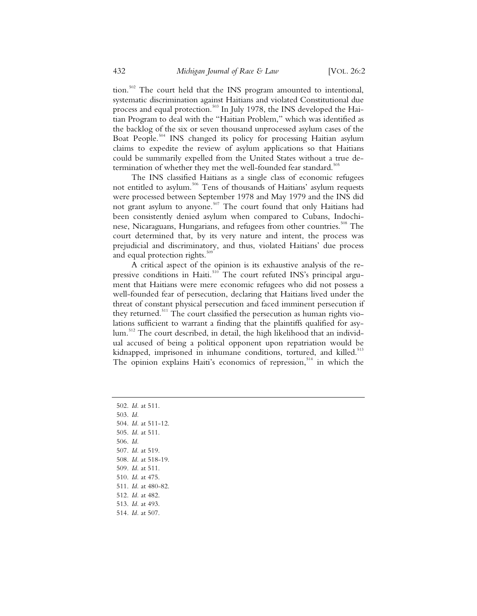tion.<sup>502</sup> The court held that the INS program amounted to intentional, systematic discrimination against Haitians and violated Constitutional due process and equal protection.<sup>503</sup> In July 1978, the INS developed the Haitian Program to deal with the "Haitian Problem," which was identified as the backlog of the six or seven thousand unprocessed asylum cases of the Boat People.<sup>504</sup> INS changed its policy for processing Haitian asylum claims to expedite the review of asylum applications so that Haitians could be summarily expelled from the United States without a true determination of whether they met the well-founded fear standard.<sup>505</sup>

The INS classified Haitians as a single class of economic refugees not entitled to asylum.<sup>506</sup> Tens of thousands of Haitians' asylum requests were processed between September 1978 and May 1979 and the INS did not grant asylum to anyone.<sup>507</sup> The court found that only Haitians had been consistently denied asylum when compared to Cubans, Indochinese, Nicaraguans, Hungarians, and refugees from other countries.<sup>508</sup> The court determined that, by its very nature and intent, the process was prejudicial and discriminatory, and thus, violated Haitians' due process and equal protection rights. $509$ 

A critical aspect of the opinion is its exhaustive analysis of the repressive conditions in Haiti.<sup>510</sup> The court refuted INS's principal argument that Haitians were mere economic refugees who did not possess a well-founded fear of persecution, declaring that Haitians lived under the threat of constant physical persecution and faced imminent persecution if they returned.<sup>511</sup> The court classified the persecution as human rights violations sufficient to warrant a finding that the plaintiffs qualified for asylum.<sup>512</sup> The court described, in detail, the high likelihood that an individual accused of being a political opponent upon repatriation would be kidnapped, imprisoned in inhumane conditions, tortured, and killed.<sup>513</sup> The opinion explains Haiti's economics of repression,  $514$  in which the

502. *Id.* at 511. 503. *Id.* 504. *Id.* at 511-12. 505. *Id.* at 511. 506. *Id.* 507. *Id.* at 519. 508. *Id.* at 518-19. 509. *Id.* at 511. 510. *Id.* at 475. 511. *Id.* at 480-82. 512. *Id.* at 482. 513. *Id.* at 493. 514*. Id.* at 507.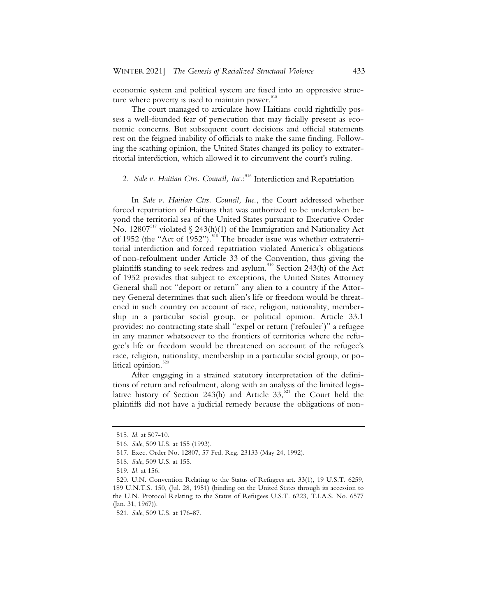economic system and political system are fused into an oppressive structure where poverty is used to maintain power.<sup>515</sup>

The court managed to articulate how Haitians could rightfully possess a well-founded fear of persecution that may facially present as economic concerns. But subsequent court decisions and official statements rest on the feigned inability of officials to make the same finding. Following the scathing opinion, the United States changed its policy to extraterritorial interdiction, which allowed it to circumvent the court's ruling.

# 2*. Sale v. Haitian Ctrs. Council, Inc.*: <sup>516</sup> Interdiction and Repatriation

In *Sale v. Haitian Ctrs. Council, Inc.*, the Court addressed whether forced repatriation of Haitians that was authorized to be undertaken beyond the territorial sea of the United States pursuant to Executive Order No. 12807<sup>517</sup> violated  $\Im$  243(h)(1) of the Immigration and Nationality Act of 1952 (the "Act of 1952").<sup>518</sup> The broader issue was whether extraterritorial interdiction and forced repatriation violated America's obligations of non-refoulment under Article 33 of the Convention, thus giving the plaintiffs standing to seek redress and asylum.<sup>519</sup> Section 243(h) of the Act of 1952 provides that subject to exceptions, the United States Attorney General shall not "deport or return" any alien to a country if the Attorney General determines that such alien's life or freedom would be threatened in such country on account of race, religion, nationality, membership in a particular social group, or political opinion. Article 33.1 provides: no contracting state shall "expel or return ('refouler')" a refugee in any manner whatsoever to the frontiers of territories where the refugee's life or freedom would be threatened on account of the refugee's race, religion, nationality, membership in a particular social group, or political opinion.<sup>520</sup>

After engaging in a strained statutory interpretation of the definitions of return and refoulment, along with an analysis of the limited legislative history of Section 243(h) and Article  $33,521$  the Court held the plaintiffs did not have a judicial remedy because the obligations of non-

<sup>515.</sup> *Id.* at 507-10.

<sup>516.</sup> *Sale*, 509 U.S. at 155 (1993).

<sup>517.</sup> Exec. Order No. 12807, 57 Fed. Reg. 23133 (May 24, 1992).

<sup>518.</sup> *Sale*, 509 U.S. at 155.

<sup>519.</sup> *Id.* at 156.

<sup>520.</sup> U.N. Convention Relating to the Status of Refugees art. 33(1), 19 U.S.T. 6259, 189 U.N.T.S. 150, (Jul. 28, 1951) (binding on the United States through its accession to the U.N. Protocol Relating to the Status of Refugees U.S.T. 6223, T.I.A.S. No. 6577 (Jan. 31, 1967)).

<sup>521.</sup> *Sale*, 509 U.S. at 176-87.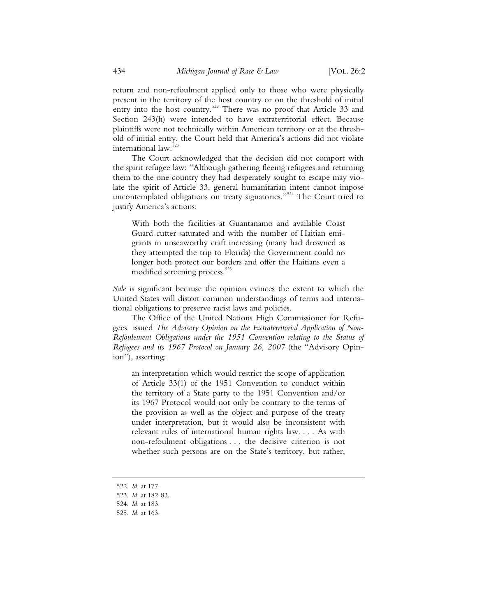return and non-refoulment applied only to those who were physically present in the territory of the host country or on the threshold of initial entry into the host country.<sup>522</sup> There was no proof that Article 33 and Section 243(h) were intended to have extraterritorial effect. Because plaintiffs were not technically within American territory or at the threshold of initial entry, the Court held that America's actions did not violate international law.<sup>5</sup>

The Court acknowledged that the decision did not comport with the spirit refugee law: "Although gathering fleeing refugees and returning them to the one country they had desperately sought to escape may violate the spirit of Article 33, general humanitarian intent cannot impose uncontemplated obligations on treaty signatories."<sup>524</sup> The Court tried to justify America's actions:

With both the facilities at Guantanamo and available Coast Guard cutter saturated and with the number of Haitian emigrants in unseaworthy craft increasing (many had drowned as they attempted the trip to Florida) the Government could no longer both protect our borders and offer the Haitians even a modified screening process.<sup>525</sup>

*Sale* is significant because the opinion evinces the extent to which the United States will distort common understandings of terms and international obligations to preserve racist laws and policies.

The Office of the United Nations High Commissioner for Refugees issued *The Advisory Opinion on the Extraterritorial Application of Non-Refoulement Obligations under the 1951 Convention relating to the Status of Refugees and its 1967 Protocol on January 26, 2007* (the "Advisory Opinion"), asserting:

an interpretation which would restrict the scope of application of Article 33(1) of the 1951 Convention to conduct within the territory of a State party to the 1951 Convention and/or its 1967 Protocol would not only be contrary to the terms of the provision as well as the object and purpose of the treaty under interpretation, but it would also be inconsistent with relevant rules of international human rights law. . . . As with non-refoulment obligations . . . the decisive criterion is not whether such persons are on the State's territory, but rather,

- 522. *Id.* at 177.
- 523. *Id.* at 182-83.

525. *Id.* at 163.

<sup>524.</sup> *Id.* at 183.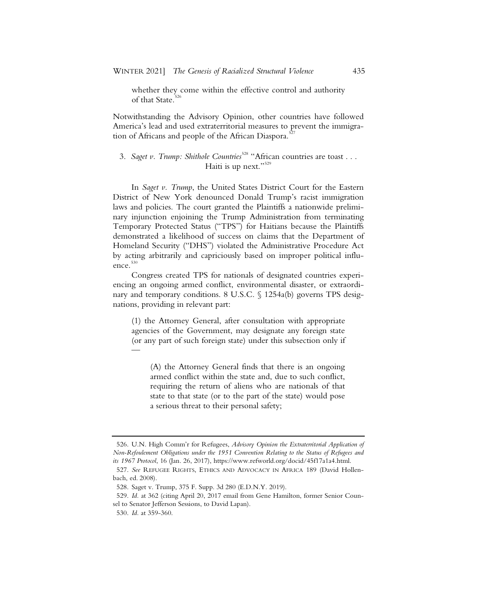whether they come within the effective control and authority of that State.<sup>5</sup>

Notwithstanding the Advisory Opinion, other countries have followed America's lead and used extraterritorial measures to prevent the immigration of Africans and people of the African Diaspora.<sup>5</sup>

# 3. *Saget v. Trump: Shithole Countries<sup>528</sup>* "African countries are toast . . . Haiti is up next."<sup>529</sup>

In *Saget v. Trump*, the United States District Court for the Eastern District of New York denounced Donald Trump's racist immigration laws and policies. The court granted the Plaintiffs a nationwide preliminary injunction enjoining the Trump Administration from terminating Temporary Protected Status ("TPS") for Haitians because the Plaintiffs demonstrated a likelihood of success on claims that the Department of Homeland Security ("DHS") violated the Administrative Procedure Act by acting arbitrarily and capriciously based on improper political influence. $530$ 

Congress created TPS for nationals of designated countries experiencing an ongoing armed conflict, environmental disaster, or extraordinary and temporary conditions. 8 U.S.C. § 1254a(b) governs TPS designations, providing in relevant part:

(1) the Attorney General, after consultation with appropriate agencies of the Government, may designate any foreign state (or any part of such foreign state) under this subsection only if —

(A) the Attorney General finds that there is an ongoing armed conflict within the state and, due to such conflict, requiring the return of aliens who are nationals of that state to that state (or to the part of the state) would pose a serious threat to their personal safety;

<sup>526.</sup> U.N. High Comm'r for Refugees, *Advisory Opinion the Extraterritorial Application of Non-Refoulement Obligations under the 1951 Convention Relating to the Status of Refugees and its 1967 Protocol*, 16 (Jan. 26, 2017), https://www.refworld.org/docid/45f17a1a4.html.

<sup>527.</sup> *See* REFUGEE RIGHTS, ETHICS AND ADVOCACY IN AFRICA 189 (David Hollenbach, ed. 2008).

<sup>528.</sup> Saget v. Trump, 375 F. Supp. 3d 280 (E.D.N.Y. 2019).

<sup>529.</sup> *Id.* at 362 (citing April 20, 2017 email from Gene Hamilton, former Senior Counsel to Senator Jefferson Sessions, to David Lapan).

<sup>530.</sup> *Id.* at 359-360.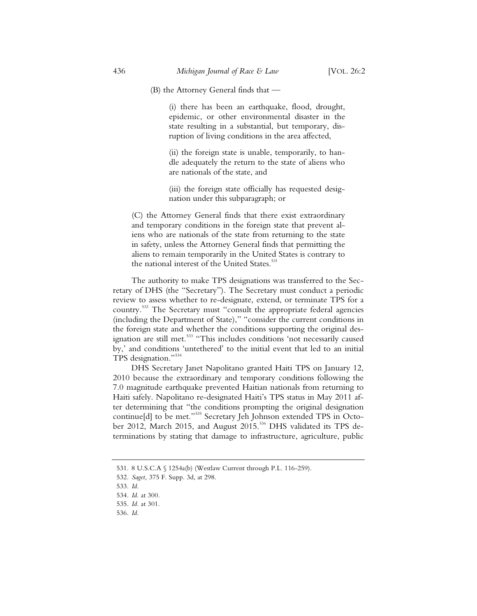(B) the Attorney General finds that —

(i) there has been an earthquake, flood, drought, epidemic, or other environmental disaster in the state resulting in a substantial, but temporary, disruption of living conditions in the area affected,

(ii) the foreign state is unable, temporarily, to handle adequately the return to the state of aliens who are nationals of the state, and

(iii) the foreign state officially has requested designation under this subparagraph; or

(C) the Attorney General finds that there exist extraordinary and temporary conditions in the foreign state that prevent aliens who are nationals of the state from returning to the state in safety, unless the Attorney General finds that permitting the aliens to remain temporarily in the United States is contrary to the national interest of the United States.<sup>531</sup>

The authority to make TPS designations was transferred to the Secretary of DHS (the "Secretary"). The Secretary must conduct a periodic review to assess whether to re-designate, extend, or terminate TPS for a country.<sup>532</sup> The Secretary must "consult the appropriate federal agencies (including the Department of State)," "consider the current conditions in the foreign state and whether the conditions supporting the original designation are still met.<sup>533</sup> "This includes conditions 'not necessarily caused by,' and conditions 'untethered' to the initial event that led to an initial TPS designation."<sup>534</sup>

DHS Secretary Janet Napolitano granted Haiti TPS on January 12, 2010 because the extraordinary and temporary conditions following the 7.0 magnitude earthquake prevented Haitian nationals from returning to Haiti safely. Napolitano re-designated Haiti's TPS status in May 2011 after determining that "the conditions prompting the original designation continue[d] to be met."<sup>535</sup> Secretary Jeh Johnson extended TPS in October 2012, March 2015, and August 2015.<sup>536</sup> DHS validated its TPS determinations by stating that damage to infrastructure, agriculture, public

<sup>531. 8</sup> U.S.C.A § 1254a(b) (Westlaw Current through P.L. 116-259).

<sup>532.</sup> *Saget,* 375 F. Supp. 3d, at 298.

<sup>533.</sup> *Id.*

<sup>534.</sup> *Id.* at 300.

<sup>535.</sup> *Id.* at 301.

<sup>536.</sup> *Id.*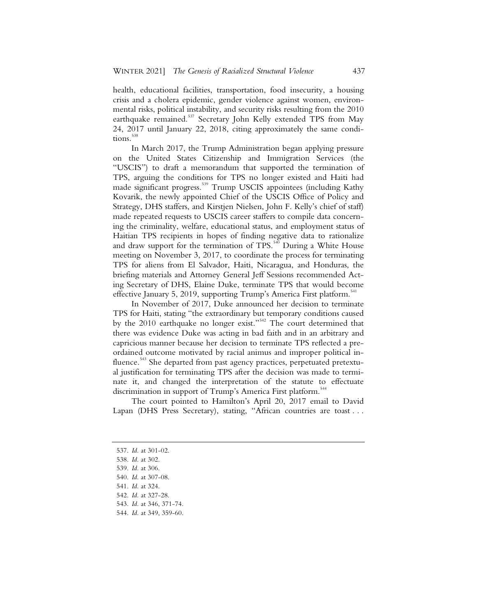health, educational facilities, transportation, food insecurity, a housing crisis and a cholera epidemic, gender violence against women, environmental risks, political instability, and security risks resulting from the 2010 earthquake remained.<sup>537</sup> Secretary John Kelly extended TPS from May 24, 2017 until January 22, 2018, citing approximately the same conditions.<sup>538</sup>

In March 2017, the Trump Administration began applying pressure on the United States Citizenship and Immigration Services (the "USCIS") to draft a memorandum that supported the termination of TPS, arguing the conditions for TPS no longer existed and Haiti had made significant progress.<sup>539</sup> Trump USCIS appointees (including Kathy Kovarik, the newly appointed Chief of the USCIS Office of Policy and Strategy, DHS staffers, and Kirstjen Nielsen, John F. Kelly's chief of staff) made repeated requests to USCIS career staffers to compile data concerning the criminality, welfare, educational status, and employment status of Haitian TPS recipients in hopes of finding negative data to rationalize and draw support for the termination of TPS.<sup>540</sup> During a White House meeting on November 3, 2017, to coordinate the process for terminating TPS for aliens from El Salvador, Haiti, Nicaragua, and Honduras, the briefing materials and Attorney General Jeff Sessions recommended Acting Secretary of DHS, Elaine Duke, terminate TPS that would become effective January 5, 2019, supporting Trump's America First platform.<sup>541</sup>

In November of 2017, Duke announced her decision to terminate TPS for Haiti, stating "the extraordinary but temporary conditions caused by the 2010 earthquake no longer exist."<sup>542</sup> The court determined that there was evidence Duke was acting in bad faith and in an arbitrary and capricious manner because her decision to terminate TPS reflected a preordained outcome motivated by racial animus and improper political influence.<sup>543</sup> She departed from past agency practices, perpetuated pretextual justification for terminating TPS after the decision was made to terminate it, and changed the interpretation of the statute to effectuate discrimination in support of Trump's America First platform.<sup>544</sup>

The court pointed to Hamilton's April 20, 2017 email to David Lapan (DHS Press Secretary), stating, "African countries are toast . . .

- 537. *Id.* at 301-02.
- 538. *Id.* at 302.
- 539. *Id.* at 306.
- 540. *Id.* at 307-08.
- 541. *Id.* at 324.
- 542. *Id.* at 327-28.
- 543. *Id.* at 346, 371-74.
- 544. *Id.* at 349, 359-60.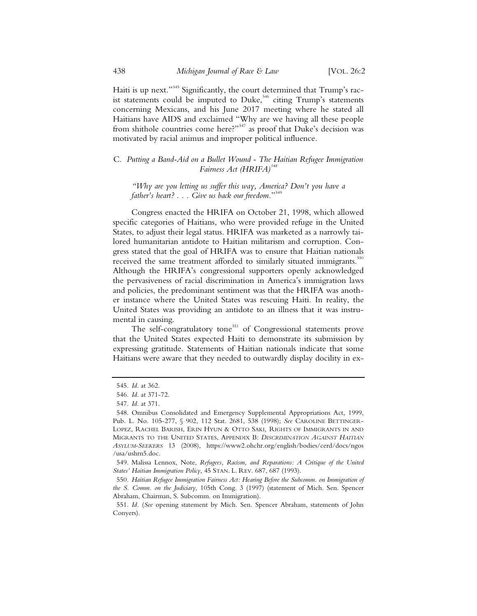Haiti is up next."<sup>545</sup> Significantly, the court determined that Trump's racist statements could be imputed to Duke,<sup>546</sup> citing Trump's statements concerning Mexicans, and his June 2017 meeting where he stated all Haitians have AIDS and exclaimed "Why are we having all these people from shithole countries come here?"<sup>547</sup> as proof that Duke's decision was motivated by racial animus and improper political influence.

C. *Putting a Band-Aid on a Bullet Wound - The Haitian Refugee Immigration Fairness Act (HRIFA)<sup>548</sup>*

*"Why are you letting us suffer this way, America? Don't you have a father's heart? . . . Give us back our freedom.*"<sup>549</sup>

Congress enacted the HRIFA on October 21, 1998, which allowed specific categories of Haitians, who were provided refuge in the United States, to adjust their legal status. HRIFA was marketed as a narrowly tailored humanitarian antidote to Haitian militarism and corruption. Congress stated that the goal of HRIFA was to ensure that Haitian nationals received the same treatment afforded to similarly situated immigrants.<sup>550</sup> Although the HRIFA's congressional supporters openly acknowledged the pervasiveness of racial discrimination in America's immigration laws and policies, the predominant sentiment was that the HRIFA was another instance where the United States was rescuing Haiti. In reality, the United States was providing an antidote to an illness that it was instrumental in causing.

The self-congratulatory tone<sup>551</sup> of Congressional statements prove that the United States expected Haiti to demonstrate its submission by expressing gratitude. Statements of Haitian nationals indicate that some Haitians were aware that they needed to outwardly display docility in ex-

<sup>545.</sup> *Id.* at 362.

<sup>546.</sup> *Id.* at 371-72.

<sup>547.</sup> *Id.* at 371.

<sup>548.</sup> Omnibus Consolidated and Emergency Supplemental Appropriations Act, 1999, Pub. L. No. 105-277, § 902, 112 Stat. 2681, 538 (1998); *See* CAROLINE BETTINGER-LOPEZ, RACHEL BARISH, ERIN HYUN & OTTO SAKI, RIGHTS OF IMMIGRANTS IN AND MIGRANTS TO THE UNITED STATES, APPENDIX B: *DISCRIMINATION AGAINST HAITIAN ASYLUM-SEEKERS* 13 (2008), https://www2.ohchr.org/english/bodies/cerd/docs/ngos /usa/ushrn5.doc.

<sup>549.</sup> Malissa Lennox, Note, *Refugees, Racism, and Reparations: A Critique of the United States' Haitian Immigration Policy*, 45 STAN. L. REV. 687, 687 (1993).

<sup>550.</sup> *Haitian Refugee Immigration Fairness Act: Hearing Before the Subcomm. on Immigration of the S. Comm. on the Judiciary*, 105th Cong. 3 (1997) (statement of Mich. Sen. Spencer Abraham, Chairman, S. Subcomm. on Immigration).

<sup>551.</sup> *Id.* (*See* opening statement by Mich. Sen. Spencer Abraham, statements of John Conyers).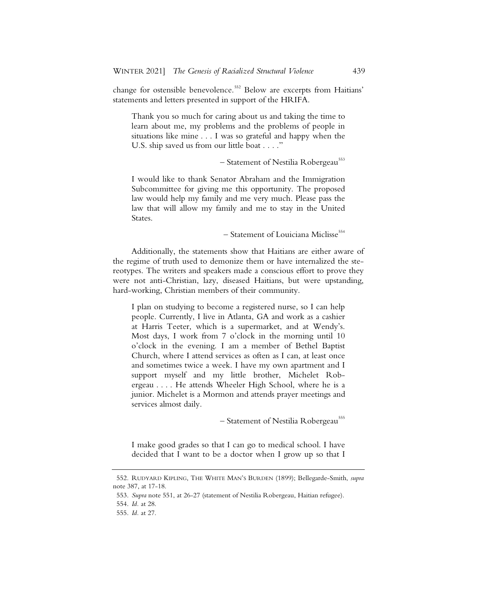change for ostensible benevolence.<sup>552</sup> Below are excerpts from Haitians' statements and letters presented in support of the HRIFA.

Thank you so much for caring about us and taking the time to learn about me, my problems and the problems of people in situations like mine . . . I was so grateful and happy when the U.S. ship saved us from our little boat . . . ."

- Statement of Nestilia Robergeau<sup>553</sup>

I would like to thank Senator Abraham and the Immigration Subcommittee for giving me this opportunity. The proposed law would help my family and me very much. Please pass the law that will allow my family and me to stay in the United States.

– Statement of Louiciana Miclisse<sup>554</sup>

Additionally, the statements show that Haitians are either aware of the regime of truth used to demonize them or have internalized the stereotypes. The writers and speakers made a conscious effort to prove they were not anti-Christian, lazy, diseased Haitians, but were upstanding, hard-working, Christian members of their community.

I plan on studying to become a registered nurse, so I can help people. Currently, I live in Atlanta, GA and work as a cashier at Harris Teeter, which is a supermarket, and at Wendy's. Most days, I work from 7 o'clock in the morning until 10 o'clock in the evening. I am a member of Bethel Baptist Church, where I attend services as often as I can, at least once and sometimes twice a week. I have my own apartment and I support myself and my little brother, Michelet Robergeau . . . . He attends Wheeler High School, where he is a junior. Michelet is a Mormon and attends prayer meetings and services almost daily.

– Statement of Nestilia Robergeau<sup>555</sup>

I make good grades so that I can go to medical school. I have decided that I want to be a doctor when I grow up so that I

<sup>552.</sup> RUDYARD KIPLING, THE WHITE MAN'S BURDEN (1899); Bellegarde-Smith, *supra*  note 387, at 17-18.

<sup>553.</sup> *Supra* note 551, at 26-27 (statement of Nestilia Robergeau, Haitian refugee).

<sup>554.</sup> *Id.* at 28.

<sup>555.</sup> *Id.* at 27.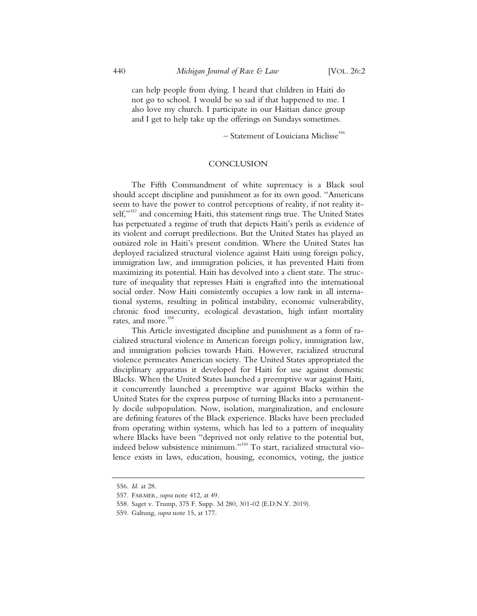can help people from dying. I heard that children in Haiti do not go to school. I would be so sad if that happened to me. I also love my church. I participate in our Haitian dance group and I get to help take up the offerings on Sundays sometimes.

 $-$  Statement of Louiciana Miclisse<sup>556</sup>

#### **CONCLUSION**

The Fifth Commandment of white supremacy is a Black soul should accept discipline and punishment as for its own good. "Americans seem to have the power to control perceptions of reality, if not reality itself,"<sup>557</sup> and concerning Haiti, this statement rings true. The United States has perpetuated a regime of truth that depicts Haiti's perils as evidence of its violent and corrupt predilections. But the United States has played an outsized role in Haiti's present condition. Where the United States has deployed racialized structural violence against Haiti using foreign policy, immigration law, and immigration policies, it has prevented Haiti from maximizing its potential. Haiti has devolved into a client state. The structure of inequality that represses Haiti is engrafted into the international social order. Now Haiti consistently occupies a low rank in all international systems, resulting in political instability, economic vulnerability, chronic food insecurity, ecological devastation, high infant mortality rates, and more.<sup>558</sup>

This Article investigated discipline and punishment as a form of racialized structural violence in American foreign policy, immigration law, and immigration policies towards Haiti. However, racialized structural violence permeates American society. The United States appropriated the disciplinary apparatus it developed for Haiti for use against domestic Blacks. When the United States launched a preemptive war against Haiti, it concurrently launched a preemptive war against Blacks within the United States for the express purpose of turning Blacks into a permanently docile subpopulation. Now, isolation, marginalization, and enclosure are defining features of the Black experience. Blacks have been precluded from operating within systems, which has led to a pattern of inequality where Blacks have been "deprived not only relative to the potential but, indeed below subsistence minimum."<sup>559</sup> To start, racialized structural violence exists in laws, education, housing, economics, voting, the justice

<sup>556.</sup> *Id.* at 28.

<sup>557.</sup> FARMER, *supra* note 412, at 49.

<sup>558.</sup> Saget v. Trump, 375 F. Supp. 3d 280, 301-02 (E.D.N.Y. 2019).

<sup>559.</sup> Galtung, *supra* note 15, at 177.